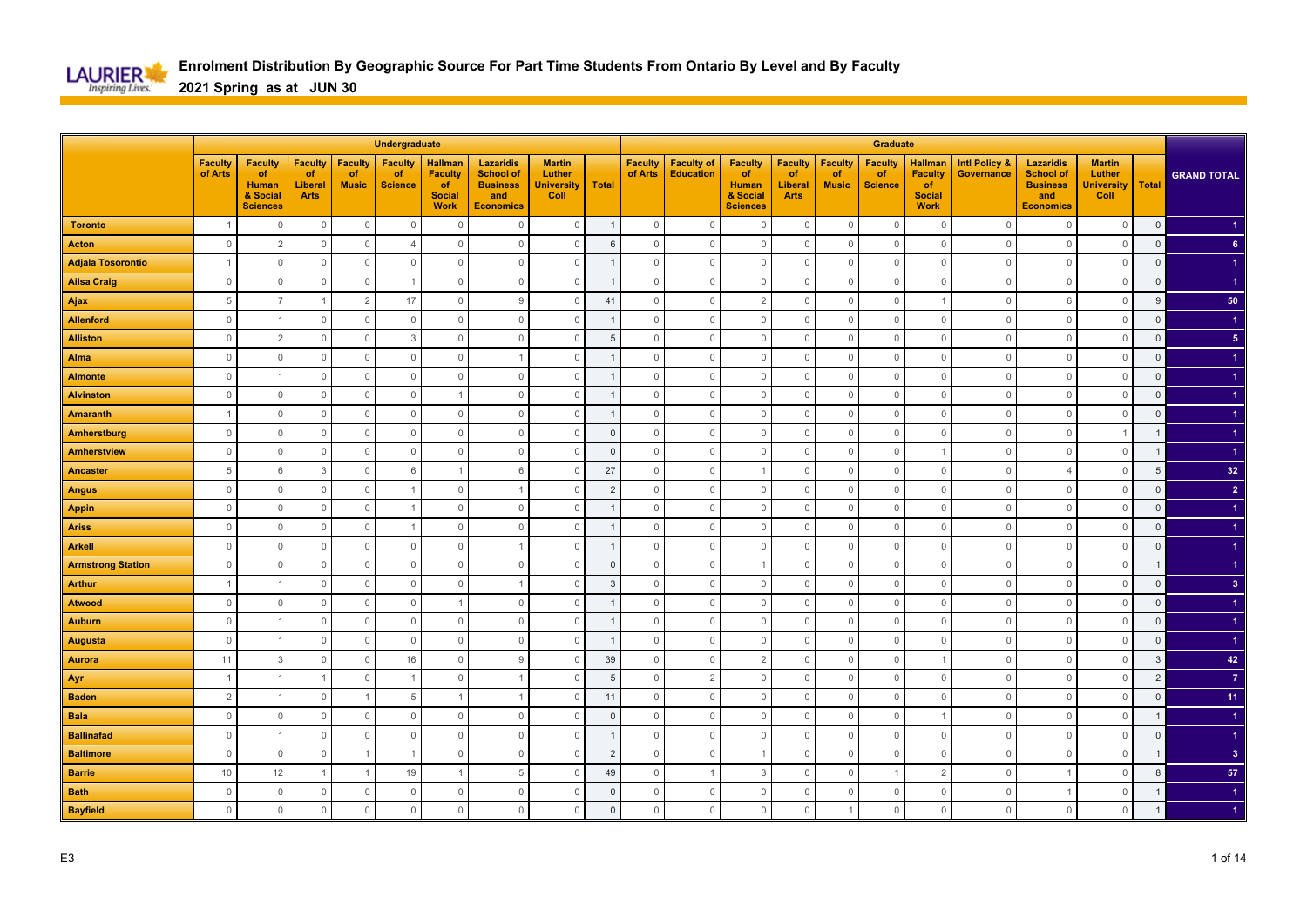

|                          |                           |                                                                     |                                                |                                      | Undergraduate                          |                                                                        |                                                                                    |                                                      |                |                           |                                       |                                                                     |                                                |                                      | <b>Graduate</b>                        |                                                                        |                                        |                                                                                    |                                                      |                |                         |
|--------------------------|---------------------------|---------------------------------------------------------------------|------------------------------------------------|--------------------------------------|----------------------------------------|------------------------------------------------------------------------|------------------------------------------------------------------------------------|------------------------------------------------------|----------------|---------------------------|---------------------------------------|---------------------------------------------------------------------|------------------------------------------------|--------------------------------------|----------------------------------------|------------------------------------------------------------------------|----------------------------------------|------------------------------------------------------------------------------------|------------------------------------------------------|----------------|-------------------------|
|                          | <b>Faculty</b><br>of Arts | <b>Faculty</b><br>of<br><b>Human</b><br>& Social<br><b>Sciences</b> | <b>Faculty</b><br>of<br>Liberal<br><b>Arts</b> | <b>Faculty</b><br>of<br><b>Music</b> | <b>Faculty</b><br>of<br><b>Science</b> | <b>Hallman</b><br><b>Faculty</b><br>of<br><b>Social</b><br><b>Work</b> | <b>Lazaridis</b><br><b>School of</b><br><b>Business</b><br>and<br><b>Economics</b> | <b>Martin</b><br>Luther<br><b>University</b><br>Coll | Total          | <b>Faculty</b><br>of Arts | <b>Faculty of</b><br><b>Education</b> | <b>Faculty</b><br>of<br><b>Human</b><br>& Social<br><b>Sciences</b> | <b>Faculty</b><br>of<br>Liberal<br><b>Arts</b> | <b>Faculty</b><br>of<br><b>Music</b> | <b>Faculty</b><br>of<br><b>Science</b> | <b>Hallman</b><br><b>Faculty</b><br>of<br><b>Social</b><br><b>Work</b> | <b>Intl Policy &amp;</b><br>Governance | <b>Lazaridis</b><br><b>School of</b><br><b>Business</b><br>and<br><b>Economics</b> | <b>Martin</b><br>Luther<br><b>University</b><br>Coll | Total          | <b>GRAND TOTAL</b>      |
| <b>Toronto</b>           |                           | $\overline{0}$                                                      | $\mathbb O$                                    | $\mathbf 0$                          | $\mathbf 0$                            | $\overline{0}$                                                         | $\Omega$                                                                           | $\mathbf{0}$                                         | $\overline{1}$ | $\mathbf 0$               | $\mathbf 0$                           | $\mathbf 0$                                                         | $\mathbf 0$                                    | $\mathbf 0$                          | $\overline{0}$                         | $\mathbf 0$                                                            | $\Omega$                               | $\mathbf{0}$                                                                       | $\mathbf 0$                                          | $\mathbf 0$    |                         |
| <b>Acton</b>             | $\mathbf 0$               | $\overline{2}$                                                      | $\circ$                                        | $\mathbf 0$                          | $\overline{4}$                         | $\Omega$                                                               | $\Omega$                                                                           | $\circ$                                              | 6              | $\mathbf 0$               | $\mathbf{0}$                          | $\mathbf 0$                                                         | $\mathbf 0$                                    | $\Omega$                             | $\overline{0}$                         | $\overline{0}$                                                         | $\Omega$                               | $\mathbf{0}$                                                                       | $\mathbf{0}$                                         | $\mathbf 0$    | 6 <sup>5</sup>          |
| <b>Adjala Tosorontio</b> |                           | $\Omega$                                                            | $\mathbf 0$                                    | $\mathbf 0$                          | $\mathbb O$                            | $\Omega$                                                               | $\Omega$                                                                           | $\mathbf 0$                                          |                | $\Omega$                  | $\mathbf 0$                           | $\mathbf 0$                                                         | $\mathbf 0$                                    | $\Omega$                             | $\mathbf 0$                            | $\overline{0}$                                                         | $\Omega$                               | $\mathbf{0}$                                                                       | $\mathbf 0$                                          | $\mathsf 0$    |                         |
| <b>Ailsa Craig</b>       | $\mathbf 0$               | $\Omega$                                                            | $\mathbf 0$                                    | $\overline{0}$                       |                                        | $\overline{0}$                                                         | $\Omega$                                                                           | $\mathbf 0$                                          |                | $\Omega$                  | $\mathbf{0}$                          | $\mathbf 0$                                                         | $\mathbf 0$                                    | $\Omega$                             | $\overline{0}$                         | $\mathbf 0$                                                            | $\Omega$                               | $\overline{0}$                                                                     | $\mathbf 0$                                          | $\mathbf 0$    |                         |
| Ajax                     | 5                         |                                                                     | $\overline{1}$                                 | $\overline{2}$                       | 17                                     | $\overline{0}$                                                         | 9                                                                                  | $\mathbf 0$                                          | 41             | $\mathbf 0$               | $\mathbb O$                           | 2                                                                   | $\mathbf 0$                                    | $\Omega$                             | $\overline{0}$                         |                                                                        | $\circ$                                | 6                                                                                  | $\mathbb O$                                          | 9              | 50                      |
| <b>Allenford</b>         | $\mathbf 0$               |                                                                     | $\mathbf 0$                                    | $\overline{0}$                       | $\mathbb O$                            | $\overline{0}$                                                         | $\mathbf 0$                                                                        | $\mathbf 0$                                          |                | $\mathbf 0$               | $\mathbb O$                           | $\mathbf 0$                                                         | $\mathbf 0$                                    | $\Omega$                             | $\overline{0}$                         | $\overline{0}$                                                         | $\circ$                                | $\mathbf 0$                                                                        | $\mathbb O$                                          | $\mathsf 0$    |                         |
| <b>Alliston</b>          | $\mathbf{0}$              | $\overline{2}$                                                      | $\mathbf 0$                                    | $\mathbf 0$                          | 3                                      | $\Omega$                                                               | $\mathbf{0}$                                                                       | $\mathbf 0$                                          | 5              | $\Omega$                  | $\mathbf 0$                           | $\mathbf 0$                                                         | $\mathbf 0$                                    | $\Omega$                             | $\mathbf 0$                            | $\overline{0}$                                                         | $\Omega$                               | $\overline{0}$                                                                     | $\mathbf 0$                                          | $\mathbf{0}$   | 5 <sup>5</sup>          |
| Alma                     | $\mathbf{0}$              | $\Omega$                                                            | $\mathbf 0$                                    | $\mathbf 0$                          | $\mathbb O$                            | $\mathbf 0$                                                            |                                                                                    | $\mathbf 0$                                          |                | $\mathbf{0}$              | $\mathbb O$                           | $\mathbf 0$                                                         | $\mathbf 0$                                    | $\Omega$                             | $\mathbf 0$                            | $\mathbf 0$                                                            | $\Omega$                               | $\mathbf 0$                                                                        | $\mathbf 0$                                          | $\mathbf{0}$   |                         |
| <b>Almonte</b>           | $\mathbb O$               |                                                                     | $\mathbb O$                                    | $\mathbb O$                          | $\mathbb O$                            | $\mathbf{0}$                                                           | $\Omega$                                                                           | $\mathbb O$                                          |                | $\mathbf{0}$              | $\mathbf{0}$                          | $\mathbf{0}$                                                        | $\mathsf{O}\xspace$                            | $\mathbf 0$                          | $\mathbf 0$                            | $\mathbf 0$                                                            | $\Omega$                               | $\mathbf 0$                                                                        | $\mathbb O$                                          | $\mathsf 0$    |                         |
| <b>Alvinston</b>         | $\mathsf{O}\xspace$       | $\overline{0}$                                                      | $\mathbb O$                                    | $\mathbb O$                          | $\mathbb O$                            |                                                                        | $\mathbf 0$                                                                        | $\mathbb O$                                          |                | $\mathbf 0$               | $\mathsf{O}\xspace$                   | $\mathbf 0$                                                         | $\mathsf{O}\xspace$                            | $\mathbb O$                          | $\mathbb O$                            | $\mathbf 0$                                                            | $\overline{0}$                         | $\mathbf 0$                                                                        | $\mathbb O$                                          | $\mathsf 0$    |                         |
| <b>Amaranth</b>          | $\overline{1}$            | $\Omega$                                                            | $\mathsf{O}\xspace$                            | $\mathbb O$                          | $\mathbf{0}$                           | $\mathbf 0$                                                            | $\mathbf{0}$                                                                       | $\mathbb O$                                          |                | $\Omega$                  | $\mathbf 0$                           | $\mathbf{0}$                                                        | $\mathbf 0$                                    | $\Omega$                             | $\mathbb O$                            | $\mathbf{0}$                                                           | $\Omega$                               | $\mathbf{0}$                                                                       | $\mathbf{0}$                                         | $\mathbf{0}$   |                         |
| <b>Amherstburg</b>       | $\mathbf 0$               | $\Omega$                                                            | $\mathbf 0$                                    | $\mathbf 0$                          | $\mathbb O$                            | $\overline{0}$                                                         | $\mathbf 0$                                                                        | $\mathbf 0$                                          | $\overline{0}$ | $\mathbf{0}$              | $\mathbf 0$                           | $\mathbf 0$                                                         | $\mathbf 0$                                    | $\Omega$                             | $\mathbf 0$                            | $\mathbf 0$                                                            | $\Omega$                               | $\mathbf 0$                                                                        | $\overline{1}$                                       |                |                         |
| <b>Amherstview</b>       | $\mathbb O$               | $\Omega$                                                            | $\mathbb O$                                    | $\mathbb O$                          | $\mathbb O$                            | $\mathbf{0}$                                                           | $\mathbf 0$                                                                        | $\mathbb O$                                          | $\overline{0}$ | $\mathsf{O}\xspace$       | $\mathbf{0}$                          | $\mathbf 0$                                                         | $\mathbb O$                                    | $\Omega$                             | $\mathbf 0$                            |                                                                        | $\Omega$                               | $\mathbf{0}$                                                                       | $\mathbb O$                                          |                | $\blacktriangleleft$    |
| Ancaster                 | $\,$ 5 $\,$               | 6                                                                   | 3                                              | $\mathbb O$                          | 6                                      |                                                                        | 6                                                                                  | $\overline{0}$                                       | 27             | $\mathbf 0$               | $\mathbb O$                           | -1                                                                  | $\mathbf 0$                                    | $\Omega$                             | $\overline{0}$                         | $\mathbf 0$                                                            | $\circ$                                | $\overline{4}$                                                                     | $\mathbf 0$                                          | $\overline{5}$ | 32                      |
| <b>Angus</b>             | $\mathbf{0}$              | $\Omega$                                                            | $\mathbb O$                                    | $\mathbf 0$                          |                                        | $\Omega$                                                               |                                                                                    | $\mathbf 0$                                          | $\overline{2}$ | $\Omega$                  | $\mathbf 0$                           | $\mathbf 0$                                                         | $\mathbf{0}$                                   | $\Omega$                             | $\mathbf 0$                            | $\overline{0}$                                                         | $\Omega$                               | $\mathbf 0$                                                                        | $\mathbf 0$                                          | $\Omega$       | $\overline{2}$          |
| <b>Appin</b>             | $\mathbf{0}$              | $\Omega$                                                            | $\mathbf{0}$                                   | $\mathbf 0$                          |                                        | $\Omega$                                                               | $\mathbf 0$                                                                        | 0                                                    |                | $\mathbf{0}$              | $\circ$                               | $\mathbf 0$                                                         | 0                                              | $\Omega$                             | $\mathbf 0$                            | $\mathbf 0$                                                            | $\Omega$                               | $\circ$                                                                            | $\mathbf 0$                                          | $\mathbf 0$    |                         |
| <b>Ariss</b>             | $\mathbf{0}$              | $\overline{0}$                                                      | $\mathbb O$                                    | $\mathbb O$                          |                                        | $\mathbf{0}$                                                           | $\Omega$                                                                           | $\mathbb O$                                          |                | $\mathbf{0}$              | $\mathbf 0$                           | $\mathbf 0$                                                         | $\mathbb O$                                    | $\Omega$                             | $\mathbf 0$                            | $\mathbf 0$                                                            | $\Omega$                               | $\mathbf{0}$                                                                       | $\mathbb O$                                          | $\mathbf 0$    |                         |
| <b>Arkell</b>            | $\mathbf{0}$              | $\overline{0}$                                                      | $\mathbf 0$                                    | $\circ$                              | $\mathbf 0$                            | $\mathbf 0$                                                            |                                                                                    | $\mathbf 0$                                          |                | $\mathbf{0}$              | $\mathbf 0$                           | $\mathbf 0$                                                         | $\mathbf 0$                                    | $\mathbf 0$                          | $\overline{0}$                         | $\mathbf 0$                                                            | $\overline{0}$                         | $\mathbf 0$                                                                        | $\mathbb O$                                          | $\mathbf 0$    |                         |
| <b>Armstrong Station</b> | $\mathbf{0}$              | $\Omega$                                                            | $\mathbb O$                                    | $\mathbf 0$                          | $\mathbf{0}$                           | $\Omega$                                                               | $\Omega$                                                                           | $\mathbb O$                                          | $\Omega$       | $\mathbf 0$               | $\mathbf{0}$                          | $\overline{1}$                                                      | $\mathbf 0$                                    | $\Omega$                             | $\overline{0}$                         | $\overline{0}$                                                         | $\Omega$                               | $\mathbf 0$                                                                        | $\mathbb O$                                          | $\overline{1}$ |                         |
| <b>Arthur</b>            |                           |                                                                     | $\mathbf 0$                                    | $\mathbf 0$                          | $\mathbf 0$                            | $\Omega$                                                               |                                                                                    | $\mathbf 0$                                          | 3              | $\Omega$                  | $\mathbf 0$                           | $\mathbf 0$                                                         | 0                                              | $\Omega$                             | $\overline{0}$                         | $\mathbf 0$                                                            | $\Omega$                               | $\overline{0}$                                                                     | $\mathbf 0$                                          | $\mathsf 0$    | 3 <sup>2</sup>          |
| <b>Atwood</b>            | $\mathbb O$               | $\Omega$                                                            | $\mathbb O$                                    | $\mathbf 0$                          | $\mathbb O$                            |                                                                        | $\Omega$                                                                           | $\mathbb O$                                          |                | $\mathbf{0}$              | $\mathbf{0}$                          | $\mathbf 0$                                                         | $\mathbf 0$                                    | $\Omega$                             | $\mathbf 0$                            | $\mathbf 0$                                                            | $\Omega$                               | $\mathbf{0}$                                                                       | $\mathbb O$                                          | $\mathsf 0$    |                         |
| <b>Auburn</b>            | $\mathbf 0$               |                                                                     | $\mathbf 0$                                    | $\overline{0}$                       | $\mathbb O$                            | $\overline{0}$                                                         | $\mathbf 0$                                                                        | $\mathbf 0$                                          |                | $\mathbf{0}$              | $\mathbb O$                           | $\mathbf 0$                                                         | $\mathbf 0$                                    | $\Omega$                             | $\overline{0}$                         | $\overline{0}$                                                         | $\circ$                                | $\mathbf 0$                                                                        | $\mathbb O$                                          | $\mathsf 0$    |                         |
| <b>Augusta</b>           | $\mathbb O$               |                                                                     | $\mathbb O$                                    | $\overline{0}$                       | $\mathbb O$                            | $\overline{0}$                                                         | $\mathbf 0$                                                                        | $\mathbb O$                                          |                | $\mathsf{O}\xspace$       | $\mathbb O$                           | $\mathbb O$                                                         | $\mathbb O$                                    | $\Omega$                             | $\overline{0}$                         | $\mathbf 0$                                                            | $\Omega$                               | $\mathbb O$                                                                        | $\mathbb O$                                          | $\mathsf 0$    |                         |
| <b>Aurora</b>            | 11                        | 3                                                                   | $\mathbf 0$                                    | $\mathbf 0$                          | 16                                     | $\Omega$                                                               | 9                                                                                  | 0                                                    | 39             | $\mathbf{0}$              | $\mathbf 0$                           | 2                                                                   | 0                                              | $\Omega$                             | $\mathbf 0$                            |                                                                        | $\Omega$                               | $\circ$                                                                            | $\mathbf 0$                                          | 3              | 42                      |
| Ayr                      |                           |                                                                     | $\overline{1}$                                 | $\mathbf 0$                          | $\mathbf{1}$                           | $\Omega$                                                               |                                                                                    | $\mathbf 0$                                          | 5              | $\Omega$                  | $\overline{2}$                        | $\mathbf 0$                                                         | $\mathbf 0$                                    | $\Omega$                             | $\mathbf 0$                            | $\overline{0}$                                                         | $\Omega$                               | $\mathbf{0}$                                                                       | $\mathbf 0$                                          | $\overline{2}$ | $\overline{7}$          |
| <b>Baden</b>             | $\overline{2}$            |                                                                     | $\mathbf 0$                                    | -1                                   | 5                                      |                                                                        |                                                                                    | $\mathbf 0$                                          | 11             | $\mathbf 0$               | $\mathbb O$                           | $\mathbf 0$                                                         | $\mathbf 0$                                    | $\Omega$                             | $\mathbf 0$                            | $\mathbf 0$                                                            | $\mathbf{0}$                           | $\mathbf{0}$                                                                       | $\mathbf 0$                                          | $\mathbf{0}$   | 11                      |
| <b>Bala</b>              | $\mathbb O$               | $\Omega$                                                            | $\mathbb O$                                    | $\mathbb O$                          | $\mathbb O$                            | $\overline{0}$                                                         | $\mathbf{0}$                                                                       | $\mathbb O$                                          | $\Omega$       | $\mathbf{0}$              | $\mathbf 0$                           | $\mathbf{0}$                                                        | $\mathsf{O}\xspace$                            | $\mathbf 0$                          | $\mathbb O$                            | $\overline{1}$                                                         | $\Omega$                               | $\mathbf 0$                                                                        | $\mathbf 0$                                          | $\mathbf{1}$   | $\blacktriangleleft$    |
| <b>Ballinafad</b>        | $\mathbf{0}$              |                                                                     | $\mathbf 0$                                    | $\mathbf 0$                          | $\mathbb O$                            | $\overline{0}$                                                         | $\mathbf 0$                                                                        | $\mathbf 0$                                          |                | $\Omega$                  | $\mathbf 0$                           | $\mathbf 0$                                                         | $\mathbf 0$                                    | $\Omega$                             | $\mathbf 0$                            | $\overline{0}$                                                         | $\Omega$                               | $\mathbf{0}$                                                                       | $\mathbf{0}$                                         | $\mathbf{0}$   | $\blacktriangleleft$    |
| <b>Baltimore</b>         | $\mathbb O$               | $\Omega$                                                            | $\mathbb O$                                    | -1                                   | $\overline{1}$                         | $\mathbf{0}$                                                           | $\Omega$                                                                           | $\mathbf 0$                                          | $\overline{2}$ | $\mathbf 0$               | $\mathbf{0}$                          |                                                                     | $\mathbf{0}$                                   | $\Omega$                             | $\mathbf 0$                            | $\overline{0}$                                                         | $\Omega$                               | $\overline{0}$                                                                     | $\mathbf 0$                                          |                | $\overline{\mathbf{3}}$ |
| <b>Barrie</b>            | 10                        | 12                                                                  | $\overline{1}$                                 | -1                                   | 19                                     |                                                                        | 5                                                                                  | $\overline{0}$                                       | 49             | $\mathbf 0$               | $\overline{1}$                        | 3                                                                   | $\mathbf 0$                                    | $\Omega$                             |                                        | $\overline{2}$                                                         | $\overline{0}$                         |                                                                                    | $\mathbf 0$                                          | 8              | 57                      |
| <b>Bath</b>              | $\mathbf{0}$              | $\Omega$                                                            | $\mathbb O$                                    | $\overline{0}$                       | $\mathbb O$                            | $\Omega$                                                               | $\Omega$                                                                           | $\mathbb O$                                          | $\Omega$       | $\mathbf{0}$              | $\mathbf{0}$                          | $\mathbf{0}$                                                        | $\mathbb O$                                    | $\Omega$                             | $\mathbb O$                            | $\mathbb O$                                                            | $\Omega$                               | $\overline{1}$                                                                     | $\mathbf 0$                                          |                |                         |
| <b>Bayfield</b>          | $\mathbf{0}$              | $\mathbf 0$                                                         | $\mathbf 0$                                    | $\Omega$                             | $\mathbf{0}$                           | $\Omega$                                                               | $\mathbf 0$                                                                        | $\mathbf 0$                                          | $\Omega$       | $\mathbf 0$               | $\mathbb O$                           | $\Omega$                                                            | $\mathbf 0$                                    |                                      | $\mathbf 0$                            | $\mathbf 0$                                                            | $\Omega$                               | $\mathbf 0$                                                                        | $\mathbf 0$                                          |                |                         |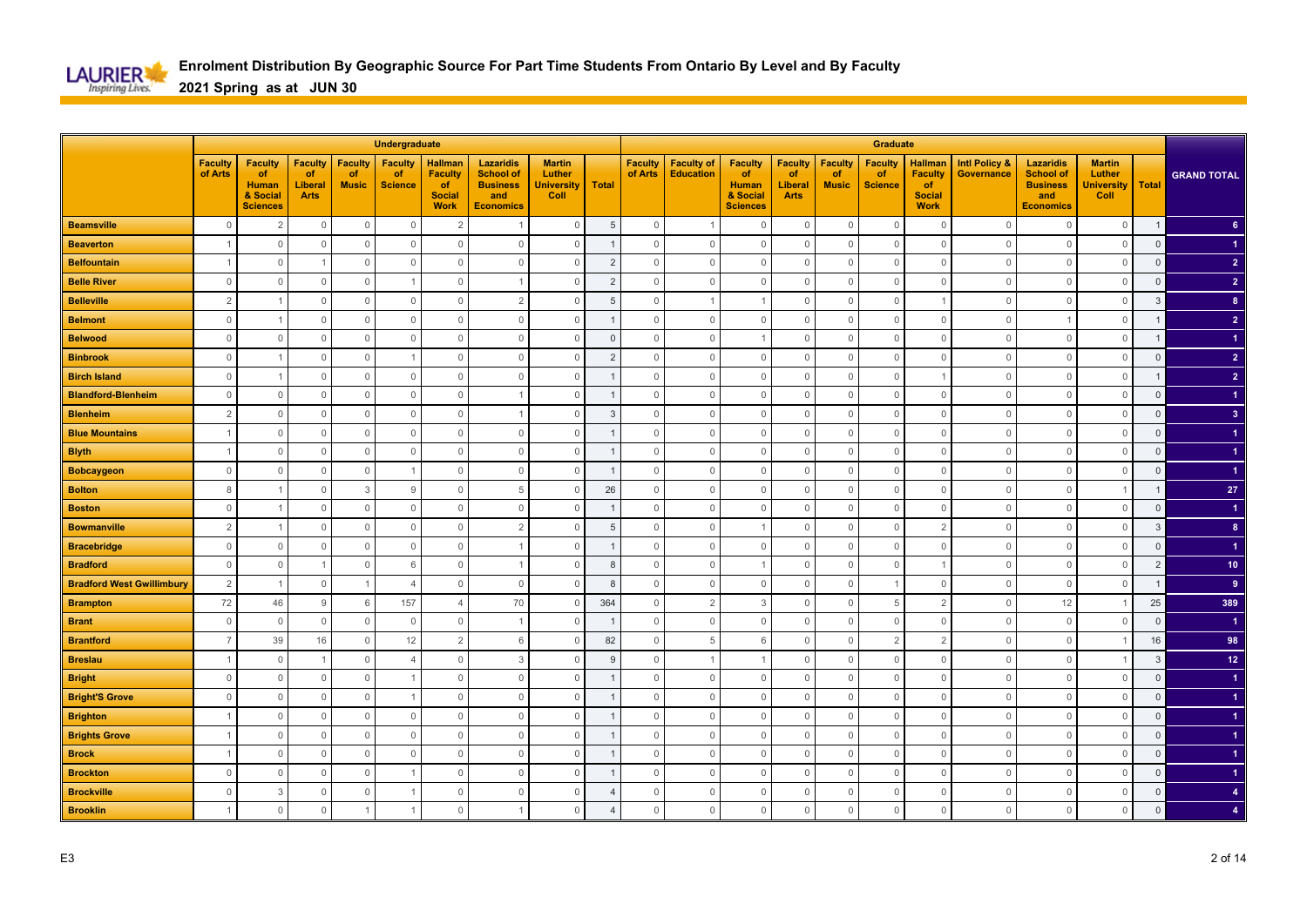

|                                  |                           |                                                                     |                                                |                                      | Undergraduate                          |                                                                        |                                                                                    |                                                      |                |                           |                                       |                                                                            |                                                       |                                      | <b>Graduate</b>                        |                                                                        |                                        |                                                                                    |                                                      |                |                      |
|----------------------------------|---------------------------|---------------------------------------------------------------------|------------------------------------------------|--------------------------------------|----------------------------------------|------------------------------------------------------------------------|------------------------------------------------------------------------------------|------------------------------------------------------|----------------|---------------------------|---------------------------------------|----------------------------------------------------------------------------|-------------------------------------------------------|--------------------------------------|----------------------------------------|------------------------------------------------------------------------|----------------------------------------|------------------------------------------------------------------------------------|------------------------------------------------------|----------------|----------------------|
|                                  | <b>Faculty</b><br>of Arts | <b>Faculty</b><br>of<br><b>Human</b><br>& Social<br><b>Sciences</b> | <b>Faculty</b><br>of<br>Liberal<br><b>Arts</b> | <b>Faculty</b><br>of<br><b>Music</b> | <b>Faculty</b><br>of<br><b>Science</b> | <b>Hallman</b><br><b>Faculty</b><br>of<br><b>Social</b><br><b>Work</b> | <b>Lazaridis</b><br><b>School of</b><br><b>Business</b><br>and<br><b>Economics</b> | <b>Martin</b><br>Luther<br><b>University</b><br>Coll | <b>Total</b>   | <b>Faculty</b><br>of Arts | <b>Faculty of</b><br><b>Education</b> | <b>Faculty</b><br><b>of</b><br><b>Human</b><br>& Social<br><b>Sciences</b> | <b>Faculty</b><br>of<br><b>Liberal</b><br><b>Arts</b> | <b>Faculty</b><br>of<br><b>Music</b> | <b>Faculty</b><br>of<br><b>Science</b> | <b>Hallman</b><br><b>Faculty</b><br>of<br><b>Social</b><br><b>Work</b> | <b>Intl Policy &amp;</b><br>Governance | <b>Lazaridis</b><br><b>School of</b><br><b>Business</b><br>and<br><b>Economics</b> | <b>Martin</b><br>Luther<br><b>University</b><br>Coll | <b>Total</b>   | <b>GRAND TOTAL</b>   |
| <b>Beamsville</b>                | $\mathbf 0$               | $\overline{2}$                                                      | $\mathbb O$                                    | $\mathbf 0$                          | $\mathbf 0$                            | $\overline{2}$                                                         |                                                                                    | $\mathbb O$                                          | 5              | $\mathsf{O}\xspace$       |                                       | $\mathbf 0$                                                                | $\mathbf 0$                                           | $\mathbf 0$                          | $\overline{0}$                         | $\overline{0}$                                                         | $\Omega$                               | $\mathbf{0}$                                                                       | $\mathbf 0$                                          | $\overline{1}$ | 6 <sup>1</sup>       |
| <b>Beaverton</b>                 |                           | $\Omega$                                                            | $\circ$                                        | $\mathbf{0}$                         | $\mathbf{0}$                           | $\Omega$                                                               | $\Omega$                                                                           | $\circ$                                              |                | $\mathbf 0$               | $\mathbf{0}$                          | $\mathbf 0$                                                                | $\mathbf 0$                                           | $\Omega$                             | $\overline{0}$                         | $\overline{0}$                                                         | $\Omega$                               | $\mathbf{0}$                                                                       | $\mathbf{0}$                                         | $\mathbf 0$    |                      |
| <b>Belfountain</b>               |                           | $\Omega$                                                            | $\overline{1}$                                 | $\mathbf 0$                          | $\mathbb O$                            | $\Omega$                                                               | $\Omega$                                                                           | $\mathbf 0$                                          | $\overline{2}$ | $\Omega$                  | $\mathbf 0$                           | $\mathbf 0$                                                                | $\mathbf 0$                                           | $\Omega$                             | $\mathbf{0}$                           | $\overline{0}$                                                         | $\Omega$                               | $\mathbf{0}$                                                                       | $\mathbf 0$                                          | $\mathsf 0$    | $\overline{2}$       |
| <b>Belle River</b>               | $\mathbf{0}$              | $\Omega$                                                            | $\mathbf 0$                                    | $\overline{0}$                       |                                        | $\mathbf{0}$                                                           |                                                                                    | $\mathbf 0$                                          | $\overline{2}$ | $\Omega$                  | $\mathbf{0}$                          | $\mathbf 0$                                                                | 0                                                     | $\Omega$                             | $\mathbf{0}$                           | $\mathbf{0}$                                                           | $\Omega$                               | $\overline{0}$                                                                     | $\mathbf 0$                                          | $\mathbf 0$    | $\overline{2}$       |
| <b>Belleville</b>                | $\overline{2}$            |                                                                     | $\mathbf 0$                                    | $\overline{0}$                       | $\mathbb O$                            | $\mathbf 0$                                                            | $\overline{2}$                                                                     | $\mathbb O$                                          | 5              | $\mathbf{0}$              | $\overline{1}$                        |                                                                            | $\mathbf 0$                                           | $\Omega$                             | $\mathbf 0$                            |                                                                        | $\circ$                                | $\overline{0}$                                                                     | $\mathbb O$                                          | 3              | 8 <sup>2</sup>       |
| <b>Belmont</b>                   | $\mathbf 0$               |                                                                     | $\mathbf 0$                                    | $\mathbf 0$                          | $\mathbb O$                            | $\mathbf 0$                                                            | $\mathbf 0$                                                                        | $\mathbf 0$                                          |                | $\mathbf{0}$              | $\mathbb O$                           | $\mathbf 0$                                                                | $\mathbf 0$                                           | $\Omega$                             | $\mathbf 0$                            | $\mathbf 0$                                                            | $\circ$                                |                                                                                    | $\mathbb O$                                          |                | 2 <sup>1</sup>       |
| <b>Belwood</b>                   | $\mathbf{0}$              | $\Omega$                                                            | $\mathbf 0$                                    | $\overline{0}$                       | $\mathbb O$                            | $\Omega$                                                               | $\Omega$                                                                           | $\mathbf 0$                                          | $\Omega$       | $\Omega$                  | $\mathbf 0$                           |                                                                            | $\mathbf 0$                                           | $\Omega$                             | $\mathbf 0$                            | $\overline{0}$                                                         | $\Omega$                               | $\overline{0}$                                                                     | $\mathbf 0$                                          |                |                      |
| <b>Binbrook</b>                  | $\mathbf{0}$              |                                                                     | $\mathbf 0$                                    | $\mathbf 0$                          |                                        | $\mathbf 0$                                                            | $\mathbf 0$                                                                        | $\mathbf 0$                                          | $\overline{2}$ | $\mathbf{0}$              | $\mathbb O$                           | $\mathbf 0$                                                                | $\mathbf 0$                                           | $\Omega$                             | $\mathbf 0$                            | $\mathbf 0$                                                            | $\Omega$                               | $\mathbf 0$                                                                        | $\mathbf 0$                                          | $\overline{0}$ | $\overline{2}$       |
| <b>Birch Island</b>              | $\mathbb O$               |                                                                     | $\mathsf{O}\xspace$                            | $\mathbb O$                          | $\mathbb O$                            | $\mathbf{0}$                                                           | $\mathbf{0}$                                                                       | $\mathbb O$                                          |                | $\mathbf{0}$              | $\mathbf{0}$                          | $\mathbf 0$                                                                | $\mathsf{O}\xspace$                                   | $\mathbf 0$                          | $\mathbf 0$                            |                                                                        | $\Omega$                               | $\mathbf 0$                                                                        | $\mathbb O$                                          |                | $\overline{2}$       |
| <b>Blandford-Blenheim</b>        | $\mathbb O$               | $\overline{0}$                                                      | $\mathbb O$                                    | $\mathbb O$                          | $\mathbb O$                            | $\mathbb O$                                                            |                                                                                    | $\mathbb O$                                          |                | $\mathbf 0$               | $\mathbb O$                           | $\mathbf 0$                                                                | $\mathsf{O}\xspace$                                   | $\mathbb O$                          | $\mathbb O$                            | $\mathbf 0$                                                            | $\overline{0}$                         | $\mathbf 0$                                                                        | $\mathbb O$                                          | $\mathsf 0$    |                      |
| <b>Blenheim</b>                  | $\overline{2}$            | $\Omega$                                                            | $\mathsf{O}\xspace$                            | $\mathbb O$                          | $\mathbf{0}$                           | $\mathbf 0$                                                            |                                                                                    | $\mathbb O$                                          | 3              | $\Omega$                  | $\mathbf 0$                           | $\mathbf 0$                                                                | $\mathbf{0}$                                          | $\Omega$                             | $\mathbb O$                            | $\mathbf{0}$                                                           | $\Omega$                               | $\mathbf{0}$                                                                       | $\mathbf 0$                                          | $\overline{0}$ | 3 <sup>°</sup>       |
| <b>Blue Mountains</b>            |                           | $\Omega$                                                            | $\mathbf 0$                                    | $\overline{0}$                       | $\mathbb O$                            | $\mathbf{0}$                                                           | $\mathbf 0$                                                                        | $\mathbf 0$                                          |                | $\Omega$                  | $\mathbf 0$                           | $\mathbf 0$                                                                | $\mathbf 0$                                           | $\Omega$                             | $\mathbf 0$                            | $\mathbf 0$                                                            | $\Omega$                               | $\mathbf 0$                                                                        | $\mathbf 0$                                          | $\mathbf 0$    | $\blacktriangleleft$ |
| <b>Blyth</b>                     | $\overline{1}$            | $\Omega$                                                            | $\mathbb O$                                    | $\mathbb O$                          | $\mathbb O$                            | $\mathbf 0$                                                            | $\mathbf 0$                                                                        | $\mathbb O$                                          |                | $\mathbf{0}$              | $\mathbf 0$                           | $\mathbf{0}$                                                               | $\mathbb O$                                           | $\Omega$                             | $\mathbf 0$                            | $\mathbf 0$                                                            | $\Omega$                               | $\mathbf{0}$                                                                       | $\mathbb O$                                          | $\mathsf 0$    |                      |
| <b>Bobcaygeon</b>                | $\mathbf 0$               | $\circ$                                                             | $\mathbf 0$                                    | $\overline{0}$                       |                                        | $\mathbf 0$                                                            | $\mathbf 0$                                                                        | $\mathbf 0$                                          | -1             | $\mathbf{0}$              | $\mathbb O$                           | $\mathbf 0$                                                                | $\mathbf 0$                                           | $\Omega$                             | $\mathbf 0$                            | $\mathbf 0$                                                            | $\circ$                                | $\mathbf 0$                                                                        | $\mathbf 0$                                          | $\mathbf 0$    |                      |
| <b>Bolton</b>                    | 8                         |                                                                     | $\mathbb O$                                    | 3                                    | 9                                      | $\Omega$                                                               | 5                                                                                  | $\mathbf 0$                                          | 26             | $\Omega$                  | $\mathbf{0}$                          | $\mathbf 0$                                                                | $\mathbf{0}$                                          | $\Omega$                             | $\mathbf 0$                            | $\overline{0}$                                                         | $\Omega$                               | $\mathbf{0}$                                                                       |                                                      |                | ${\bf 27}$           |
| <b>Boston</b>                    | $\mathbf 0$               |                                                                     | $\mathbf{0}$                                   | $\overline{0}$                       | $\overline{0}$                         | $\Omega$                                                               | $\mathbf 0$                                                                        | $\mathbf 0$                                          |                | $\overline{0}$            | $\circ$                               | $\Omega$                                                                   | 0                                                     | C                                    | $\mathbf 0$                            | $\mathbf 0$                                                            | $\Omega$                               | $\circ$                                                                            | $\mathbf 0$                                          | $\mathbf 0$    |                      |
| <b>Bowmanville</b>               | $\overline{2}$            |                                                                     | $\mathbb O$                                    | $\mathbb O$                          | $\mathbb O$                            | $\mathbf 0$                                                            | $\overline{2}$                                                                     | $\mathbb O$                                          | 5              | $\mathbf{0}$              | $\mathbf{0}$                          |                                                                            | $\mathbb O$                                           | $\Omega$                             | $\mathbf 0$                            | $\overline{2}$                                                         | $\Omega$                               | $\mathbf{0}$                                                                       | $\mathbb O$                                          | $\mathbf{3}$   | 8 <sup>°</sup>       |
| <b>Bracebridge</b>               | $\mathbf{0}$              | $\overline{0}$                                                      | $\mathbf 0$                                    | $\overline{0}$                       | $\mathbf 0$                            | $\mathbf 0$                                                            |                                                                                    | $\mathbf 0$                                          |                | $\mathbf{0}$              | $\mathbf 0$                           | $\mathbf 0$                                                                | $\mathbf 0$                                           | $\Omega$                             | $\mathbf 0$                            | $\mathbf 0$                                                            | $\overline{0}$                         | $\mathbf 0$                                                                        | $\mathbb O$                                          | $\mathbf 0$    |                      |
| <b>Bradford</b>                  | $\mathbf 0$               | $\Omega$                                                            | $\overline{1}$                                 | $\mathbb O$                          | 6                                      | $\Omega$                                                               |                                                                                    | $\mathbb O$                                          | 8              | $\Omega$                  | $\mathbf{0}$                          | $\overline{1}$                                                             | $\mathbf 0$                                           | $\Omega$                             | $\overline{0}$                         |                                                                        | $\Omega$                               | $\mathbf 0$                                                                        | $\mathbf 0$                                          | $\overline{2}$ | 10 <sub>1</sub>      |
| <b>Bradford West Gwillimbury</b> | $\overline{2}$            |                                                                     | $\mathbf 0$                                    | -1                                   | $\overline{4}$                         | $\Omega$                                                               | $\Omega$                                                                           | $\mathbf 0$                                          | 8              | $\Omega$                  | $\mathbf{0}$                          | $\mathbf{0}$                                                               | 0                                                     | $\Omega$                             |                                        | $\mathbf 0$                                                            | $\Omega$                               | $\mathbf{0}$                                                                       | $\mathbf 0$                                          | $\mathbf{1}$   | 9                    |
| <b>Brampton</b>                  | 72                        | 46                                                                  | 9                                              | 6                                    | 157                                    | $\overline{4}$                                                         | 70                                                                                 | $\mathbf 0$                                          | 364            | $\mathbf{0}$              | $\overline{2}$                        | 3                                                                          | $\mathbf 0$                                           | $\Omega$                             | 5                                      | $\overline{2}$                                                         | $\Omega$                               | 12                                                                                 | -1                                                   | 25             | 389                  |
| <b>Brant</b>                     | $\mathbf 0$               | $\overline{0}$                                                      | $\overline{0}$                                 | $\overline{0}$                       | $\mathbb O$                            | $\mathbf 0$                                                            |                                                                                    | $\mathbf 0$                                          |                | $\mathbf{0}$              | $\mathbb O$                           | $\mathbf 0$                                                                | $\mathbf 0$                                           | $\Omega$                             | $\overline{0}$                         | $\mathbf 0$                                                            | $\circ$                                | $\mathbb O$                                                                        | $\mathbb O$                                          | $\mathsf 0$    |                      |
| <b>Brantford</b>                 | $\overline{7}$            | 39                                                                  | 16                                             | $\mathbb O$                          | 12                                     | $\overline{2}$                                                         | 6                                                                                  | $\mathbb O$                                          | 82             | $\mathbb O$               | 5                                     | 6                                                                          | $\mathbb O$                                           | $\Omega$                             | $\overline{2}$                         | $\overline{2}$                                                         | $\Omega$                               | $\mathbb O$                                                                        | $\overline{1}$                                       | 16             | 98                   |
| <b>Breslau</b>                   |                           | $\Omega$                                                            | $\overline{1}$                                 | $\mathbf 0$                          | $\overline{4}$                         | $\Omega$                                                               | 3                                                                                  | $\mathbf 0$                                          | g              | $\Omega$                  |                                       |                                                                            | 0                                                     | C                                    | $\overline{0}$                         | $\overline{0}$                                                         | $\Omega$                               | $\circ$                                                                            | -1                                                   | 3              | 12 <sub>2</sub>      |
| <b>Bright</b>                    | $\mathbf{0}$              | $\Omega$                                                            | $\mathbb O$                                    | $\mathbf 0$                          |                                        | $\Omega$                                                               | $\Omega$                                                                           | $\mathsf{O}\xspace$                                  |                | $\Omega$                  | $\mathbf{0}$                          | $\mathbf 0$                                                                | $\mathbf 0$                                           | $\Omega$                             | $\mathbf 0$                            | $\overline{0}$                                                         | $\Omega$                               | $\mathbf{0}$                                                                       | $\mathbf 0$                                          | $\Omega$       |                      |
| <b>Bright'S Grove</b>            | $\mathbf{0}$              | $\mathbf 0$                                                         | $\mathbf 0$                                    | $\mathbf 0$                          | -1                                     | $\mathbf 0$                                                            | $\mathbf 0$                                                                        | $\mathbf 0$                                          |                | $\mathbf{0}$              | $\mathbb O$                           | $\mathbf 0$                                                                | $\mathbf 0$                                           | $\Omega$                             | $\mathbf 0$                            | $\overline{0}$                                                         | 0                                      | $\mathbf 0$                                                                        | $\mathbf 0$                                          | $\mathbf 0$    |                      |
| <b>Brighton</b>                  | $\overline{1}$            | $\Omega$                                                            | $\mathbb O$                                    | $\mathbb O$                          | $\mathbb O$                            | $\overline{0}$                                                         | $\mathbf{0}$                                                                       | $\mathbb O$                                          |                | $\mathbf{0}$              | $\mathbf 0$                           | $\mathbf 0$                                                                | $\mathsf{O}\xspace$                                   | $\mathbf 0$                          | $\mathbb O$                            | $\mathbf 0$                                                            | $\Omega$                               | $\mathbf 0$                                                                        | $\mathbf 0$                                          | $\overline{0}$ |                      |
| <b>Brights Grove</b>             |                           | $\Omega$                                                            | $\mathbf 0$                                    | $\mathbf 0$                          | $\mathbf{0}$                           | $\mathbf 0$                                                            | $\mathbf 0$                                                                        | $\mathbf 0$                                          |                | $\Omega$                  | $\mathbf 0$                           | $\mathbf 0$                                                                | $\mathbf 0$                                           | $\Omega$                             | $\mathbf 0$                            | $\overline{0}$                                                         | $\Omega$                               | $\mathbf{0}$                                                                       | $\mathbf{0}$                                         | $\mathbf 0$    |                      |
| <b>Brock</b>                     | $\overline{1}$            | $\cap$                                                              | $\mathbb O$                                    | $\Omega$                             | $\mathbf{0}$                           | $\mathbf{0}$                                                           | $\mathbf 0$                                                                        | $\mathbb O$                                          |                | $\Omega$                  | $\mathbf{0}$                          | $\mathbf 0$                                                                | $\mathbf{0}$                                          | $\Omega$                             | $\mathbf 0$                            | $\overline{0}$                                                         | $\Omega$                               | $\overline{0}$                                                                     | $\mathbf 0$                                          | $\mathsf 0$    |                      |
| <b>Brockton</b>                  | $\mathbf{0}$              | $\circ$                                                             | $\mathbf 0$                                    | $\overline{0}$                       |                                        | $\mathbb O$                                                            | $\mathbf 0$                                                                        | $\mathbf 0$                                          |                | $\mathbf{0}$              | $\mathbb O$                           | $\mathbf 0$                                                                | $\mathbf 0$                                           | $\Omega$                             | $\mathbf 0$                            | $\mathbf 0$                                                            | $\circ$                                | $\mathbf 0$                                                                        | $\mathbb O$                                          | $\mathbf 0$    |                      |
| <b>Brockville</b>                | $\mathbf{0}$              | 3                                                                   | $\mathbb O$                                    | $\overline{0}$                       |                                        | $\mathbf{0}$                                                           | $\mathbf 0$                                                                        | $\mathbb O$                                          | 4              | $\mathbf{0}$              | $\mathbf{0}$                          | $\mathbf 0$                                                                | $\mathbb O$                                           | $\Omega$                             | $\mathbf 0$                            | $\mathbb O$                                                            | $\Omega$                               | $\mathbb O$                                                                        | $\mathbf 0$                                          | $\mathsf 0$    | $\overline{4}$       |
| <b>Brooklin</b>                  |                           | $\mathbf 0$                                                         | $\mathbf{0}$                                   |                                      |                                        | $\Omega$                                                               | $\mathbf{1}$                                                                       | $\mathbf 0$                                          | $\overline{4}$ | $\mathbf 0$               | $\mathbb O$                           | $\Omega$                                                                   | $\mathbf 0$                                           | $\Omega$                             | $\mathbf 0$                            | $\mathbf 0$                                                            | $\Omega$                               | $\mathbf 0$                                                                        | $\mathbf 0$                                          | $\Omega$       |                      |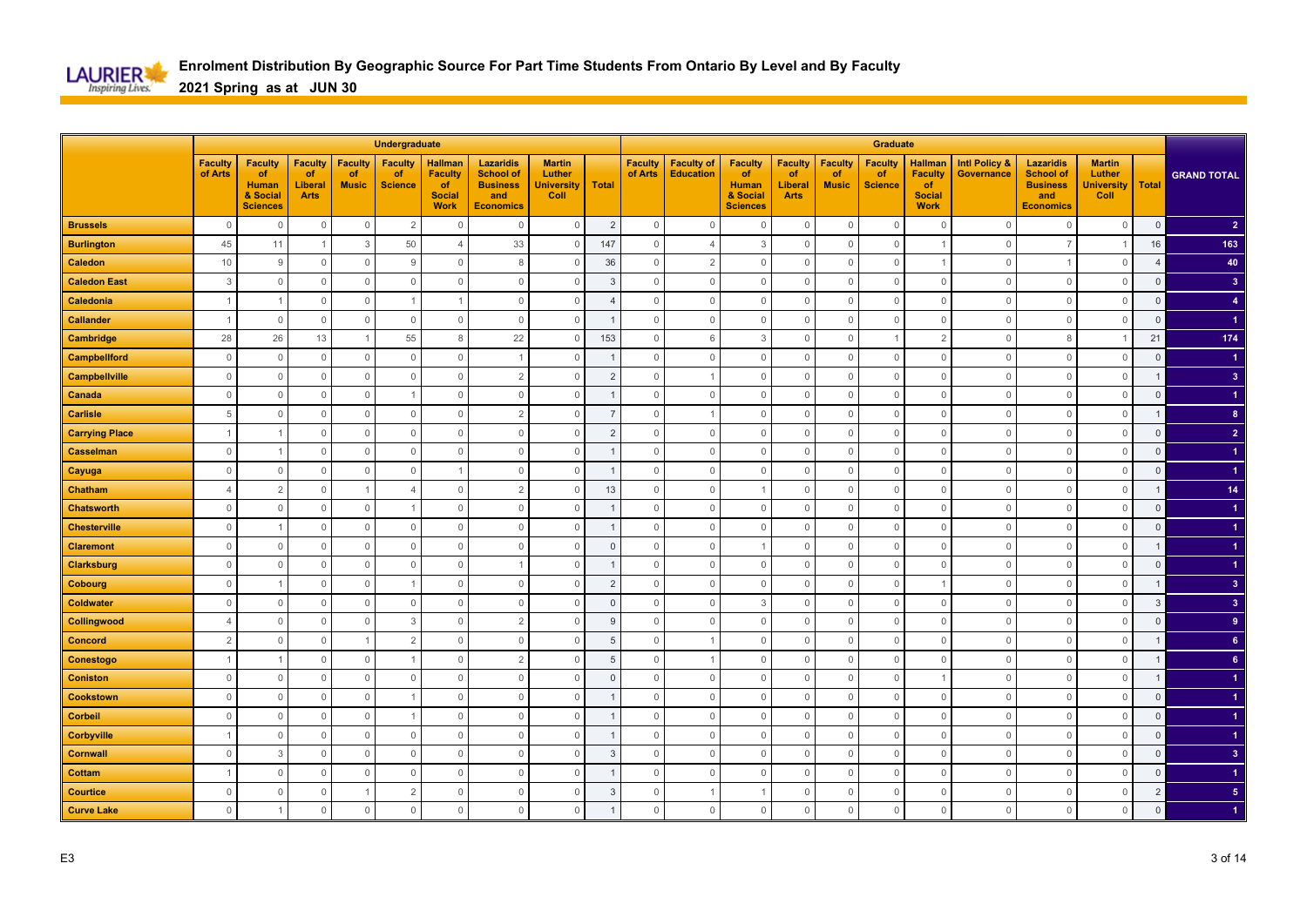

|                       |                           |                                                                     |                                                |                                      | Undergraduate                          |                                                                        |                                                                                    |                                                      |                |                           |                                       |                                                                            |                                                       |                                      | Graduate                                      |                                                                        |                                               |                                                                                    |                                                      |                |                         |
|-----------------------|---------------------------|---------------------------------------------------------------------|------------------------------------------------|--------------------------------------|----------------------------------------|------------------------------------------------------------------------|------------------------------------------------------------------------------------|------------------------------------------------------|----------------|---------------------------|---------------------------------------|----------------------------------------------------------------------------|-------------------------------------------------------|--------------------------------------|-----------------------------------------------|------------------------------------------------------------------------|-----------------------------------------------|------------------------------------------------------------------------------------|------------------------------------------------------|----------------|-------------------------|
|                       | <b>Faculty</b><br>of Arts | <b>Faculty</b><br>of<br><b>Human</b><br>& Social<br><b>Sciences</b> | <b>Faculty</b><br>of<br>Liberal<br><b>Arts</b> | <b>Faculty</b><br>of<br><b>Music</b> | <b>Faculty</b><br>of<br><b>Science</b> | <b>Hallman</b><br><b>Faculty</b><br>of<br><b>Social</b><br><b>Work</b> | <b>Lazaridis</b><br><b>School of</b><br><b>Business</b><br>and<br><b>Economics</b> | <b>Martin</b><br>Luther<br><b>University</b><br>Coll | <b>Total</b>   | <b>Faculty</b><br>of Arts | <b>Faculty of</b><br><b>Education</b> | <b>Faculty</b><br><b>of</b><br><b>Human</b><br>& Social<br><b>Sciences</b> | <b>Faculty</b><br>of<br><b>Liberal</b><br><b>Arts</b> | <b>Faculty</b><br>of<br><b>Music</b> | <b>Faculty</b><br><b>of</b><br><b>Science</b> | <b>Hallman</b><br><b>Faculty</b><br>of<br><b>Social</b><br><b>Work</b> | <b>Intl Policy &amp;</b><br><b>Governance</b> | <b>Lazaridis</b><br><b>School of</b><br><b>Business</b><br>and<br><b>Economics</b> | <b>Martin</b><br>Luther<br><b>University</b><br>Coll | <b>Total</b>   | <b>GRAND TOTAL</b>      |
| <b>Brussels</b>       | $\mathbf{0}$              | $\overline{0}$                                                      | $\mathbb O$                                    | $\mathbb O$                          | $\overline{2}$                         | $\Omega$                                                               | $\Omega$                                                                           | $\mathbb O$                                          | $\overline{2}$ | $\mathsf{O}\xspace$       | $\mathbf 0$                           | $\mathbf 0$                                                                | $\mathbf 0$                                           | $\mathbf 0$                          | $\overline{0}$                                | $\overline{0}$                                                         | $\Omega$                                      | $\mathbf 0$                                                                        | $\mathbf 0$                                          | $\mathbf 0$    | $\overline{2}$          |
| <b>Burlington</b>     | 45                        | 11                                                                  | $\overline{1}$                                 | 3                                    | 50                                     | $\overline{4}$                                                         | 33                                                                                 | $\mathbf{0}$                                         | 147            | $\mathbf 0$               | $\overline{4}$                        | 3                                                                          | $\mathbf 0$                                           | $\Omega$                             | $\overline{0}$                                |                                                                        | $\Omega$                                      | $\overline{7}$                                                                     | -1                                                   | 16             | 163                     |
| <b>Caledon</b>        | $10$                      | 9                                                                   | $\mathbf 0$                                    | $\mathbf 0$                          | 9                                      | $\Omega$                                                               | 8                                                                                  | $\mathbf 0$                                          | 36             | $\mathbf 0$               | $\overline{2}$                        | $\mathbf 0$                                                                | $\mathbf 0$                                           | $\Omega$                             | $\overline{0}$                                |                                                                        | $\Omega$                                      |                                                                                    | $\mathbf 0$                                          | $\overline{4}$ | 40                      |
| <b>Caledon East</b>   | 3                         | $\Omega$                                                            | $\mathbf 0$                                    | $\overline{0}$                       | $\mathbf 0$                            | $\mathbf 0$                                                            | $\Omega$                                                                           | $\mathbf 0$                                          | 3              | $\mathbf 0$               | $\mathbf 0$                           | $\mathbf 0$                                                                | $\mathbf 0$                                           | $\Omega$                             | $\mathbf 0$                                   | $\mathbf 0$                                                            | $\Omega$                                      | $\overline{0}$                                                                     | $\mathbf 0$                                          | $\mathsf 0$    | 3 <sup>2</sup>          |
| Caledonia             |                           |                                                                     | $\mathbb O$                                    | $\overline{0}$                       | $\mathbf{1}$                           |                                                                        | $\mathbf 0$                                                                        | $\mathbb O$                                          | $\overline{4}$ | $\mathbf{0}$              | $\mathbb O$                           | $\mathbf 0$                                                                | $\mathbf 0$                                           | $\Omega$                             | $\mathbf 0$                                   | $\mathbf 0$                                                            | $\circ$                                       | $\mathbf 0$                                                                        | $\mathbb O$                                          | $\mathsf 0$    | $\overline{4}$          |
| <b>Callander</b>      | $\overline{1}$            | $\circ$                                                             | $\mathbf 0$                                    | $\overline{0}$                       | $\mathbb O$                            | $\mathbf 0$                                                            | $\mathbf 0$                                                                        | $\mathbb O$                                          |                | $\mathbf 0$               | $\mathbb O$                           | $\mathbf 0$                                                                | $\mathbf 0$                                           | $\Omega$                             | $\mathbf 0$                                   | $\mathbf 0$                                                            | $\circ$                                       | $\mathbb O$                                                                        | $\mathbb O$                                          | $\mathsf 0$    |                         |
| Cambridge             | 28                        | 26                                                                  | 13                                             | -1                                   | 55                                     | 8                                                                      | 22                                                                                 | $\mathbf 0$                                          | 153            | $\Omega$                  | 6                                     | 3                                                                          | $\mathbf 0$                                           | $\Omega$                             |                                               | $\overline{2}$                                                         | $\Omega$                                      | 8                                                                                  |                                                      | 21             | 174                     |
| <b>Campbellford</b>   | $\mathbf{0}$              | $\Omega$                                                            | $\mathbf 0$                                    | $\mathbb O$                          | $\mathbb O$                            | $\mathbf 0$                                                            |                                                                                    | $\mathbf 0$                                          |                | $\mathbf{0}$              | $\mathbb O$                           | $\mathbf 0$                                                                | $\mathbf 0$                                           | $\Omega$                             | $\mathbf 0$                                   | $\mathbf 0$                                                            | $\Omega$                                      | $\mathbf 0$                                                                        | $\mathbf 0$                                          | $\overline{0}$ |                         |
| <b>Campbellville</b>  | $\mathbb O$               | $\mathbf 0$                                                         | $\mathbb O$                                    | $\mathbb O$                          | $\mathbb O$                            | $\mathbf{0}$                                                           | $\overline{2}$                                                                     | $\mathsf{O}\xspace$                                  | $\overline{2}$ | $\mathbf{0}$              | $\overline{1}$                        | $\mathbf 0$                                                                | $\mathsf{O}\xspace$                                   | $\Omega$                             | $\mathbf 0$                                   | $\mathbf 0$                                                            | $\Omega$                                      | $\mathbf 0$                                                                        | $\mathbb O$                                          |                | $\overline{\mathbf{3}}$ |
| Canada                | $\mathsf{O}\xspace$       | $\mathbf 0$                                                         | $\mathsf{O}\xspace$                            | $\mathbb O$                          | $\mathbf{1}$                           | $\mathbb O$                                                            | $\mathbf 0$                                                                        | $\mathbb O$                                          |                | $\mathbf 0$               | $\mathbb O$                           | $\mathbf 0$                                                                | $\mathsf{O}\xspace$                                   | $\mathbf 0$                          | $\mathbb O$                                   | $\mathbf 0$                                                            | $\overline{0}$                                | $\mathbb O$                                                                        | $\mathbb O$                                          | $\overline{0}$ | $\blacktriangleleft$    |
| <b>Carlisle</b>       | 5                         | $\Omega$                                                            | $\mathsf{O}\xspace$                            | $\mathbb O$                          | $\mathbf{0}$                           | $\mathbf{0}$                                                           | $\overline{2}$                                                                     | $\mathbb O$                                          | $\overline{7}$ | $\Omega$                  | $\overline{1}$                        | $\mathbf 0$                                                                | $\mathbf{0}$                                          | $\Omega$                             | $\mathbb O$                                   | $\mathbf{0}$                                                           | $\Omega$                                      | $\mathbf 0$                                                                        | $\mathbf{0}$                                         | $\mathbf 1$    | $\bf{8}$                |
| <b>Carrying Place</b> | -1                        |                                                                     | $\mathbf 0$                                    | $\overline{0}$                       | $\mathbb O$                            | $\mathbf 0$                                                            | $\mathbf 0$                                                                        | $\mathbf 0$                                          | $\overline{c}$ | $\mathbf{0}$              | $\mathbf 0$                           | $\Omega$                                                                   | $\mathbf 0$                                           | $\Omega$                             | $\mathbf 0$                                   | $\mathbf 0$                                                            | $\Omega$                                      | $\mathbf 0$                                                                        | $\mathbf 0$                                          | $\mathsf 0$    | $\overline{2}$          |
| <b>Casselman</b>      | $\mathbf{0}$              |                                                                     | $\mathbb O$                                    | $\mathbb O$                          | $\mathbb O$                            | $\mathbf{0}$                                                           | $\mathbf 0$                                                                        | $\mathbb O$                                          |                | $\mathbf{0}$              | $\mathbf{0}$                          | $\mathbf 0$                                                                | $\mathbb O$                                           | $\Omega$                             | $\mathbb O$                                   | $\mathbf 0$                                                            | $\Omega$                                      | $\mathbf{0}$                                                                       | $\mathbb O$                                          | $\mathbf{0}$   | $\blacktriangleleft$    |
| Cayuga                | $\mathbf{0}$              | $\circ$                                                             | $\mathbf 0$                                    | $\overline{0}$                       | $\mathbb O$                            |                                                                        | $\mathbf{0}$                                                                       | $\mathbf 0$                                          |                | $\mathbf{0}$              | $\mathbb O$                           | $\mathbf 0$                                                                | $\mathbf 0$                                           | $\Omega$                             | $\mathbf 0$                                   | $\mathbf 0$                                                            | $\circ$                                       | $\mathbb O$                                                                        | $\mathbf 0$                                          | $\mathbf 0$    | $\blacktriangleleft$    |
| Chatham               | $\overline{4}$            | $\overline{2}$                                                      | $\mathbb O$                                    | $\overline{1}$                       | $\Delta$                               | $\Omega$                                                               | $\overline{2}$                                                                     | $\mathbb O$                                          | 13             | $\Omega$                  | $\mathbf 0$                           |                                                                            | $\mathbf{0}$                                          | $\Omega$                             | $\mathbf 0$                                   | $\overline{0}$                                                         | $\Omega$                                      | $\mathbf 0$                                                                        | $\mathbf{0}$                                         |                | 14                      |
| <b>Chatsworth</b>     | $\mathbf 0$               | $\Omega$                                                            | $\mathbf{0}$                                   | $\overline{0}$                       |                                        | $\Omega$                                                               | $\mathbf{0}$                                                                       | 0                                                    |                | $\mathbf{0}$              | $\mathbf 0$                           | $\Omega$                                                                   | 0                                                     | C                                    | $\mathbf 0$                                   | $\mathbf 0$                                                            | $\Omega$                                      | $\mathbf 0$                                                                        | $\mathbf 0$                                          | $\mathbf{0}$   |                         |
| <b>Chesterville</b>   | $\mathbf{0}$              |                                                                     | $\mathbb O$                                    | $\mathbb O$                          | $\mathbb O$                            | $\mathbf 0$                                                            | $\Omega$                                                                           | $\mathbb O$                                          |                | $\mathbf{0}$              | $\mathbf{0}$                          | $\mathbf 0$                                                                | $\mathbb O$                                           | $\Omega$                             | $\mathbf 0$                                   | $\mathbf 0$                                                            | $\Omega$                                      | $\mathbf 0$                                                                        | $\mathbb O$                                          | $\mathsf 0$    |                         |
| <b>Claremont</b>      | $\mathbf{0}$              | $\overline{0}$                                                      | $\mathbf 0$                                    | $\circ$                              | $\mathbf 0$                            | $\mathbf 0$                                                            | $\mathbf 0$                                                                        | $\mathbf 0$                                          | $\overline{0}$ | $\mathbf{0}$              | $\mathbf 0$                           | -1                                                                         | $\mathbf 0$                                           | $\Omega$                             | $\mathbf 0$                                   | $\mathbf 0$                                                            | $\overline{0}$                                | $\mathbf 0$                                                                        | $\mathbb O$                                          | $\mathbf{1}$   |                         |
| <b>Clarksburg</b>     | $\mathbf{0}$              | $\Omega$                                                            | $\mathbb O$                                    | $\overline{0}$                       | $\mathbf{0}$                           | $\Omega$                                                               |                                                                                    | $\mathbb O$                                          |                | $\Omega$                  | $\mathbf 0$                           | $\mathbf 0$                                                                | $\mathbf 0$                                           | $\Omega$                             | $\overline{0}$                                | $\mathbf{0}$                                                           | $\Omega$                                      | $\mathbf 0$                                                                        | $\mathbb O$                                          | $\mathsf 0$    |                         |
| <b>Cobourg</b>        | $\mathbf{0}$              |                                                                     | $\mathbf 0$                                    | $\overline{0}$                       |                                        | $\Omega$                                                               | $\Omega$                                                                           | $\mathbf 0$                                          | $\overline{2}$ | $\Omega$                  | $\mathbf 0$                           | $\mathbf 0$                                                                | 0                                                     | $\Omega$                             | $\mathbf 0$                                   |                                                                        | $\Omega$                                      | $\mathbf{0}$                                                                       | $\mathbf 0$                                          | $\mathbf{1}$   | 3 <sup>2</sup>          |
| <b>Coldwater</b>      | $\mathbf{0}$              | $\Omega$                                                            | $\mathbb O$                                    | $\overline{0}$                       | $\mathbb O$                            | $\mathbf 0$                                                            | $\Omega$                                                                           | $\mathbb O$                                          | $\Omega$       | $\mathbf{0}$              | $\mathbf 0$                           | 3                                                                          | $\mathbf 0$                                           | $\Omega$                             | $\mathbf 0$                                   | $\mathbf 0$                                                            | $\Omega$                                      | $\mathbf{0}$                                                                       | $\mathbb O$                                          | $\mathbf{3}$   | $\overline{3}$          |
| Collingwood           | $\overline{4}$            | $\circ$                                                             | $\mathbf 0$                                    | $\overline{0}$                       | 3                                      | $\mathbf 0$                                                            | $\overline{2}$                                                                     | $\mathbf 0$                                          | g              | $\mathbf{0}$              | $\mathbb O$                           | $\mathbf 0$                                                                | $\mathbf 0$                                           | $\Omega$                             | $\overline{0}$                                | $\mathbf 0$                                                            | $\circ$                                       | $\mathbb O$                                                                        | $\mathbb O$                                          | $\mathsf 0$    | 9                       |
| <b>Concord</b>        | $\overline{2}$            | $\Omega$                                                            | $\mathbb O$                                    | -1                                   | $\overline{2}$                         | $\mathbf{0}$                                                           | $\mathbf 0$                                                                        | $\mathbb O$                                          | 5              | $\mathsf{O}\xspace$       | $\overline{1}$                        | $\mathbb O$                                                                | $\mathbb O$                                           | $\Omega$                             | $\mathbb O$                                   | $\mathbb O$                                                            | $\Omega$                                      | $\mathbb O$                                                                        | $\mathbb O$                                          |                | 6 <sup>1</sup>          |
| <b>Conestogo</b>      |                           |                                                                     | $\mathbf 0$                                    | $\mathbf 0$                          |                                        | $\Omega$                                                               | $\overline{2}$                                                                     | $\mathbf 0$                                          | $\overline{5}$ | $\Omega$                  |                                       | $\Omega$                                                                   | 0                                                     | C                                    | $\mathbf 0$                                   | $\mathbf{0}$                                                           | $\Omega$                                      | $\circ$                                                                            | $\mathbf 0$                                          |                | 6 <sup>1</sup>          |
| <b>Coniston</b>       | $\mathbf{0}$              | $\Omega$                                                            | $\mathsf{O}\xspace$                            | $\mathbf 0$                          | $\Omega$                               | $\Omega$                                                               | $\Omega$                                                                           | $\mathsf{O}\xspace$                                  | $\Omega$       | $\Omega$                  | $\mathbf{0}$                          | $\mathbf 0$                                                                | $\mathbb O$                                           | $\Omega$                             | $\mathbf 0$                                   |                                                                        | $\cap$                                        | $\mathbf{0}$                                                                       | $\mathbf 0$                                          |                |                         |
| <b>Cookstown</b>      | $\mathbf{0}$              | 0                                                                   | $\mathsf{O}\xspace$                            | $\mathbf 0$                          |                                        | $\mathbf 0$                                                            | $\mathbf 0$                                                                        | $\mathbf 0$                                          |                | $\mathbf{0}$              | $\mathbb O$                           | $\mathbf 0$                                                                | $\mathbf 0$                                           | $\Omega$                             | $\mathbf 0$                                   | $\mathbf 0$                                                            | $\circ$                                       | $\mathbf{0}$                                                                       | $\mathbf 0$                                          | $\mathbf{0}$   |                         |
| <b>Corbeil</b>        | $\mathbb O$               | $\Omega$                                                            | $\mathbb O$                                    | $\mathbb O$                          | $\overline{1}$                         | $\overline{0}$                                                         | $\mathbf{0}$                                                                       | $\mathbb O$                                          |                | $\mathbf{0}$              | $\mathbf 0$                           | $\mathbf 0$                                                                | $\mathsf{O}\xspace$                                   | $\mathbf 0$                          | $\mathbb O$                                   | $\mathbb O$                                                            | $\Omega$                                      | $\mathbf 0$                                                                        | $\mathbf 0$                                          | $\overline{0}$ | $\blacktriangleleft$    |
| <b>Corbyville</b>     | $\overline{1}$            | $\Omega$                                                            | $\mathbf 0$                                    | $\mathbf 0$                          | $\mathbb O$                            | $\mathbf 0$                                                            | $\mathbf 0$                                                                        | $\mathbf 0$                                          |                | $\Omega$                  | $\mathbf 0$                           | $\mathbf 0$                                                                | $\mathbf 0$                                           | $\Omega$                             | $\mathbf 0$                                   | $\overline{0}$                                                         | $\Omega$                                      | $\mathbf{0}$                                                                       | $\mathbf{0}$                                         | $\mathbf{0}$   | $\blacktriangleleft$    |
| <b>Cornwall</b>       | $\mathbf{0}$              | 3                                                                   | $\mathbb O$                                    | $\mathbf{0}$                         | $\mathbf{0}$                           | $\mathbf{0}$                                                           | $\Omega$                                                                           | $\mathbb O$                                          | 3              | $\Omega$                  | $\mathbf{0}$                          | $\mathbf 0$                                                                | $\mathbf{0}$                                          | $\Omega$                             | $\mathbb O$                                   | $\overline{0}$                                                         | $\Omega$                                      | $\mathbf{0}$                                                                       | $\mathbf 0$                                          | $\mathbf{0}$   | 3 <sup>°</sup>          |
| <b>Cottam</b>         |                           | $\circ$                                                             | $\mathbf 0$                                    | $\overline{0}$                       | $\mathbb O$                            | $\mathbb O$                                                            | $\mathbf{0}$                                                                       | $\mathbf 0$                                          |                | $\mathbf{0}$              | $\mathbb O$                           | $\mathbf 0$                                                                | $\mathbf 0$                                           | $\Omega$                             | $\mathbf 0$                                   | $\mathbf 0$                                                            | $\circ$                                       | $\mathbf 0$                                                                        | $\mathbb O$                                          | $\mathbf 0$    |                         |
| <b>Courtice</b>       | $\mathbf{0}$              | $\Omega$                                                            | $\mathbb O$                                    |                                      | $\overline{2}$                         | $\Omega$                                                               | $\Omega$                                                                           | $\mathbb O$                                          | 3              | $\mathbf{0}$              | $\overline{1}$                        |                                                                            | $\mathbb O$                                           | $\Omega$                             | $\mathbf 0$                                   | $\mathbb O$                                                            | $\Omega$                                      | $\mathbb O$                                                                        | $\mathbf 0$                                          | $\overline{2}$ | 5 <sub>5</sub>          |
| <b>Curve Lake</b>     | $\mathbf{0}$              |                                                                     | $\mathbf{0}$                                   | $\Omega$                             | $\Omega$                               | $\Omega$                                                               | $\mathbf{0}$                                                                       | $\mathbf 0$                                          |                | $\mathbf{0}$              | $\mathbb O$                           | $\Omega$                                                                   | $\mathbf 0$                                           | $\Omega$                             | $\mathbf 0$                                   | $\mathbf{0}$                                                           | $\Omega$                                      | $\mathbf 0$                                                                        | $\mathbf 0$                                          | $\Omega$       |                         |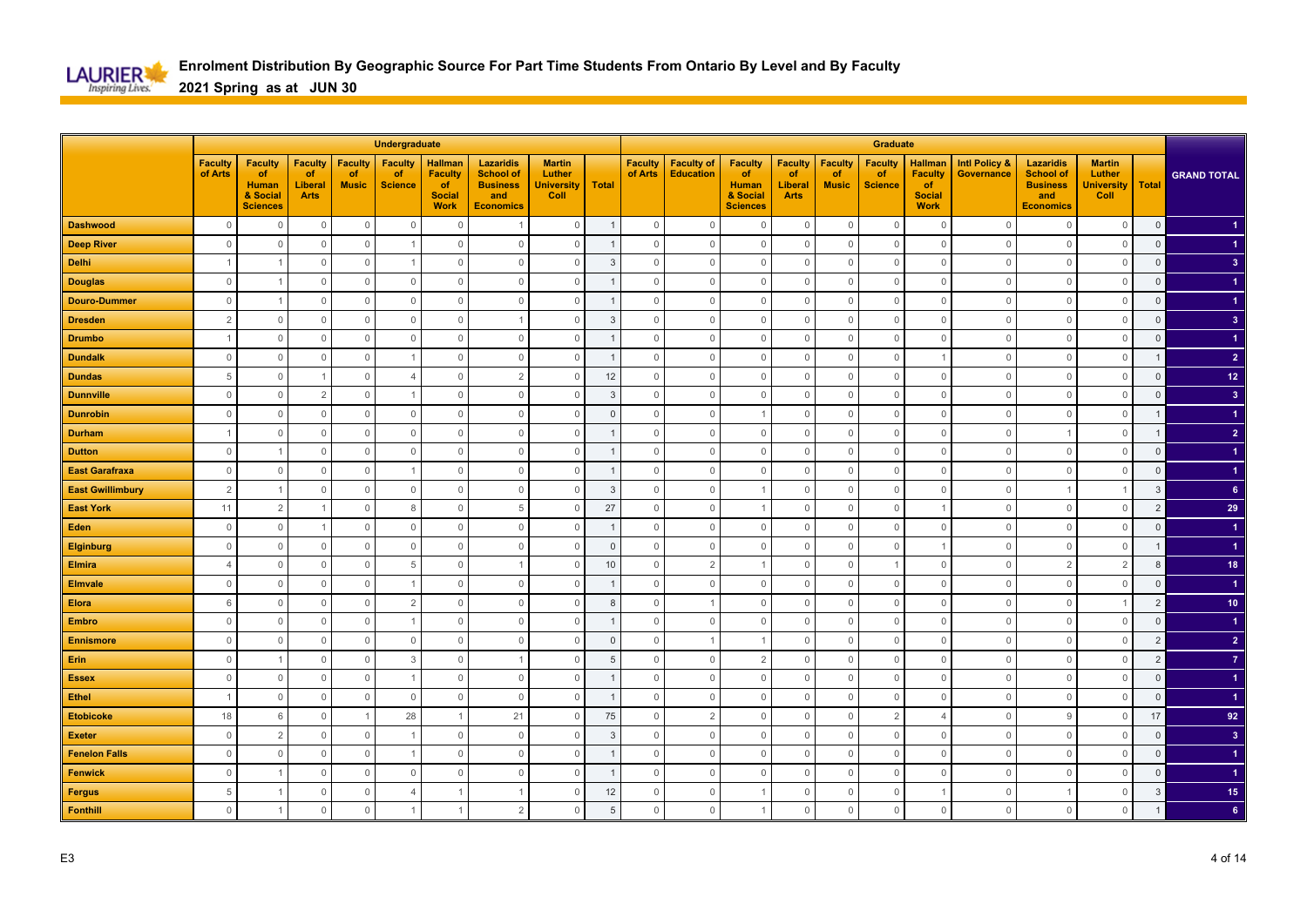

|                         |                           |                                                                     |                                                |                                      | Undergraduate                          |                                                                        |                                                                                    |                                                      |                |                           |                                       |                                                                     |                                                |                                      | Graduate                               |                                                                        |                                        |                                                                                    |                                                      |                |                         |
|-------------------------|---------------------------|---------------------------------------------------------------------|------------------------------------------------|--------------------------------------|----------------------------------------|------------------------------------------------------------------------|------------------------------------------------------------------------------------|------------------------------------------------------|----------------|---------------------------|---------------------------------------|---------------------------------------------------------------------|------------------------------------------------|--------------------------------------|----------------------------------------|------------------------------------------------------------------------|----------------------------------------|------------------------------------------------------------------------------------|------------------------------------------------------|----------------|-------------------------|
|                         | <b>Faculty</b><br>of Arts | <b>Faculty</b><br>of<br><b>Human</b><br>& Social<br><b>Sciences</b> | <b>Faculty</b><br>of<br>Liberal<br><b>Arts</b> | <b>Faculty</b><br>of<br><b>Music</b> | <b>Faculty</b><br>of<br><b>Science</b> | <b>Hallman</b><br><b>Faculty</b><br>of<br><b>Social</b><br><b>Work</b> | <b>Lazaridis</b><br><b>School of</b><br><b>Business</b><br>and<br><b>Economics</b> | <b>Martin</b><br>Luther<br><b>University</b><br>Coll | <b>Total</b>   | <b>Faculty</b><br>of Arts | <b>Faculty of</b><br><b>Education</b> | <b>Faculty</b><br>of<br><b>Human</b><br>& Social<br><b>Sciences</b> | <b>Faculty</b><br>of<br>Liberal<br><b>Arts</b> | <b>Faculty</b><br>of<br><b>Music</b> | <b>Faculty</b><br>of<br><b>Science</b> | <b>Hallman</b><br><b>Faculty</b><br>of<br><b>Social</b><br><b>Work</b> | <b>Intl Policy &amp;</b><br>Governance | <b>Lazaridis</b><br><b>School of</b><br><b>Business</b><br>and<br><b>Economics</b> | <b>Martin</b><br>Luther<br><b>University</b><br>Coll | Total          | <b>GRAND TOTAL</b>      |
| <b>Dashwood</b>         | $\mathbf 0$               | $\overline{0}$                                                      | $\mathbb O$                                    | $\mathbf 0$                          | $\mathbf 0$                            | $\overline{0}$                                                         |                                                                                    | $\mathbb O$                                          | -1             | $\mathbf 0$               | $\mathbf 0$                           | $\mathbf 0$                                                         | $\mathbf 0$                                    | $\mathbf 0$                          | $\overline{0}$                         | $\mathbf 0$                                                            | $\Omega$                               | $\mathbf{0}$                                                                       | $\mathbf 0$                                          | $\mathbf 0$    |                         |
| <b>Deep River</b>       | $\mathbf 0$               | $\Omega$                                                            | $\circ$                                        | $\overline{0}$                       |                                        | $\Omega$                                                               | $\Omega$                                                                           | $\circ$                                              |                | $\mathbf 0$               | $\mathbf{0}$                          | $\mathbf 0$                                                         | $\mathbf 0$                                    | $\Omega$                             | $\overline{0}$                         | $\overline{0}$                                                         | $\Omega$                               | $\mathbf{0}$                                                                       | $\mathbf{0}$                                         | $\mathbf 0$    |                         |
| <b>Delhi</b>            |                           |                                                                     | $\mathbf 0$                                    | $\mathbf 0$                          |                                        | $\Omega$                                                               | $\Omega$                                                                           | $\mathbf 0$                                          | 3              | $\Omega$                  | $\mathbf 0$                           | $\mathbf 0$                                                         | $\mathbf 0$                                    | $\Omega$                             | $\mathbf 0$                            | $\mathbf{0}$                                                           | $\Omega$                               | $\mathbf{0}$                                                                       | $\mathbf 0$                                          | $\mathsf 0$    | 3 <sup>2</sup>          |
| <b>Douglas</b>          | $\mathbf{0}$              |                                                                     | $\mathbf 0$                                    | $\overline{0}$                       | $\mathbf 0$                            | $\overline{0}$                                                         | $\Omega$                                                                           | $\mathbf 0$                                          |                | $\Omega$                  | $\mathbf 0$                           | $\mathbf 0$                                                         | 0                                              | $\Omega$                             | $\overline{0}$                         | $\overline{0}$                                                         | $\Omega$                               | $\overline{0}$                                                                     | $\mathbf 0$                                          | $\mathbf 0$    |                         |
| <b>Douro-Dummer</b>     | $\mathbf{0}$              |                                                                     | $\mathbf 0$                                    | $\overline{0}$                       | $\mathbb O$                            | $\overline{0}$                                                         | $\mathbf 0$                                                                        | $\mathbb O$                                          |                | $\mathbf{0}$              | $\mathbb O$                           | $\mathbf 0$                                                         | $\mathbf 0$                                    | $\Omega$                             | $\overline{0}$                         | $\overline{0}$                                                         | $\circ$                                | $\overline{0}$                                                                     | $\mathbb O$                                          | $\mathsf 0$    |                         |
| <b>Dresden</b>          | $\overline{2}$            | 0                                                                   | $\mathbf 0$                                    | $\overline{0}$                       | $\mathbb O$                            | $\overline{0}$                                                         |                                                                                    | $\mathbf 0$                                          | 3              | $\mathbf 0$               | $\mathsf{O}\xspace$                   | $\mathbf 0$                                                         | $\mathbf 0$                                    | $\Omega$                             | $\overline{0}$                         | $\mathbf 0$                                                            | $\circ$                                | $\mathbf 0$                                                                        | $\mathbb O$                                          | $\mathsf 0$    | 3 <sup>2</sup>          |
| <b>Drumbo</b>           | $\overline{1}$            | $\Omega$                                                            | $\mathbf 0$                                    | $\mathbf 0$                          | $\mathbb O$                            | $\Omega$                                                               | $\mathbf{0}$                                                                       | $\mathbf 0$                                          |                | $\Omega$                  | $\mathbf 0$                           | $\mathbf 0$                                                         | $\mathbf 0$                                    | $\Omega$                             | $\mathbf 0$                            | $\mathbf{0}$                                                           | $\Omega$                               | $\overline{0}$                                                                     | $\mathbf 0$                                          | $\overline{0}$ |                         |
| <b>Dundalk</b>          | $\mathbf{0}$              | $\Omega$                                                            | $\mathbf 0$                                    | $\mathbf 0$                          |                                        | $\mathbf 0$                                                            | $\mathbf 0$                                                                        | $\mathbf 0$                                          |                | $\mathbf{0}$              | $\mathbb O$                           | 0                                                                   | $\mathbf 0$                                    | $\Omega$                             | $\mathbf 0$                            |                                                                        | $\Omega$                               | $\mathbf 0$                                                                        | $\mathbf 0$                                          |                | $\overline{2}$          |
| <b>Dundas</b>           | 5                         | $\overline{0}$                                                      | $\mathbf{1}$                                   | $\mathbb O$                          | $\overline{4}$                         | $\mathbf{0}$                                                           | $\overline{2}$                                                                     | $\mathbb O$                                          | 12             | $\mathsf{O}\xspace$       | $\mathsf{O}\xspace$                   | $\mathbf 0$                                                         | $\mathsf{O}\xspace$                            | $\mathbf 0$                          | $\mathbf 0$                            | $\mathbf 0$                                                            | $\Omega$                               | $\mathbf{0}$                                                                       | $\mathbb O$                                          | $\mathsf 0$    | 12 <sub>2</sub>         |
| <b>Dunnville</b>        | $\mathsf{O}\xspace$       | $\overline{0}$                                                      | $\overline{2}$                                 | $\mathbb O$                          | $\overline{1}$                         | $\mathbb O$                                                            | $\mathbf 0$                                                                        | $\mathbf 0$                                          | 3              | $\mathbf 0$               | $\mathsf{O}\xspace$                   | $\mathbf 0$                                                         | $\mathsf{O}\xspace$                            | $\mathbb O$                          | $\mathbb O$                            | $\mathbf 0$                                                            | $\overline{0}$                         | $\mathbf 0$                                                                        | $\mathbb O$                                          | $\mathbf 0$    | $\mathbf{3}$            |
| <b>Dunrobin</b>         | $\mathbb O$               | $\Omega$                                                            | $\mathbb O$                                    | $\mathbb O$                          | $\mathbf{0}$                           | $\mathbf 0$                                                            | $\mathbf{0}$                                                                       | $\mathbf 0$                                          | $\Omega$       | $\Omega$                  | $\mathbf 0$                           | $\overline{1}$                                                      | $\mathbf 0$                                    | $\Omega$                             | $\mathbb O$                            | $\mathbf{0}$                                                           | $\Omega$                               | $\mathbf{0}$                                                                       | $\mathbf 0$                                          | $\mathbf 1$    | $\blacktriangleleft$    |
| <b>Durham</b>           | -1                        | $\Omega$                                                            | $\mathbf 0$                                    | $\overline{0}$                       | $\mathbb O$                            | $\mathbf 0$                                                            | $\mathbf 0$                                                                        | $\mathbf 0$                                          |                | $\mathbf{0}$              | $\mathbf 0$                           | $\mathbf 0$                                                         | $\mathbf 0$                                    | $\Omega$                             | $\mathbf 0$                            | $\mathbf 0$                                                            | $\Omega$                               |                                                                                    | $\mathbf 0$                                          |                | $\overline{2}$          |
| <b>Dutton</b>           | $\mathbb O$               |                                                                     | $\mathbb O$                                    | $\mathbb O$                          | $\mathbb O$                            | $\overline{0}$                                                         | $\mathbf 0$                                                                        | $\mathbb O$                                          |                | $\mathbf{0}$              | $\mathbf{0}$                          | $\mathbf 0$                                                         | $\mathbb O$                                    | $\Omega$                             | $\overline{0}$                         | $\mathbf 0$                                                            | $\Omega$                               | $\mathbf{0}$                                                                       | $\mathbb O$                                          | $\mathsf 0$    | $\blacktriangleleft$    |
| <b>East Garafraxa</b>   | $\mathbf 0$               | $\circ$                                                             | $\mathbf 0$                                    | $\overline{0}$                       | $\overline{1}$                         | $\mathbb O$                                                            | $\mathbf 0$                                                                        | $\mathbf 0$                                          | -1             | $\mathbf{0}$              | $\mathbb O$                           | $\mathbf 0$                                                         | $\mathbf 0$                                    | $\Omega$                             | $\overline{0}$                         | $\mathbf 0$                                                            | $\overline{0}$                         | $\mathbf 0$                                                                        | $\mathbf 0$                                          | $\mathbf 0$    |                         |
| <b>East Gwillimbury</b> | $\overline{2}$            |                                                                     | $\mathbf 0$                                    | $\mathbf 0$                          | $\mathbf{0}$                           | $\Omega$                                                               | $\Omega$                                                                           | $\mathbf 0$                                          | $\overline{3}$ | $\Omega$                  | $\mathbf{0}$                          |                                                                     | $\mathbf{0}$                                   | $\Omega$                             | $\mathbf 0$                            | $\overline{0}$                                                         | $\Omega$                               |                                                                                    |                                                      | 3              | 6 <sup>1</sup>          |
| <b>East York</b>        | 11                        | $\overline{2}$                                                      | $\overline{1}$                                 | $\mathbf 0$                          | 8                                      | $\Omega$                                                               | 5                                                                                  | 0                                                    | 27             | $\mathbf{0}$              | $\circ$                               |                                                                     | 0                                              | $\Omega$                             | $\mathbf 0$                            |                                                                        | $\Omega$                               | $\circ$                                                                            | $\mathbf 0$                                          | $\overline{2}$ | 29                      |
| Eden                    | $\mathbf{0}$              | $\overline{0}$                                                      | $\overline{1}$                                 | $\mathbb O$                          | $\mathbb O$                            | $\mathbf 0$                                                            | $\Omega$                                                                           | $\mathbb O$                                          |                | $\mathbf{0}$              | $\mathbf{0}$                          | $\mathbf 0$                                                         | $\mathbb O$                                    | $\Omega$                             | $\mathbf 0$                            | $\mathbf 0$                                                            | $\Omega$                               | $\mathbf{0}$                                                                       | $\mathbb O$                                          | $\mathsf 0$    |                         |
| <b>Elginburg</b>        | $\mathbf{0}$              | $\overline{0}$                                                      | $\mathbf 0$                                    | $\circ$                              | $\mathbf 0$                            | $\mathbf 0$                                                            | $\mathbf 0$                                                                        | $\mathbf 0$                                          | $\overline{0}$ | $\mathbf 0$               | $\mathbf 0$                           | $\mathbf 0$                                                         | $\mathbf 0$                                    | 0                                    | $\mathbf 0$                            |                                                                        | $\overline{0}$                         | $\mathbf 0$                                                                        | $\mathbb O$                                          | $\mathbf{1}$   |                         |
| Elmira                  | $\overline{4}$            | $\Omega$                                                            | $\mathbb O$                                    | $\mathbb O$                          | 5                                      | $\Omega$                                                               |                                                                                    | $\mathbf 0$                                          | 10             | $\mathbf 0$               | 2                                     | $\overline{1}$                                                      | $\mathbf 0$                                    | $\Omega$                             | $\mathbf{1}$                           | $\overline{0}$                                                         | $\Omega$                               | 2                                                                                  | $\overline{2}$                                       | 8              | 18                      |
| <b>Elmvale</b>          | $\mathbf{0}$              | $\Omega$                                                            | $\mathbf 0$                                    | $\overline{0}$                       |                                        | $\Omega$                                                               | $\Omega$                                                                           | $\mathbf 0$                                          |                | $\Omega$                  | $\mathbf 0$                           | $\mathbf{0}$                                                        | 0                                              | $\Omega$                             | $\overline{0}$                         | $\mathbf 0$                                                            | $\Omega$                               | $\overline{0}$                                                                     | $\mathbf 0$                                          | $\mathbf 0$    |                         |
| <b>Elora</b>            | 6                         | $\Omega$                                                            | $\mathbb O$                                    | $\mathbf 0$                          | $\overline{2}$                         | $\overline{0}$                                                         | $\Omega$                                                                           | $\mathbb O$                                          | 8              | $\mathbf{0}$              |                                       | $\mathbf 0$                                                         | $\mathbf 0$                                    | $\Omega$                             | $\mathbf 0$                            | $\mathbf 0$                                                            | $\Omega$                               | $\mathbf{0}$                                                                       | $\overline{1}$                                       | $\overline{2}$ | 10 <sub>1</sub>         |
| <b>Embro</b>            | $\mathbf{0}$              | $\circ$                                                             | $\mathbf 0$                                    | $\overline{0}$                       | $\overline{1}$                         | $\overline{0}$                                                         | $\mathbf 0$                                                                        | $\mathbf 0$                                          |                | $\mathbf{0}$              | $\mathbb O$                           | $\mathbf 0$                                                         | $\mathbf 0$                                    | $\Omega$                             | $\overline{0}$                         | $\overline{0}$                                                         | $\circ$                                | $\mathbf 0$                                                                        | $\mathbb O$                                          | $\mathsf 0$    |                         |
| <b>Ennismore</b>        | $\mathbb O$               | $\Omega$                                                            | $\mathbb O$                                    | $\mathbb O$                          | $\mathbb O$                            | $\overline{0}$                                                         | $\mathbf 0$                                                                        | $\mathbb O$                                          | $\Omega$       | $\mathsf{O}\xspace$       | $\overline{1}$                        | $\overline{1}$                                                      | $\mathbb O$                                    | $\Omega$                             | $\overline{0}$                         | $\overline{0}$                                                         | $\Omega$                               | $\mathbb O$                                                                        | $\mathbb O$                                          | $\overline{2}$ | $\overline{2}$          |
| <b>Erin</b>             | $\mathbf 0$               |                                                                     | $\mathbf 0$                                    | $\mathbf{0}$                         | 3                                      | $\Omega$                                                               |                                                                                    | 0                                                    | $\overline{5}$ | $\Omega$                  | $\mathbf 0$                           | 2                                                                   | 0                                              | -C                                   | $\mathbf 0$                            | $\overline{0}$                                                         | $\Omega$                               | $\circ$                                                                            | $\mathbf 0$                                          | $\overline{2}$ | $\overline{7}$          |
| <b>Essex</b>            | $\mathbf{0}$              | $\Omega$                                                            | $\mathbb O$                                    | $\mathbf 0$                          |                                        | $\mathbf 0$                                                            | $\Omega$                                                                           | $\mathbb O$                                          |                | $\Omega$                  | $\mathbf{0}$                          | $\mathbf 0$                                                         | $\mathbf 0$                                    | $\Omega$                             | $\mathbf 0$                            | $\overline{0}$                                                         | $\Omega$                               | $\mathbf{0}$                                                                       | $\mathbf 0$                                          | $\mathsf 0$    |                         |
| <b>Ethel</b>            | -1                        | $\mathbf 0$                                                         | $\mathbf 0$                                    | $\mathbf 0$                          | $\mathbb O$                            | $\mathbf 0$                                                            | $\mathbf 0$                                                                        | $\mathbf 0$                                          |                | $\mathbf{0}$              | $\mathsf{O}\xspace$                   | $\mathbf 0$                                                         | $\mathbf 0$                                    | $\Omega$                             | $\mathbf 0$                            | $\mathbf 0$                                                            | 0                                      | $\mathbf 0$                                                                        | $\mathbf 0$                                          | $\mathbf 0$    |                         |
| <b>Etobicoke</b>        | 18                        | 6                                                                   | $\mathbb O$                                    | $\overline{1}$                       | 28                                     | $\overline{1}$                                                         | 21                                                                                 | $\mathbb O$                                          | 75             | $\mathbf{0}$              | $\overline{2}$                        | $\mathbf 0$                                                         | $\mathsf{O}\xspace$                            | $\mathbf 0$                          | $\overline{2}$                         | $\overline{4}$                                                         | $\Omega$                               | 9                                                                                  | $\mathbf{0}$                                         | 17             | 92                      |
| <b>Exeter</b>           | $\mathbf{0}$              | $\overline{2}$                                                      | $\mathbf 0$                                    | $\mathbf 0$                          | $\overline{1}$                         | $\overline{0}$                                                         | $\mathbf 0$                                                                        | $\mathbf{0}$                                         | 3              | $\mathbf{0}$              | $\mathbf 0$                           | $\mathbf 0$                                                         | $\mathbf 0$                                    | $\Omega$                             | $\mathbf 0$                            | $\overline{0}$                                                         | $\Omega$                               | $\mathbf{0}$                                                                       | $\mathbf{0}$                                         | $\mathbf 0$    | $\overline{\mathbf{3}}$ |
| <b>Fenelon Falls</b>    | $\mathbf{0}$              | $\Omega$                                                            | $\mathbb O$                                    | $\Omega$                             |                                        | $\mathbf{0}$                                                           | $\Omega$                                                                           | $\mathbf 0$                                          |                | $\Omega$                  | $\mathbf{0}$                          | $\mathbf 0$                                                         | $\mathbf 0$                                    | $\Omega$                             | $\mathbf 0$                            | $\overline{0}$                                                         | $\Omega$                               | $\overline{0}$                                                                     | $\mathbf{0}$                                         | $\mathsf 0$    | $\blacktriangleleft$    |
| <b>Fenwick</b>          | $\mathbf 0$               |                                                                     | $\mathbf 0$                                    | $\overline{0}$                       | $\mathbf 0$                            | $\mathbb O$                                                            | $\mathbf 0$                                                                        | $\mathbf 0$                                          |                | $\mathbf{0}$              | $\mathbb O$                           | $\mathbf 0$                                                         | $\mathbf 0$                                    | $\Omega$                             | $\overline{0}$                         | $\mathbf 0$                                                            | $\circ$                                | $\mathbf 0$                                                                        | $\mathbf 0$                                          | $\mathbf 0$    |                         |
| <b>Fergus</b>           | 5                         |                                                                     | $\mathbb O$                                    | $\overline{0}$                       | $\overline{4}$                         |                                                                        |                                                                                    | $\mathbb O$                                          | 12             | $\mathbf{0}$              | $\mathbf{0}$                          |                                                                     | $\mathbb O$                                    | $\Omega$                             | $\mathbf 0$                            |                                                                        | $\Omega$                               | $\overline{1}$                                                                     | $\mathbf 0$                                          | $\overline{3}$ | 15 <sub>1</sub>         |
| <b>Fonthill</b>         | $\mathbf{0}$              |                                                                     | $\mathbf{0}$                                   | $\Omega$                             |                                        |                                                                        | $\overline{2}$                                                                     | $\mathbf 0$                                          | 5              | $\mathbf 0$               | $\mathbb O$                           |                                                                     | $\mathbf 0$                                    | $\Omega$                             | $\mathbf 0$                            | $\mathbf 0$                                                            | $\Omega$                               | $\mathbf 0$                                                                        | $\mathbf 0$                                          |                | 6                       |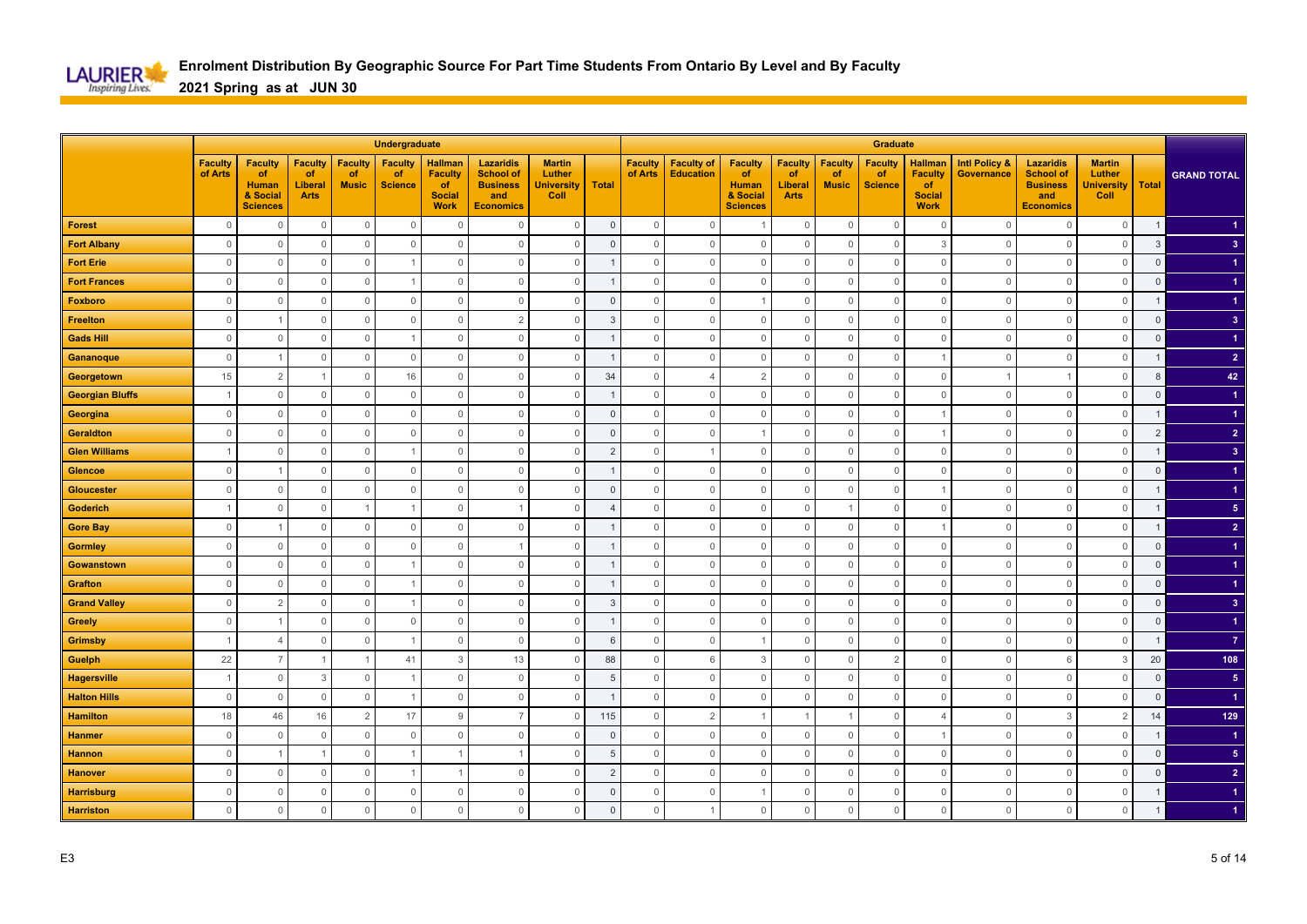

|                        |                           |                                                                     |                                                |                                      | Undergraduate                          |                                                                        |                                                                                    |                                                      |                |                           |                                       |                                                                            |                                                       |                                      | Graduate                                      |                                                                        |                                               |                                                                                    |                                                      |                |                         |
|------------------------|---------------------------|---------------------------------------------------------------------|------------------------------------------------|--------------------------------------|----------------------------------------|------------------------------------------------------------------------|------------------------------------------------------------------------------------|------------------------------------------------------|----------------|---------------------------|---------------------------------------|----------------------------------------------------------------------------|-------------------------------------------------------|--------------------------------------|-----------------------------------------------|------------------------------------------------------------------------|-----------------------------------------------|------------------------------------------------------------------------------------|------------------------------------------------------|----------------|-------------------------|
|                        | <b>Faculty</b><br>of Arts | <b>Faculty</b><br>of<br><b>Human</b><br>& Social<br><b>Sciences</b> | <b>Faculty</b><br>of<br>Liberal<br><b>Arts</b> | <b>Faculty</b><br>of<br><b>Music</b> | <b>Faculty</b><br>of<br><b>Science</b> | <b>Hallman</b><br><b>Faculty</b><br>of<br><b>Social</b><br><b>Work</b> | <b>Lazaridis</b><br><b>School of</b><br><b>Business</b><br>and<br><b>Economics</b> | <b>Martin</b><br>Luther<br><b>University</b><br>Coll | <b>Total</b>   | <b>Faculty</b><br>of Arts | <b>Faculty of</b><br><b>Education</b> | <b>Faculty</b><br><b>of</b><br><b>Human</b><br>& Social<br><b>Sciences</b> | <b>Faculty</b><br>of<br><b>Liberal</b><br><b>Arts</b> | <b>Faculty</b><br>of<br><b>Music</b> | <b>Faculty</b><br><b>of</b><br><b>Science</b> | <b>Hallman</b><br><b>Faculty</b><br>of<br><b>Social</b><br><b>Work</b> | <b>Intl Policy &amp;</b><br><b>Governance</b> | <b>Lazaridis</b><br><b>School of</b><br><b>Business</b><br>and<br><b>Economics</b> | <b>Martin</b><br>Luther<br><b>University</b><br>Coll | <b>Total</b>   | <b>GRAND TOTAL</b>      |
| <b>Forest</b>          | $\mathbf 0$               | $\overline{0}$                                                      | $\mathbb O$                                    | $\mathbb O$                          | $\mathbf 0$                            | $\Omega$                                                               | $\Omega$                                                                           | $\mathbb O$                                          | $\mathsf 0$    | $\mathsf{O}\xspace$       | $\mathbf 0$                           | -1                                                                         | $\mathbf 0$                                           | $\mathbf 0$                          | $\overline{0}$                                | $\mathbf 0$                                                            | $\Omega$                                      | $\mathbf 0$                                                                        | $\mathbf 0$                                          | $\mathbf{1}$   |                         |
| <b>Fort Albany</b>     | $\mathbf{0}$              | $\Omega$                                                            | $\mathbf{0}$                                   | $\mathbf 0$                          | $\mathbf{0}$                           | $\Omega$                                                               | $\Omega$                                                                           | $\mathbf{0}$                                         | $\Omega$       | $\mathbf 0$               | $\mathbf{0}$                          | $\mathbf 0$                                                                | $\mathbf 0$                                           | $\Omega$                             | $\overline{0}$                                | $\overline{3}$                                                         | $\Omega$                                      | $\mathbf{0}$                                                                       | $\mathbf{0}$                                         | $\mathbf{3}$   | $\overline{3}$          |
| <b>Fort Erie</b>       | $\Omega$                  | $\Omega$                                                            | $\mathbf 0$                                    | $\mathbf 0$                          |                                        | $\Omega$                                                               | $\Omega$                                                                           | $\mathbf 0$                                          |                | $\Omega$                  | $\mathbf 0$                           | $\mathbf 0$                                                                | $\mathbf 0$                                           | $\Omega$                             | $\mathbf 0$                                   | $\overline{0}$                                                         | $\Omega$                                      | $\mathbf{0}$                                                                       | $\mathbf 0$                                          | $\mathsf 0$    |                         |
| <b>Fort Frances</b>    | $\mathbf{0}$              | $\Omega$                                                            | $\mathbf 0$                                    | $\overline{0}$                       |                                        | $\overline{0}$                                                         | $\Omega$                                                                           | $\mathbf 0$                                          |                | $\Omega$                  | $\mathbf{0}$                          | $\mathbf 0$                                                                | $\mathbf 0$                                           | $\Omega$                             | $\overline{0}$                                | $\mathbf 0$                                                            | $\Omega$                                      | $\overline{0}$                                                                     | $\mathbf 0$                                          | $\mathbf 0$    |                         |
| Foxboro                | $\mathbf{0}$              | $\circ$                                                             | $\mathbb O$                                    | $\overline{0}$                       | $\mathbb O$                            | $\overline{0}$                                                         | $\mathbf 0$                                                                        | $\mathbb O$                                          | $\mathbf 0$    | $\mathbf{0}$              | $\mathbb O$                           |                                                                            | $\mathbf 0$                                           | $\Omega$                             | $\mathbf 0$                                   | $\mathbf 0$                                                            | $\circ$                                       | $\mathbf 0$                                                                        | $\mathbb O$                                          |                |                         |
| <b>Freelton</b>        | $\mathbf 0$               |                                                                     | $\mathbf 0$                                    | $\mathbb O$                          | $\mathbb O$                            | $\mathbb O$                                                            | $\overline{2}$                                                                     | $\mathbf 0$                                          | 3              | $\mathbf 0$               | $\mathbb O$                           | $\mathbf 0$                                                                | $\mathbf 0$                                           | $\Omega$                             | $\mathbf 0$                                   | $\mathbf 0$                                                            | $\circ$                                       | $\mathbb O$                                                                        | $\mathbb O$                                          | $\mathsf 0$    | 3 <sup>2</sup>          |
| <b>Gads Hill</b>       | $\mathbf{0}$              | $\Omega$                                                            | $\mathbf 0$                                    | $\overline{0}$                       |                                        | $\Omega$                                                               | $\mathbf 0$                                                                        | $\mathbf 0$                                          |                | $\Omega$                  | $\mathbf{0}$                          | $\mathbf 0$                                                                | $\mathbf 0$                                           | $\Omega$                             | $\mathbf 0$                                   | $\overline{0}$                                                         | $\Omega$                                      | $\overline{0}$                                                                     | $\mathbf{0}$                                         | $\overline{0}$ |                         |
| Gananoque              | $\mathbf{0}$              |                                                                     | $\mathbf 0$                                    | $\mathbf 0$                          | $\mathbb O$                            | $\mathbf 0$                                                            | $\mathbf 0$                                                                        | $\mathbf 0$                                          |                | $\mathbf{0}$              | $\mathbb O$                           | $\mathbf 0$                                                                | $\mathbf 0$                                           | $\Omega$                             | $\mathbf 0$                                   |                                                                        | $\Omega$                                      | $\mathbf{0}$                                                                       | $\mathbf 0$                                          |                | $\overline{2}$          |
| Georgetown             | 15                        | $\overline{2}$                                                      | $\mathbf{1}$                                   | $\mathbb O$                          | 16                                     | $\mathbf{0}$                                                           | $\mathbf{0}$                                                                       | $\mathbb O$                                          | 34             | $\mathsf{O}\xspace$       | $\Delta$                              | $\overline{2}$                                                             | $\mathsf{O}\xspace$                                   | $\Omega$                             | $\mathbf 0$                                   | $\mathbf 0$                                                            |                                               |                                                                                    | $\mathbb O$                                          | 8              | 42                      |
| <b>Georgian Bluffs</b> | $\overline{1}$            | $\mathbf 0$                                                         | $\mathbb O$                                    | $\mathbb O$                          | $\mathbb O$                            | $\mathbb O$                                                            | $\mathbf 0$                                                                        | $\mathbb O$                                          |                | $\mathbf 0$               | $\mathbb O$                           | $\mathbb O$                                                                | $\mathsf{O}\xspace$                                   | $\mathbb O$                          | $\mathbb O$                                   | $\mathbf 0$                                                            | $\overline{0}$                                | $\mathbf 0$                                                                        | $\mathbb O$                                          | $\overline{0}$ |                         |
| Georgina               | $\mathbb O$               | $\Omega$                                                            | $\mathsf{O}\xspace$                            | $\mathbb O$                          | $\mathbf{0}$                           | $\mathbf{0}$                                                           | $\mathbf{0}$                                                                       | $\mathbb O$                                          | $\Omega$       | $\Omega$                  | $\mathbf 0$                           | $\mathbf 0$                                                                | $\mathbf{0}$                                          | $\Omega$                             | $\mathbb O$                                   |                                                                        | $\Omega$                                      | $\mathbf{0}$                                                                       | $\mathbf 0$                                          | $\mathbf 1$    | $\blacktriangleleft$    |
| Geraldton              | $\mathbf{0}$              | $\Omega$                                                            | $\mathbf 0$                                    | $\mathbf 0$                          | $\mathbb O$                            | $\overline{0}$                                                         | $\mathbf 0$                                                                        | $\mathbf 0$                                          | $\mathbf 0$    | $\mathbf{0}$              | $\mathbb O$                           |                                                                            | $\mathbf 0$                                           | $\Omega$                             | $\mathbf 0$                                   |                                                                        | $\Omega$                                      | $\mathbf 0$                                                                        | $\mathbf 0$                                          | $\overline{2}$ | $\overline{2}$          |
| <b>Glen Williams</b>   | $\overline{1}$            | $\Omega$                                                            | $\mathbb O$                                    | $\mathbb O$                          | $\overline{1}$                         | $\mathbb O$                                                            | $\mathbf 0$                                                                        | $\mathbb O$                                          | $\overline{2}$ | $\mathbf{0}$              | $\overline{1}$                        | $\mathbf 0$                                                                | $\mathbb O$                                           | $\Omega$                             | $\mathbf 0$                                   | $\mathbf 0$                                                            | $\Omega$                                      | $\mathbb O$                                                                        | $\mathbb O$                                          |                | $\overline{\mathbf{3}}$ |
| <b>Glencoe</b>         | $\mathbf{0}$              |                                                                     | $\mathbf 0$                                    | $\mathbf 0$                          | $\mathbb O$                            | $\mathbb O$                                                            | $\mathbf 0$                                                                        | $\mathbf 0$                                          |                | $\mathbf{0}$              | $\mathbb O$                           | $\mathbf 0$                                                                | $\mathbf 0$                                           | $\Omega$                             | $\mathbf 0$                                   | $\mathbf 0$                                                            | $\circ$                                       | $\mathbb O$                                                                        | $\mathbf 0$                                          | $\mathbf 0$    |                         |
| <b>Gloucester</b>      | $\mathbf{0}$              | $\Omega$                                                            | $\mathbb O$                                    | $\mathbf 0$                          | $\mathbf{0}$                           | $\Omega$                                                               | $\Omega$                                                                           | $\mathbb O$                                          | $\Omega$       | $\Omega$                  | $\mathbf{0}$                          | $\mathbf 0$                                                                | $\mathbf{0}$                                          | $\Omega$                             | $\mathbf 0$                                   |                                                                        | $\Omega$                                      | $\mathbf{0}$                                                                       | $\mathbf 0$                                          |                |                         |
| Goderich               | -1                        | $\Omega$                                                            | $\mathbf{0}$                                   |                                      |                                        | $\Omega$                                                               |                                                                                    | $\mathbf 0$                                          | $\overline{4}$ | $\overline{0}$            | $\mathbf 0$                           | $\mathbf 0$                                                                | 0                                                     |                                      | $\mathbf 0$                                   | $\overline{0}$                                                         | $\Omega$                                      | $\mathbf 0$                                                                        | $\mathbf 0$                                          |                | 5 <sub>5</sub>          |
| <b>Gore Bay</b>        | $\mathbf{0}$              |                                                                     | $\mathbb O$                                    | $\mathbb O$                          | $\mathbb O$                            | $\mathbf 0$                                                            | $\Omega$                                                                           | $\mathbb O$                                          |                | $\mathbf{0}$              | $\mathbf{0}$                          | $\mathbf 0$                                                                | $\mathbb O$                                           | $\Omega$                             | $\mathbf 0$                                   |                                                                        | $\Omega$                                      | $\mathbf{0}$                                                                       | $\mathbb O$                                          | $\mathbf{1}$   | $\overline{2}$          |
| <b>Gormley</b>         | $\mathbf{0}$              | $\overline{0}$                                                      | $\mathbf 0$                                    | $\circ$                              | $\mathbf 0$                            | $\mathbf 0$                                                            |                                                                                    | $\mathbf 0$                                          |                | $\mathbf{0}$              | $\mathbf 0$                           | $\mathbf 0$                                                                | $\mathbf 0$                                           | $\mathbf 0$                          | $\mathbf 0$                                   | $\mathbf 0$                                                            | $\overline{0}$                                | $\mathbf 0$                                                                        | $\mathbb O$                                          | $\mathsf 0$    |                         |
| Gowanstown             | $\Omega$                  | $\Omega$                                                            | $\mathbb O$                                    | $\overline{0}$                       |                                        | $\Omega$                                                               | $\Omega$                                                                           | $\mathbb O$                                          |                | $\Omega$                  | $\mathbf{0}$                          | $\mathbf 0$                                                                | $\mathbf 0$                                           | $\Omega$                             | $\overline{0}$                                | $\mathbf{0}$                                                           | $\Omega$                                      | $\mathbf 0$                                                                        | $\mathbb O$                                          | $\mathsf 0$    |                         |
| <b>Grafton</b>         | $\mathbf{0}$              | $\Omega$                                                            | $\mathbf 0$                                    | $\overline{0}$                       |                                        | $\Omega$                                                               | $\Omega$                                                                           | $\mathbf 0$                                          |                | $\Omega$                  | $\mathbf 0$                           | $\mathbf 0$                                                                | 0                                                     | $\Omega$                             | $\overline{0}$                                | $\mathbf 0$                                                            | $\Omega$                                      | $\mathbf{0}$                                                                       | $\mathbf 0$                                          | $\mathsf 0$    |                         |
| <b>Grand Valley</b>    | $\mathbb O$               | $\overline{2}$                                                      | $\mathbb O$                                    | $\overline{0}$                       |                                        | $\mathbf 0$                                                            | $\mathbf 0$                                                                        | $\mathbb O$                                          | 3              | $\mathbf{0}$              | $\mathbf{0}$                          | $\mathbf 0$                                                                | $\mathbf 0$                                           | $\Omega$                             | $\mathbf 0$                                   | $\mathbf 0$                                                            | $\Omega$                                      | $\mathbf{0}$                                                                       | $\mathbb O$                                          | $\mathsf 0$    | 3 <sup>°</sup>          |
| <b>Greely</b>          | $\mathbf{0}$              |                                                                     | $\mathbb O$                                    | $\overline{0}$                       | $\mathbb O$                            | $\mathbf 0$                                                            | $\mathbf 0$                                                                        | $\mathbb O$                                          |                | $\mathbf{0}$              | $\mathbb O$                           | $\mathbf 0$                                                                | $\mathbf 0$                                           | $\Omega$                             | $\overline{0}$                                | $\mathbf 0$                                                            | $\circ$                                       | $\mathbb O$                                                                        | $\mathbb O$                                          | $\mathsf 0$    |                         |
| Grimsby                | $\overline{1}$            | $\overline{\mathcal{L}}$                                            | $\mathbb O$                                    | $\overline{0}$                       |                                        | $\mathbf{0}$                                                           | $\mathbf 0$                                                                        | $\mathbb O$                                          | 6              | $\mathsf{O}\xspace$       | $\mathsf 0$                           | -1                                                                         | $\mathbb O$                                           | $\Omega$                             | $\overline{0}$                                | $\mathbb O$                                                            | $\Omega$                                      | $\mathbb O$                                                                        | $\mathbb O$                                          |                | $\overline{7}$          |
| Guelph                 | 22                        |                                                                     | $\overline{1}$                                 |                                      | 41                                     | 3                                                                      | 13                                                                                 | $\mathbf 0$                                          | 88             | $\overline{0}$            | 6                                     | 3                                                                          | 0                                                     | C                                    | $\overline{2}$                                | $\mathbf{0}$                                                           | $\Omega$                                      | 6                                                                                  | 3                                                    | 20             | 108                     |
| <b>Hagersville</b>     |                           | $\Omega$                                                            | $_{3}$                                         | $\mathbf 0$                          |                                        | $\Omega$                                                               | $\Omega$                                                                           | $\mathsf{O}\xspace$                                  | 5              | $\Omega$                  | $\mathbf{0}$                          | $\mathbf 0$                                                                | $\mathbb O$                                           | $\Omega$                             | $\mathbf 0$                                   | $\overline{0}$                                                         | $\Omega$                                      | $\mathbf{0}$                                                                       | $\mathbf 0$                                          | $\mathbf{0}$   | 5 <sub>5</sub>          |
| <b>Halton Hills</b>    | $\mathbf{0}$              | 0                                                                   | $\mathbb O$                                    | $\mathbf 0$                          | -1                                     | $\mathbf{0}$                                                           | $\mathbf 0$                                                                        | $\mathbf 0$                                          |                | $\mathbf{0}$              | $\mathbb O$                           | $\mathbf 0$                                                                | $\mathbf 0$                                           | $\Omega$                             | $\mathbf 0$                                   | $\mathbf 0$                                                            | 0                                             | $\mathbf 0$                                                                        | $\mathbf 0$                                          | $\mathbf{0}$   | $\blacktriangleleft$    |
| <b>Hamilton</b>        | 18                        | 46                                                                  | 16                                             | $\overline{2}$                       | 17                                     | 9                                                                      | $\overline{7}$                                                                     | $\mathbb O$                                          | 115            | $\mathbb O$               | $\overline{2}$                        | $\overline{1}$                                                             | $\mathbf{1}$                                          |                                      | $\mathbb O$                                   | $\overline{4}$                                                         | $\Omega$                                      | $\mathbf{3}$                                                                       | $\overline{2}$                                       | 14             | 129                     |
| <b>Hanmer</b>          | $\mathbf{0}$              | $\Omega$                                                            | $\mathbf 0$                                    | $\mathbf 0$                          | $\mathbf{0}$                           | $\mathbf{0}$                                                           | $\mathbf 0$                                                                        | $\mathbf 0$                                          | $\Omega$       | $\mathbf{0}$              | $\mathbf 0$                           | $\mathbf 0$                                                                | $\mathbf 0$                                           | $\Omega$                             | $\mathbf 0$                                   | $\overline{1}$                                                         | $\Omega$                                      | $\mathbf{0}$                                                                       | $\mathbf{0}$                                         | $\mathbf{1}$   | $\blacktriangleleft$    |
| <b>Hannon</b>          | $\mathbf{0}$              |                                                                     | $\overline{1}$                                 | $\mathbf 0$                          | $\overline{1}$                         |                                                                        |                                                                                    | $\mathbb O$                                          | $\overline{5}$ | $\Omega$                  | $\mathbf 0$                           | $\mathbf 0$                                                                | $\mathbf{0}$                                          | $\Omega$                             | $\mathbf 0$                                   | $\overline{0}$                                                         | $\Omega$                                      | $\mathbf{0}$                                                                       | $\mathbf 0$                                          | $\mathsf 0$    | 5 <sub>1</sub>          |
| Hanover                | $\mathbf{0}$              | $\circ$                                                             | $\mathbf 0$                                    | $\overline{0}$                       |                                        |                                                                        | $\mathbf 0$                                                                        | $\mathbf 0$                                          | $\overline{2}$ | $\mathbf{0}$              | $\mathbb O$                           | $\mathbf 0$                                                                | $\mathbf 0$                                           | $\Omega$                             | $\mathbf 0$                                   | $\mathbf 0$                                                            | $\circ$                                       | $\mathbf 0$                                                                        | $\mathbb O$                                          | $\mathbf 0$    | $\overline{2}$          |
| <b>Harrisburg</b>      | $\mathbf{0}$              | $\Omega$                                                            | $\mathbb O$                                    | $\overline{0}$                       | $\mathbb O$                            | $\Omega$                                                               | $\Omega$                                                                           | $\mathbb O$                                          | $\Omega$       | $\mathsf{O}\xspace$       | $\mathbf{0}$                          |                                                                            | $\mathbb O$                                           | $\Omega$                             | $\mathbf 0$                                   | $\mathbb O$                                                            | $\Omega$                                      | $\mathbb O$                                                                        | $\mathbf 0$                                          |                | $\blacktriangleleft$    |
| <b>Harriston</b>       | $\mathbf{0}$              | $\Omega$                                                            | $\mathbf{0}$                                   | $\Omega$                             | $\Omega$                               | $\Omega$                                                               | $\mathbf 0$                                                                        | $\mathbf 0$                                          | $\Omega$       | $\mathbf 0$               | $\overline{1}$                        | $\Omega$                                                                   | $\mathbf 0$                                           | $\Omega$                             | $\mathbf 0$                                   | $\mathbf 0$                                                            | $\Omega$                                      | $\mathbf 0$                                                                        | $\mathbf 0$                                          |                |                         |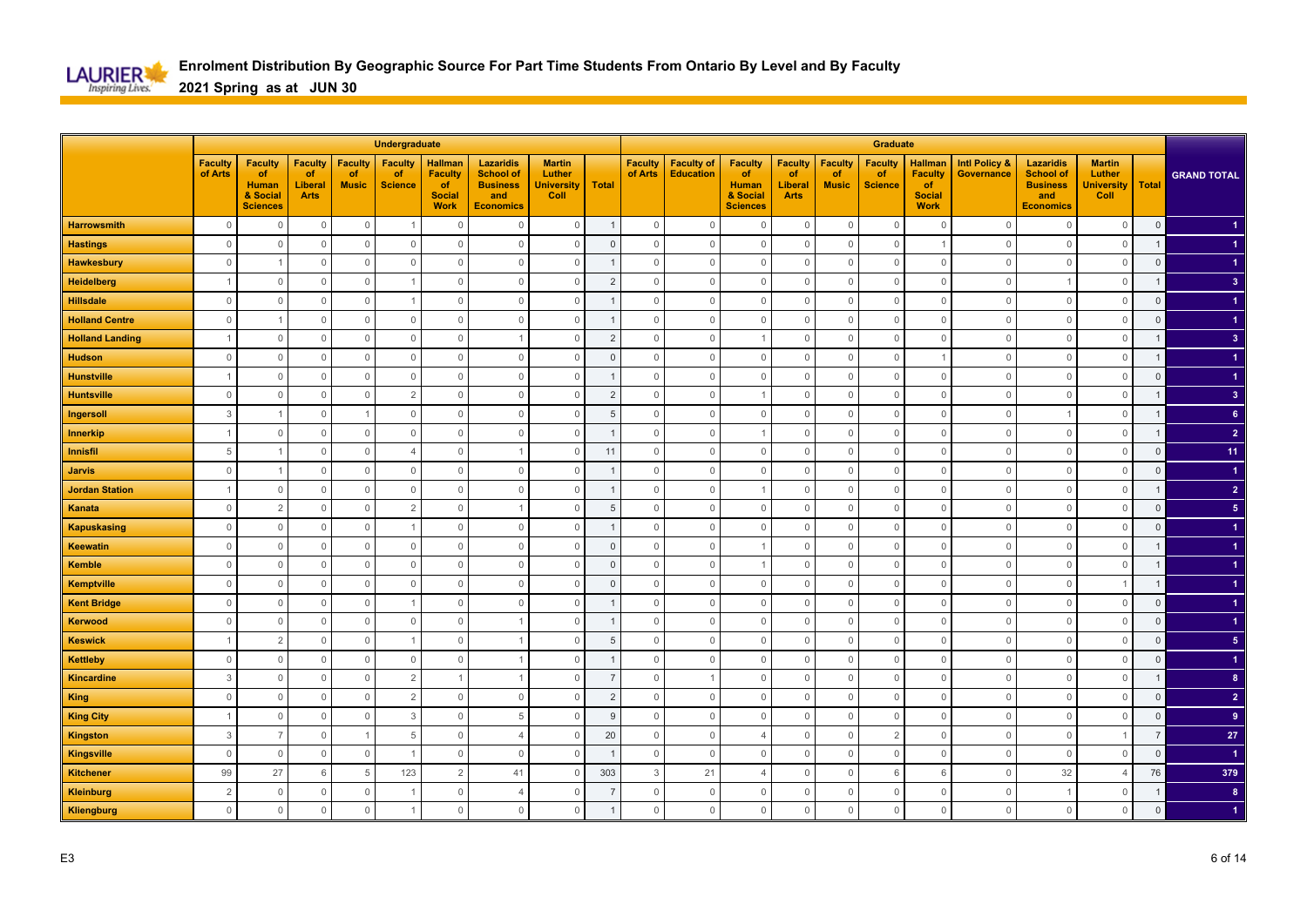

|                        |                           |                                                                     |                                                |                                      | Undergraduate                          |                                                                        |                                                                                    |                                                      |                |                           |                                       |                                                                            |                                                       |                                      | <b>Graduate</b>                        |                                                                        |                                               |                                                                                    |                                                      |                |                         |
|------------------------|---------------------------|---------------------------------------------------------------------|------------------------------------------------|--------------------------------------|----------------------------------------|------------------------------------------------------------------------|------------------------------------------------------------------------------------|------------------------------------------------------|----------------|---------------------------|---------------------------------------|----------------------------------------------------------------------------|-------------------------------------------------------|--------------------------------------|----------------------------------------|------------------------------------------------------------------------|-----------------------------------------------|------------------------------------------------------------------------------------|------------------------------------------------------|----------------|-------------------------|
|                        | <b>Faculty</b><br>of Arts | <b>Faculty</b><br>of<br><b>Human</b><br>& Social<br><b>Sciences</b> | <b>Faculty</b><br>of<br>Liberal<br><b>Arts</b> | <b>Faculty</b><br>of<br><b>Music</b> | <b>Faculty</b><br>of<br><b>Science</b> | <b>Hallman</b><br><b>Faculty</b><br>of<br><b>Social</b><br><b>Work</b> | <b>Lazaridis</b><br><b>School of</b><br><b>Business</b><br>and<br><b>Economics</b> | <b>Martin</b><br>Luther<br><b>University</b><br>Coll | <b>Total</b>   | <b>Faculty</b><br>of Arts | <b>Faculty of</b><br><b>Education</b> | <b>Faculty</b><br><b>of</b><br><b>Human</b><br>& Social<br><b>Sciences</b> | <b>Faculty</b><br>of<br><b>Liberal</b><br><b>Arts</b> | <b>Faculty</b><br>of<br><b>Music</b> | <b>Faculty</b><br>of<br><b>Science</b> | <b>Hallman</b><br><b>Faculty</b><br>of<br><b>Social</b><br><b>Work</b> | <b>Intl Policy &amp;</b><br><b>Governance</b> | <b>Lazaridis</b><br><b>School of</b><br><b>Business</b><br>and<br><b>Economics</b> | <b>Martin</b><br>Luther<br><b>University</b><br>Coll | <b>Total</b>   | <b>GRAND TOTAL</b>      |
| <b>Harrowsmith</b>     | $\mathbb O$               | $\Omega$                                                            | $\mathbb O$                                    | $\mathbb O$                          |                                        | $\mathbf 0$                                                            | $\Omega$                                                                           | $\mathbb O$                                          |                | $\mathsf{O}\xspace$       | $\mathbf 0$                           | $\mathbf 0$                                                                | $\mathbf 0$                                           | $\mathbf 0$                          | $\overline{0}$                         | $\overline{0}$                                                         | $\Omega$                                      | $\mathbf 0$                                                                        | $\mathbf 0$                                          | $\mathbf 0$    |                         |
| <b>Hastings</b>        | $\mathbb O$               | $\overline{0}$                                                      | $\mathbb O$                                    | $\circ$                              | $\mathbb O$                            | $\Omega$                                                               | $\mathbf 0$                                                                        | $\mathbb O$                                          | $\overline{0}$ | $\mathbf 0$               | $\mathbb O$                           | $\mathbb O$                                                                | $\mathbf 0$                                           | $\Omega$                             | $\overline{0}$                         |                                                                        | $\overline{0}$                                | $\mathbf 0$                                                                        | $\mathbf 0$                                          | $\mathbf{1}$   |                         |
| <b>Hawkesbury</b>      | $\mathbf{0}$              |                                                                     | $\mathbf 0$                                    | $\mathbf 0$                          | $\mathbf{0}$                           | $\Omega$                                                               | $\Omega$                                                                           | $\mathbb O$                                          |                | $\Omega$                  | $\mathbf{0}$                          | $\mathbf 0$                                                                | $\mathbf 0$                                           | $\Omega$                             | $\overline{0}$                         | $\overline{0}$                                                         | $\Omega$                                      | $\mathbf{0}$                                                                       | $\mathbf 0$                                          | $\mathsf 0$    |                         |
| <b>Heidelberg</b>      |                           | $\Omega$                                                            | $\mathbf 0$                                    | $\overline{0}$                       |                                        | $\overline{0}$                                                         | $\mathbf 0$                                                                        | $\mathbf 0$                                          | $\overline{2}$ | $\mathbf 0$               | $\mathbf 0$                           | $\mathbf 0$                                                                | $\mathbf 0$                                           | $\Omega$                             | $\overline{0}$                         | $\mathbf 0$                                                            | $\circ$                                       |                                                                                    | $\mathbf 0$                                          | $\mathbf{1}$   | 3 <sup>2</sup>          |
| <b>Hillsdale</b>       | $\mathbf{0}$              | $\Omega$                                                            | $\mathbb O$                                    | $\mathbb O$                          | -1                                     | $\mathbb O$                                                            | $\Omega$                                                                           | $\mathbb O$                                          |                | $\mathbf{0}$              | $\mathbb O$                           | $\mathbf{0}$                                                               | $\mathbb O$                                           | $\Omega$                             | $\overline{0}$                         | $\overline{0}$                                                         | $\Omega$                                      | $\mathbb O$                                                                        | $\mathbb O$                                          | $\mathsf 0$    |                         |
| <b>Holland Centre</b>  | $\mathbf{0}$              |                                                                     | $\mathbb O$                                    | $\mathbb O$                          | $\mathbb O$                            | $\mathbb O$                                                            | $\mathbf 0$                                                                        | $\mathbb O$                                          |                | $\mathbf{0}$              | $\mathbb O$                           | $\mathbf 0$                                                                | $\mathbf 0$                                           | $\Omega$                             | $\mathbf 0$                            | $\mathbf 0$                                                            | $\circ$                                       | $\mathbb O$                                                                        | $\mathbb O$                                          | $\overline{0}$ |                         |
| <b>Holland Landing</b> | $\overline{1}$            | $\Omega$                                                            | $\mathbf 0$                                    | $\mathbf 0$                          | $\mathbb O$                            | $\Omega$                                                               |                                                                                    | $\mathbf 0$                                          | $\overline{2}$ | $\Omega$                  | $\mathbf{0}$                          | $\overline{1}$                                                             | $\mathbf 0$                                           | $\Omega$                             | $\mathbf{0}$                           | $\overline{0}$                                                         | $\Omega$                                      | $\overline{0}$                                                                     | $\mathbf{0}$                                         |                | 3 <sup>2</sup>          |
| <b>Hudson</b>          | $\mathbf{0}$              | $\Omega$                                                            | $\mathbf 0$                                    | $\overline{0}$                       | $\mathbb O$                            | $\Omega$                                                               | $\mathbf 0$                                                                        | $\mathbf{0}$                                         | $\Omega$       | $\Omega$                  | $\mathbb O$                           | $\mathbf 0$                                                                | $\mathbf 0$                                           | $\Omega$                             | $\mathbf 0$                            |                                                                        | $\Omega$                                      | $\mathbf{0}$                                                                       | $\mathbf 0$                                          |                |                         |
| <b>Hunstville</b>      |                           | $\Omega$                                                            | $\mathsf{O}\xspace$                            | $\mathbf 0$                          | $\mathbb O$                            | $\mathbf{0}$                                                           | $\Omega$                                                                           | $\mathbf 0$                                          |                | $\Omega$                  | $\mathbf{0}$                          | $\mathbf 0$                                                                | $\mathbf 0$                                           | $\Omega$                             | $\mathbf 0$                            | $\mathbf{0}$                                                           | $\cap$                                        | $\mathbf{0}$                                                                       | $\mathbf{0}$                                         | $\Omega$       |                         |
| <b>Huntsville</b>      | $\mathbf{0}$              | $\circ$                                                             | $\mathsf{O}\xspace$                            | $\mathbb O$                          | $\overline{2}$                         | $\mathbf 0$                                                            | $\Omega$                                                                           | $\mathsf{O}\xspace$                                  | $\overline{2}$ | $\mathbf{0}$              | $\mathbf{0}$                          |                                                                            | $\mathbb O$                                           | $\Omega$                             | $\mathbf 0$                            | $\mathbf 0$                                                            | $\Omega$                                      | $\mathbf{0}$                                                                       | $\mathbb O$                                          |                | $\overline{\mathbf{3}}$ |
| Ingersoll              | 3                         |                                                                     | $\mathsf{O}\xspace$                            | $\overline{1}$                       | $\mathbf{0}$                           | $\Omega$                                                               | $\mathbf{0}$                                                                       | $\mathbf 0$                                          | 5              | $\Omega$                  | $\mathbf{0}$                          | $\mathbf 0$                                                                | $\mathbf 0$                                           | $\Omega$                             | $\overline{0}$                         | $\overline{0}$                                                         | $\Omega$                                      |                                                                                    | $\mathbf{0}$                                         | $\mathbf 1$    | 6 <sup>1</sup>          |
| Innerkip               | $\overline{1}$            | $\Omega$                                                            | $\mathbf 0$                                    | $\mathbf{0}$                         | $\mathbf{0}$                           | $\mathbf 0$                                                            | $\Omega$                                                                           | $\mathbf 0$                                          | $\overline{1}$ | $\Omega$                  | $\mathbf 0$                           | $\overline{1}$                                                             | $\mathbf 0$                                           | $\Omega$                             | $\overline{0}$                         | $\overline{0}$                                                         | $\Omega$                                      | $\mathbf{0}$                                                                       | $\mathbf{0}$                                         |                | $\overline{2}$          |
| <b>Innisfil</b>        | 5                         |                                                                     | $\mathbf 0$                                    | $\overline{0}$                       | $\overline{4}$                         | $\mathbf 0$                                                            |                                                                                    | $\mathbf 0$                                          | 11             | $\mathbf{0}$              | $\mathbf 0$                           | $\mathbf 0$                                                                | $\mathbf 0$                                           | $\Omega$                             | $\mathbf 0$                            | $\mathbf 0$                                                            | 0                                             | $\mathbf 0$                                                                        | $\mathbf 0$                                          | $\mathbf 0$    | 11                      |
| <b>Jarvis</b>          | $\mathbf{0}$              |                                                                     | $\mathbb O$                                    | $\overline{0}$                       | $\mathbb O$                            | $\overline{0}$                                                         | $\Omega$                                                                           | $\mathbb O$                                          |                | $\mathbf{0}$              | $\mathbf 0$                           | $\mathbf 0$                                                                | $\mathbf 0$                                           | $\Omega$                             | $\mathbf 0$                            | $\mathbf 0$                                                            | $\Omega$                                      | $\overline{0}$                                                                     | $\mathbf{0}$                                         | $\mathsf 0$    | $\blacktriangleleft$    |
| <b>Jordan Station</b>  | $\overline{1}$            | 0                                                                   | $\mathbf 0$                                    | $\mathbf 0$                          | $\mathbb O$                            | $\overline{0}$                                                         | $\mathbf 0$                                                                        | $\mathbf 0$                                          |                | $\mathbf{0}$              | $\mathbb O$                           |                                                                            | $\mathbb O$                                           | $\Omega$                             | $\mathbf 0$                            | $\mathbf 0$                                                            | $\circ$                                       | $\mathbf 0$                                                                        | $\mathbb O$                                          |                | $\overline{2}$          |
| Kanata                 | $\Omega$                  | $\overline{2}$                                                      | $\mathbb O$                                    | $\mathbf 0$                          | $\overline{2}$                         | $\Omega$                                                               |                                                                                    | $\mathbf 0$                                          | $\overline{5}$ | $\Omega$                  | $\mathbf{0}$                          | $\mathbf 0$                                                                | $\mathbf 0$                                           | $\Omega$                             | $\overline{0}$                         | $\overline{0}$                                                         | $\Omega$                                      | $\mathbf{0}$                                                                       | $\mathbf{0}$                                         | $\Omega$       | 5 <sub>5</sub>          |
| <b>Kapuskasing</b>     | $\mathbf{0}$              | $\Omega$                                                            | $\mathbf 0$                                    | $\mathbf 0$                          |                                        | $\mathbf 0$                                                            | $\Omega$                                                                           | $\mathbf 0$                                          |                | $\mathbf{0}$              | $\mathbf 0$                           | $\mathbf 0$                                                                | $\mathbf 0$                                           | $\Omega$                             | $\mathbf 0$                            | $\mathbf 0$                                                            | $\Omega$                                      | $\mathbf{0}$                                                                       | $\mathbf 0$                                          | $\mathbf{0}$   |                         |
| <b>Keewatin</b>        | $\mathbb O$               | $\overline{0}$                                                      | $\mathbb O$                                    | $\mathbb O$                          | $\mathbb O$                            | $\overline{0}$                                                         | $\Omega$                                                                           | $\mathbb O$                                          | $\Omega$       | $\mathsf{O}\xspace$       | $\mathbf 0$                           |                                                                            | $\mathbb O$                                           | $\Omega$                             | $\mathbf 0$                            | $\mathbf 0$                                                            | $\Omega$                                      | $\mathbf{0}$                                                                       | $\mathbb O$                                          |                |                         |
| <b>Kemble</b>          | $\mathbb O$               | $\overline{0}$                                                      | $\mathbb O$                                    | $\mathbb O$                          | $\mathbb O$                            | $\Omega$                                                               | $\mathbf{0}$                                                                       | $\mathbb O$                                          | $\overline{0}$ | $\mathbf 0$               | $\mathbb O$                           | -1                                                                         | $\mathbf 0$                                           | $\Omega$                             | $\mathbf 0$                            | $\mathbf 0$                                                            | $\overline{0}$                                | $\mathbb O$                                                                        | $\mathbb O$                                          | $\mathbf{1}$   |                         |
| <b>Kemptville</b>      | $\Omega$                  | $\Omega$                                                            | $\mathbf{0}$                                   | $\mathbf 0$                          | $\mathbf{0}$                           | $\Omega$                                                               | $\Omega$                                                                           | $\mathbb O$                                          | $\Omega$       | $\Omega$                  | $\mathbf 0$                           | $\mathbf 0$                                                                | $\mathbf 0$                                           | $\Omega$                             | $\mathbf{0}$                           | $\mathbf{0}$                                                           | $\Omega$                                      | $\mathbf 0$                                                                        | $\overline{1}$                                       | $\mathbf{1}$   |                         |
| <b>Kent Bridge</b>     | $\mathbf{0}$              | $\Omega$                                                            | $\mathbf 0$                                    | $\overline{0}$                       |                                        | $\Omega$                                                               | $\Omega$                                                                           | $\mathbf 0$                                          |                | $\Omega$                  | $\mathbf{0}$                          | $\mathbf 0$                                                                | $\mathbf 0$                                           | $\Omega$                             | $\mathbf 0$                            | $\overline{0}$                                                         | $\Omega$                                      | $\mathbf{0}$                                                                       | $\mathbf 0$                                          | $\mathsf 0$    |                         |
| Kerwood                | $\mathbf{0}$              | $\Omega$                                                            | $\mathbf 0$                                    | $\mathbf 0$                          | $\mathbf 0$                            | $\circ$                                                                |                                                                                    | $\mathbf 0$                                          |                | $\mathbf{0}$              | $\mathbf{0}$                          | $\mathbf 0$                                                                | 0                                                     | $\Omega$                             | $\mathbf 0$                            | $\mathbf 0$                                                            | $\Omega$                                      | $\overline{0}$                                                                     | $\mathbf 0$                                          | $\mathbf 0$    |                         |
| <b>Keswick</b>         | $\overline{1}$            | $\overline{2}$                                                      | $\mathbf 0$                                    | $\overline{0}$                       | $\overline{1}$                         | $\mathbf{0}$                                                           |                                                                                    | $\mathbf 0$                                          | 5              | $\mathbf{0}$              | $\mathbb O$                           | $\mathbf 0$                                                                | $\mathbf 0$                                           | $\Omega$                             | $\overline{0}$                         | $\mathbf 0$                                                            | $\circ$                                       | $\mathbb O$                                                                        | $\mathbb O$                                          | $\mathsf 0$    | 5 <sub>1</sub>          |
| <b>Kettleby</b>        | $\Omega$                  | $\Omega$                                                            | $\mathbf 0$                                    | $\mathbf{0}$                         | $\mathbf{0}$                           | $\Omega$                                                               |                                                                                    | $\mathbf 0$                                          |                | $\Omega$                  | $\mathbf 0$                           | $\mathbf 0$                                                                | $\mathbf 0$                                           | $\Omega$                             | $\overline{0}$                         | $\overline{0}$                                                         | $\Omega$                                      | $\mathbf{0}$                                                                       | $\mathbf{0}$                                         | $\Omega$       |                         |
| <b>Kincardine</b>      | 3                         | $\Omega$                                                            | $\mathbb O$                                    | $\mathbf{0}$                         | $\overline{2}$                         |                                                                        |                                                                                    | $\mathbf{0}$                                         |                | $\Omega$                  | $\overline{1}$                        | $\mathbf 0$                                                                | $\mathbf 0$                                           | $\Omega$                             | $\mathbf 0$                            | $\mathbf{0}$                                                           | $\Omega$                                      | $\mathbf{0}$                                                                       | $\mathbf 0$                                          |                | 8 <sup>°</sup>          |
| <b>King</b>            | $\mathbf{0}$              | $\Omega$                                                            | $\mathbb O$                                    | $\mathbf 0$                          | $\overline{2}$                         | $\overline{0}$                                                         | $\Omega$                                                                           | $\mathbf 0$                                          | $\overline{2}$ | $\mathbf 0$               | $\mathbf{0}$                          | $\mathbf 0$                                                                | $\mathbf 0$                                           | $\Omega$                             | $\mathbf 0$                            | $\mathbf{0}$                                                           | $\cap$                                        | $\mathbf{0}$                                                                       | $\mathbf{0}$                                         | $\overline{0}$ | $\overline{2}$          |
| <b>King City</b>       |                           | $\overline{0}$                                                      | $\mathbb O$                                    | $\mathbb O$                          | 3                                      | $\mathbf{0}$                                                           | 5                                                                                  | $\mathbb O$                                          | g              | $\mathbf 0$               | $\mathbb O$                           | $\mathbf 0$                                                                | $\mathsf{O}\xspace$                                   | $\Omega$                             | $\mathbf 0$                            | $\mathbf 0$                                                            | $\Omega$                                      | $\mathbf{0}$                                                                       | $\mathbb O$                                          | $\Omega$       | $\overline{9}$          |
| <b>Kingston</b>        | 3                         | $\overline{7}$                                                      | $\mathbb O$                                    | $\overline{1}$                       | 5                                      | $\overline{0}$                                                         | $\overline{4}$                                                                     | $\mathbb O$                                          | 20             | $\mathsf{O}\xspace$       | $\mathbb O$                           | $\overline{4}$                                                             | $\mathsf{O}\xspace$                                   | $\Omega$                             | $\overline{2}$                         | $\mathbf 0$                                                            | $\overline{0}$                                | $\mathbb O$                                                                        | $\overline{1}$                                       | $\overline{7}$ | ${\bf 27}$              |
| <b>Kingsville</b>      | $\Omega$                  | $\Omega$                                                            | $\mathbb O$                                    | $\mathbf{0}$                         |                                        | $\mathbf 0$                                                            | $\Omega$                                                                           | $\mathbf{0}$                                         | $\overline{1}$ | $\Omega$                  | $\mathbf 0$                           | $\mathbf 0$                                                                | $\mathbf{0}$                                          | $\Omega$                             | $\mathbb O$                            | $\mathbf{0}$                                                           | $\Omega$                                      | $\mathbf 0$                                                                        | $\mathbf 0$                                          | $\mathbf{0}$   | $\blacktriangleleft$    |
| <b>Kitchener</b>       | 99                        | 27                                                                  | 6                                              | 5                                    | 123                                    | $\overline{2}$                                                         | 41                                                                                 | $\mathbf 0$                                          | 303            | 3                         | 21                                    | $\overline{4}$                                                             | $\mathbf 0$                                           | $\Omega$                             | 6                                      | 6                                                                      | 0                                             | 32                                                                                 | $\overline{4}$                                       | 76             | 379                     |
| <b>Kleinburg</b>       | $\overline{2}$            | $\overline{0}$                                                      | $\mathbb O$                                    | $\mathbb O$                          |                                        | $\mathbb O$                                                            | $\Delta$                                                                           | $\mathbb O$                                          |                | $\mathbb O$               | $\mathbb O$                           | $\mathbf 0$                                                                | $\mathbb O$                                           | $\Omega$                             | $\mathbf 0$                            | $\mathbf 0$                                                            | $\overline{0}$                                | $\overline{1}$                                                                     | $\mathbb O$                                          | $\overline{1}$ | $\bf{8}$                |
| Kliengburg             | $\mathbf{0}$              | $\circ$                                                             | $\mathbf{0}$                                   | $\mathbf{0}$                         |                                        | $\Omega$                                                               | $\mathbf 0$                                                                        | $\mathbf{0}$                                         |                | $\mathbf{0}$              | $\mathbb O$                           | $\mathbf 0$                                                                | $\mathbf 0$                                           | $\Omega$                             | $\mathbf 0$                            | $\mathbf 0$                                                            | $\Omega$                                      | $\mathbb O$                                                                        | $\mathbf 0$                                          | $\overline{0}$ |                         |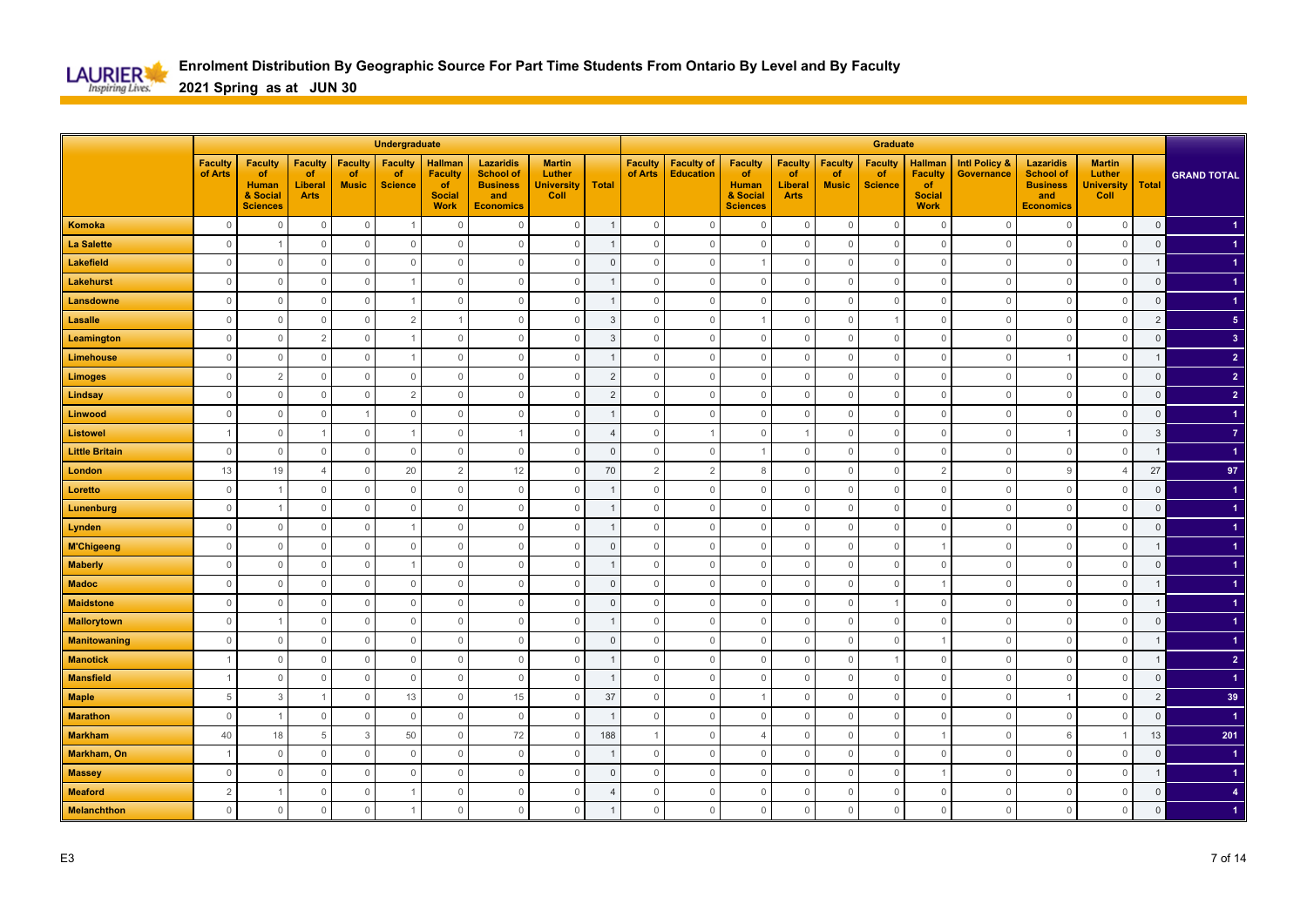

|                       |                           |                                                                     |                                                |                                      | Undergraduate                          |                                                                        |                                                                                    |                                                      |                |                           |                                       |                                                                            |                                                       |                                      | Graduate                               |                                                                        |                                        |                                                                                    |                                                      |                |                         |
|-----------------------|---------------------------|---------------------------------------------------------------------|------------------------------------------------|--------------------------------------|----------------------------------------|------------------------------------------------------------------------|------------------------------------------------------------------------------------|------------------------------------------------------|----------------|---------------------------|---------------------------------------|----------------------------------------------------------------------------|-------------------------------------------------------|--------------------------------------|----------------------------------------|------------------------------------------------------------------------|----------------------------------------|------------------------------------------------------------------------------------|------------------------------------------------------|----------------|-------------------------|
|                       | <b>Faculty</b><br>of Arts | <b>Faculty</b><br>of<br><b>Human</b><br>& Social<br><b>Sciences</b> | <b>Faculty</b><br>of<br>Liberal<br><b>Arts</b> | <b>Faculty</b><br>of<br><b>Music</b> | <b>Faculty</b><br>of<br><b>Science</b> | <b>Hallman</b><br><b>Faculty</b><br>of<br><b>Social</b><br><b>Work</b> | <b>Lazaridis</b><br><b>School of</b><br><b>Business</b><br>and<br><b>Economics</b> | <b>Martin</b><br>Luther<br><b>University</b><br>Coll | <b>Total</b>   | <b>Faculty</b><br>of Arts | <b>Faculty of</b><br><b>Education</b> | <b>Faculty</b><br><b>of</b><br><b>Human</b><br>& Social<br><b>Sciences</b> | <b>Faculty</b><br>of<br><b>Liberal</b><br><b>Arts</b> | <b>Faculty</b><br>of<br><b>Music</b> | <b>Faculty</b><br>of<br><b>Science</b> | <b>Hallman</b><br><b>Faculty</b><br>of<br><b>Social</b><br><b>Work</b> | <b>Intl Policy &amp;</b><br>Governance | <b>Lazaridis</b><br><b>School of</b><br><b>Business</b><br>and<br><b>Economics</b> | <b>Martin</b><br>Luther<br><b>University</b><br>Coll | <b>Total</b>   | <b>GRAND TOTAL</b>      |
| Komoka                | $\mathbf 0$               | $\overline{0}$                                                      | $\mathbb O$                                    | $\mathbb O$                          |                                        | $\mathbf{0}$                                                           | $\Omega$                                                                           | $\mathbb O$                                          |                | $\mathbb O$               | $\mathbf 0$                           | $\mathbf 0$                                                                | $\mathbf 0$                                           | $\mathbf 0$                          | $\overline{0}$                         | $\mathbf 0$                                                            | $\Omega$                               | $\mathbf 0$                                                                        | $\mathbf 0$                                          | $\mathbf 0$    |                         |
| <b>La Salette</b>     | $\mathbf{0}$              |                                                                     | $\mathbf{0}$                                   | $\mathbf 0$                          | $\mathbf{0}$                           | $\Omega$                                                               | $\Omega$                                                                           | $\mathbf{0}$                                         |                | $\mathbf 0$               | $\mathbf{0}$                          | $\mathbf 0$                                                                | $\mathbf 0$                                           | $\Omega$                             | $\overline{0}$                         | $\overline{0}$                                                         | $\Omega$                               | $\mathbf{0}$                                                                       | $\mathbf{0}$                                         | $\mathsf 0$    |                         |
| Lakefield             | $\Omega$                  | $\Omega$                                                            | $\mathbf 0$                                    | $\mathbf 0$                          | $\mathbf{0}$                           | $\Omega$                                                               | $\Omega$                                                                           | $\mathbf 0$                                          | $\Omega$       | $\Omega$                  | $\mathbf 0$                           | -1                                                                         | $\mathbf 0$                                           | $\Omega$                             | $\mathbf 0$                            | $\overline{0}$                                                         | $\Omega$                               | $\mathbf{0}$                                                                       | $\mathbf 0$                                          | $\mathbf{1}$   |                         |
| Lakehurst             | $\mathbf{0}$              | $\Omega$                                                            | $\mathbf 0$                                    | $\overline{0}$                       |                                        | $\overline{0}$                                                         | $\Omega$                                                                           | $\mathbf 0$                                          |                | $\Omega$                  | $\mathbf{0}$                          | $\mathbf 0$                                                                | $\mathbf 0$                                           | $\Omega$                             | $\overline{0}$                         | $\mathbf 0$                                                            | $\Omega$                               | $\overline{0}$                                                                     | $\mathbf 0$                                          | $\mathsf 0$    |                         |
| Lansdowne             | $\mathbf{0}$              | $\circ$                                                             | $\mathbb O$                                    | $\overline{0}$                       |                                        | $\overline{0}$                                                         | $\mathbf 0$                                                                        | $\mathbb O$                                          |                | $\mathbf{0}$              | $\mathbb O$                           | $\mathbf 0$                                                                | $\mathbf 0$                                           | $\Omega$                             | $\mathbf 0$                            | $\mathbf 0$                                                            | $\circ$                                | $\mathbf 0$                                                                        | $\mathbb O$                                          | $\mathsf 0$    |                         |
| <b>Lasalle</b>        | $\mathbf 0$               | $\circ$                                                             | $\mathbf 0$                                    | $\mathbb O$                          | $\overline{2}$                         |                                                                        | $\mathbf 0$                                                                        | $\mathbf 0$                                          | 3              | $\mathbf 0$               | $\mathbb O$                           |                                                                            | $\mathbf 0$                                           | $\Omega$                             |                                        | $\mathbf 0$                                                            | $\circ$                                | $\mathbb O$                                                                        | $\mathbb O$                                          | $\overline{2}$ | 5 <sub>5</sub>          |
| Leamington            | $\mathbf{0}$              | $\Omega$                                                            | $\overline{2}$                                 | $\mathbf 0$                          |                                        | $\Omega$                                                               | $\Omega$                                                                           | $\mathbf 0$                                          | 3              | $\Omega$                  | $\mathbb O$                           | $\mathbf 0$                                                                | $\mathbf 0$                                           | $\Omega$                             | $\mathbf 0$                            | $\overline{0}$                                                         | $\Omega$                               | $\overline{0}$                                                                     | $\mathbf{0}$                                         | $\overline{0}$ | $\overline{\mathbf{3}}$ |
| Limehouse             | $\mathbf{0}$              | $\Omega$                                                            | $\mathbf 0$                                    | $\mathbb O$                          |                                        | $\mathbf 0$                                                            | $\mathbf 0$                                                                        | $\mathbf 0$                                          |                | $\mathbf{0}$              | $\mathbb O$                           | $\mathbf 0$                                                                | $\mathbf 0$                                           | $\Omega$                             | $\mathbf 0$                            | $\mathbf 0$                                                            | $\Omega$                               |                                                                                    | $\mathbf 0$                                          |                | $\overline{2}$          |
| <b>Limoges</b>        | $\mathbb O$               | $\overline{2}$                                                      | $\mathbb O$                                    | $\mathbb O$                          | $\mathbb O$                            | $\mathbf{0}$                                                           | $\mathbf{0}$                                                                       | $\mathbb O$                                          | $\overline{2}$ | $\mathbf{0}$              | $\mathbb O$                           | $\mathbf 0$                                                                | $\mathsf{O}\xspace$                                   | $\mathbf 0$                          | $\mathbf 0$                            | $\mathbf 0$                                                            | $\Omega$                               | $\mathbf 0$                                                                        | $\mathbb O$                                          | $\mathsf 0$    | $\overline{2}$          |
| Lindsay               | $\mathsf{O}\xspace$       | $\mathbf 0$                                                         | $\mathsf{O}\xspace$                            | $\mathbb O$                          | $\overline{2}$                         | $\mathbb O$                                                            | $\mathbf 0$                                                                        | $\mathbb O$                                          | $\overline{2}$ | $\mathbf 0$               | $\mathbb O$                           | $\mathbb O$                                                                | $\mathsf{O}\xspace$                                   | $\mathbb O$                          | $\mathbb O$                            | $\mathbf 0$                                                            | $\overline{0}$                         | $\mathbf 0$                                                                        | $\mathbb O$                                          | $\mathbf{0}$   | $\overline{2}$          |
| Linwood               | $\mathbb O$               | $\Omega$                                                            | $\mathsf{O}\xspace$                            | $\overline{1}$                       | $\mathbf{0}$                           | $\mathbf{0}$                                                           | $\Omega$                                                                           | $\mathbb O$                                          |                | $\Omega$                  | $\mathbf 0$                           | $\mathbf 0$                                                                | $\mathbf{0}$                                          | $\Omega$                             | $\mathbb O$                            | $\mathbf{0}$                                                           | $\Omega$                               | $\Omega$                                                                           | $\mathbf 0$                                          | $\mathbf{0}$   | $\blacktriangleleft$    |
| <b>Listowel</b>       | -1                        | $\Omega$                                                            | $\overline{1}$                                 | $\overline{0}$                       |                                        | $\overline{0}$                                                         |                                                                                    | $\mathbf 0$                                          | $\overline{4}$ | $\mathbf{0}$              | $\overline{1}$                        | $\Omega$                                                                   | $\overline{1}$                                        | $\Omega$                             | $\mathbf 0$                            | $\mathbf 0$                                                            | $\Omega$                               |                                                                                    | $\mathbf 0$                                          | 3              | $\mathbf{7}$            |
| <b>Little Britain</b> | $\mathbf{0}$              | $\Omega$                                                            | $\mathbb O$                                    | $\mathbb O$                          | $\mathbb O$                            | $\mathbf{0}$                                                           | $\mathbf 0$                                                                        | $\mathbb O$                                          | $\overline{0}$ | $\mathbf{0}$              | $\mathbf{0}$                          |                                                                            | $\mathbb O$                                           | $\Omega$                             | $\mathbf 0$                            | $\mathbf 0$                                                            | $\Omega$                               | $\mathbb O$                                                                        | $\mathbb O$                                          |                | $\blacktriangleleft$    |
| London                | 13                        | 19                                                                  | $\overline{4}$                                 | $\overline{0}$                       | 20                                     | $\overline{2}$                                                         | 12                                                                                 | $\mathbf 0$                                          | 70             | $\overline{2}$            | 2                                     | 8                                                                          | $\mathbf 0$                                           | $\Omega$                             | $\mathbf 0$                            | $\overline{2}$                                                         | $\circ$                                | 9                                                                                  | $\overline{4}$                                       | 27             | 97                      |
| Loretto               | $\mathbf{0}$              |                                                                     | $\mathbb O$                                    | $\mathbf{0}$                         | $\mathbb O$                            | $\Omega$                                                               | $\Omega$                                                                           | $\mathbb O$                                          |                | $\Omega$                  | $\mathbf{0}$                          | $\mathbf 0$                                                                | $\mathbf{0}$                                          | $\Omega$                             | $\mathbf 0$                            | $\overline{0}$                                                         | $\Omega$                               | $\mathbf{0}$                                                                       | $\mathbf{0}$                                         | $\mathbf{0}$   |                         |
| Lunenburg             | $\mathbf 0$               |                                                                     | $\mathbf{0}$                                   | $\overline{0}$                       | $\Omega$                               | $\Omega$                                                               | $\mathbf 0$                                                                        | 0                                                    |                | $\mathbf{0}$              | $\mathbf 0$                           | $\mathbf 0$                                                                | 0                                                     | -C                                   | $\mathbf 0$                            | $\mathbf 0$                                                            | $\Omega$                               | $\mathbf 0$                                                                        | $\mathbf 0$                                          | $\mathbf 0$    |                         |
| Lynden                | $\mathbf{0}$              | $\overline{0}$                                                      | $\mathbb O$                                    | $\mathbb O$                          |                                        | $\mathbf{0}$                                                           | $\Omega$                                                                           | $\mathbb O$                                          |                | $\mathbf{0}$              | $\mathbf 0$                           | $\mathbf 0$                                                                | $\mathbb O$                                           | $\Omega$                             | $\mathbf 0$                            | $\mathbf 0$                                                            | $\Omega$                               | $\mathbf{0}$                                                                       | $\mathbb O$                                          | $\mathsf 0$    |                         |
| <b>M'Chigeeng</b>     | $\mathbf{0}$              | $\overline{0}$                                                      | $\mathbf 0$                                    | $\circ$                              | $\mathbf 0$                            | $\mathbf 0$                                                            | $\mathbf 0$                                                                        | $\mathbf 0$                                          | $\overline{0}$ | $\mathbf{0}$              | $\mathbf 0$                           | $\mathbf 0$                                                                | $\mathbf 0$                                           | $\mathbf 0$                          | $\mathbf 0$                            |                                                                        | $\overline{0}$                         | $\mathbf 0$                                                                        | $\mathbb O$                                          | $\mathbf{1}$   |                         |
| <b>Maberly</b>        | $\Omega$                  | $\Omega$                                                            | $\mathbb O$                                    | $\circ$                              | $\overline{1}$                         | $\Omega$                                                               | $\Omega$                                                                           | $\mathbb O$                                          |                | $\Omega$                  | $\mathbf 0$                           | $\mathbf 0$                                                                | $\mathbf 0$                                           | $\Omega$                             | $\overline{0}$                         | $\overline{0}$                                                         | $\Omega$                               | $\mathbf 0$                                                                        | $\mathbf 0$                                          | $\mathsf 0$    |                         |
| <b>Madoc</b>          | $\mathbf{0}$              | $\Omega$                                                            | $\mathbf 0$                                    | $\overline{0}$                       | $\mathbb O$                            | $\Omega$                                                               | $\Omega$                                                                           | $\mathbf 0$                                          | $\Omega$       | $\Omega$                  | $\mathbf 0$                           | $\mathbf 0$                                                                | 0                                                     | $\Omega$                             | $\mathbf 0$                            |                                                                        | $\Omega$                               | $\overline{0}$                                                                     | $\mathbf 0$                                          | $\mathbf{1}$   |                         |
| <b>Maidstone</b>      | $\mathbf{0}$              | $\Omega$                                                            | $\mathbb O$                                    | $\overline{0}$                       | $\mathbb O$                            | $\mathbf 0$                                                            | $\mathbf 0$                                                                        | $\mathbb O$                                          | $\Omega$       | $\mathbf{0}$              | $\mathbf 0$                           | $\mathbb O$                                                                | $\mathbf 0$                                           | $\Omega$                             |                                        | $\mathbf 0$                                                            | $\Omega$                               | $\mathbb O$                                                                        | $\mathbb O$                                          | $\overline{1}$ |                         |
| <b>Mallorytown</b>    | $\mathbf 0$               |                                                                     | $\mathbf 0$                                    | $\overline{0}$                       | $\mathbb O$                            | $\overline{0}$                                                         | $\mathbf 0$                                                                        | $\mathbf 0$                                          |                | $\mathbf{0}$              | $\mathbb O$                           | $\mathbf 0$                                                                | $\mathbf 0$                                           | $\Omega$                             | $\overline{0}$                         | $\mathbf 0$                                                            | $\circ$                                | $\mathbb O$                                                                        | $\mathbb O$                                          | $\mathsf 0$    |                         |
| <b>Manitowaning</b>   | $\mathbb O$               | $\Omega$                                                            | $\mathbb O$                                    | $\overline{0}$                       | $\mathbb O$                            | $\overline{0}$                                                         | $\mathbf 0$                                                                        | $\mathbb O$                                          | $\Omega$       | $\mathbb O$               | $\mathsf 0$                           | $\mathbb O$                                                                | $\mathbb O$                                           | $\Omega$                             | $\mathbb O$                            |                                                                        | $\Omega$                               | $\mathbb O$                                                                        | $\mathbb O$                                          |                |                         |
| <b>Manotick</b>       |                           | $\Omega$                                                            | $\mathbf 0$                                    | $\mathbf 0$                          | $\mathbf 0$                            | $\Omega$                                                               | $\mathbf 0$                                                                        | $\mathbf 0$                                          |                | $\Omega$                  | $\mathbf 0$                           | $\Omega$                                                                   | 0                                                     | -C                                   |                                        | $\mathbf{0}$                                                           | $\Omega$                               | $\circ$                                                                            | $\mathbf 0$                                          |                | $\overline{2}$          |
| <b>Mansfield</b>      |                           | $\Omega$                                                            | $\mathsf{O}\xspace$                            | $\mathbf 0$                          | $\mathbb O$                            | $\mathbf 0$                                                            | $\Omega$                                                                           | $\mathbb O$                                          |                | $\Omega$                  | $\mathbf{0}$                          | $\mathbf 0$                                                                | $\mathbb O$                                           | $\Omega$                             | $\mathbf 0$                            | $\overline{0}$                                                         | $\Omega$                               | $\mathbf{0}$                                                                       | $\mathbf 0$                                          | $\mathsf 0$    |                         |
| <b>Maple</b>          | 5                         | 3                                                                   | $\overline{1}$                                 | $\mathbf 0$                          | 13                                     | $\mathbf 0$                                                            | 15                                                                                 | $\mathbf 0$                                          | 37             | $\mathbf{0}$              | $\mathbb O$                           | -1                                                                         | $\mathbf 0$                                           | $\Omega$                             | $\mathbf 0$                            | $\mathbf 0$                                                            | $\circ$                                |                                                                                    | $\mathbf 0$                                          | $\overline{2}$ | 39                      |
| <b>Marathon</b>       | $\mathbb O$               | -1                                                                  | $\mathbb O$                                    | $\mathbb O$                          | $\mathbb O$                            | $\overline{0}$                                                         | $\mathbf 0$                                                                        | $\mathbb O$                                          | -1             | $\mathbf{0}$              | $\mathbf 0$                           | $\mathbf 0$                                                                | $\mathsf{O}\xspace$                                   | $\mathbf 0$                          | $\mathbb O$                            | $\mathbb O$                                                            | $\Omega$                               | $\mathbf 0$                                                                        | $\mathbf 0$                                          | $\Omega$       | $\blacktriangleleft$    |
| <b>Markham</b>        | 40                        | 18                                                                  | 5                                              | 3                                    | 50                                     | $\overline{0}$                                                         | 72                                                                                 | $\mathbf{0}$                                         | 188            |                           | $\mathbf 0$                           | $\overline{4}$                                                             | $\mathbf 0$                                           | $\Omega$                             | $\mathbf 0$                            |                                                                        | $\Omega$                               | 6                                                                                  | $\overline{1}$                                       | 13             | 201                     |
| Markham, On           | $\overline{1}$            | $\Omega$                                                            | $\mathbb O$                                    | $\Omega$                             | $\mathbf{0}$                           | $\mathbf 0$                                                            | $\Omega$                                                                           | $\mathbb O$                                          |                | $\Omega$                  | $\mathbf 0$                           | $\mathbf 0$                                                                | $\mathbf{0}$                                          | $\Omega$                             | $\mathbf 0$                            | $\overline{0}$                                                         | $\Omega$                               | $\mathbf{0}$                                                                       | $\mathbf 0$                                          | $\mathsf 0$    | $\blacktriangleleft$    |
| <b>Massey</b>         | $\mathbf 0$               | $\circ$                                                             | $\mathbf 0$                                    | $\overline{0}$                       | $\mathbb O$                            | $\mathbb O$                                                            | $\mathbf 0$                                                                        | $\mathbf 0$                                          | $\mathbf{0}$   | $\mathbf{0}$              | $\mathbb O$                           | $\mathbf 0$                                                                | $\mathbf 0$                                           | $\Omega$                             | $\mathbf 0$                            |                                                                        | $\circ$                                | $\mathbf 0$                                                                        | $\mathbb O$                                          | $\mathbf 1$    | $\blacktriangleleft$    |
| <b>Meaford</b>        | $\overline{2}$            |                                                                     | $\mathbb O$                                    | $\overline{0}$                       |                                        | $\mathbf 0$                                                            | $\Omega$                                                                           | $\mathbb O$                                          | 4              | $\mathbf{0}$              | $\mathbf 0$                           | $\mathbf 0$                                                                | $\mathbb O$                                           | $\Omega$                             | $\mathbf 0$                            | $\mathbb O$                                                            | $\Omega$                               | $\mathbb O$                                                                        | $\mathbf 0$                                          | $\mathsf 0$    | $\overline{\mathbf{4}}$ |
| <b>Melanchthon</b>    | $\mathbf{0}$              | $\mathbf 0$                                                         | $\mathbf{0}$                                   | $\Omega$                             |                                        | $\Omega$                                                               | $\mathbf 0$                                                                        | $\mathbf 0$                                          |                | $\mathbf 0$               | $\mathbb O$                           | $\Omega$                                                                   | $\mathbf 0$                                           | $\Omega$                             | $\mathbf 0$                            | $\mathbf 0$                                                            | $\Omega$                               | $\mathbf 0$                                                                        | $\mathbf 0$                                          | $\Omega$       |                         |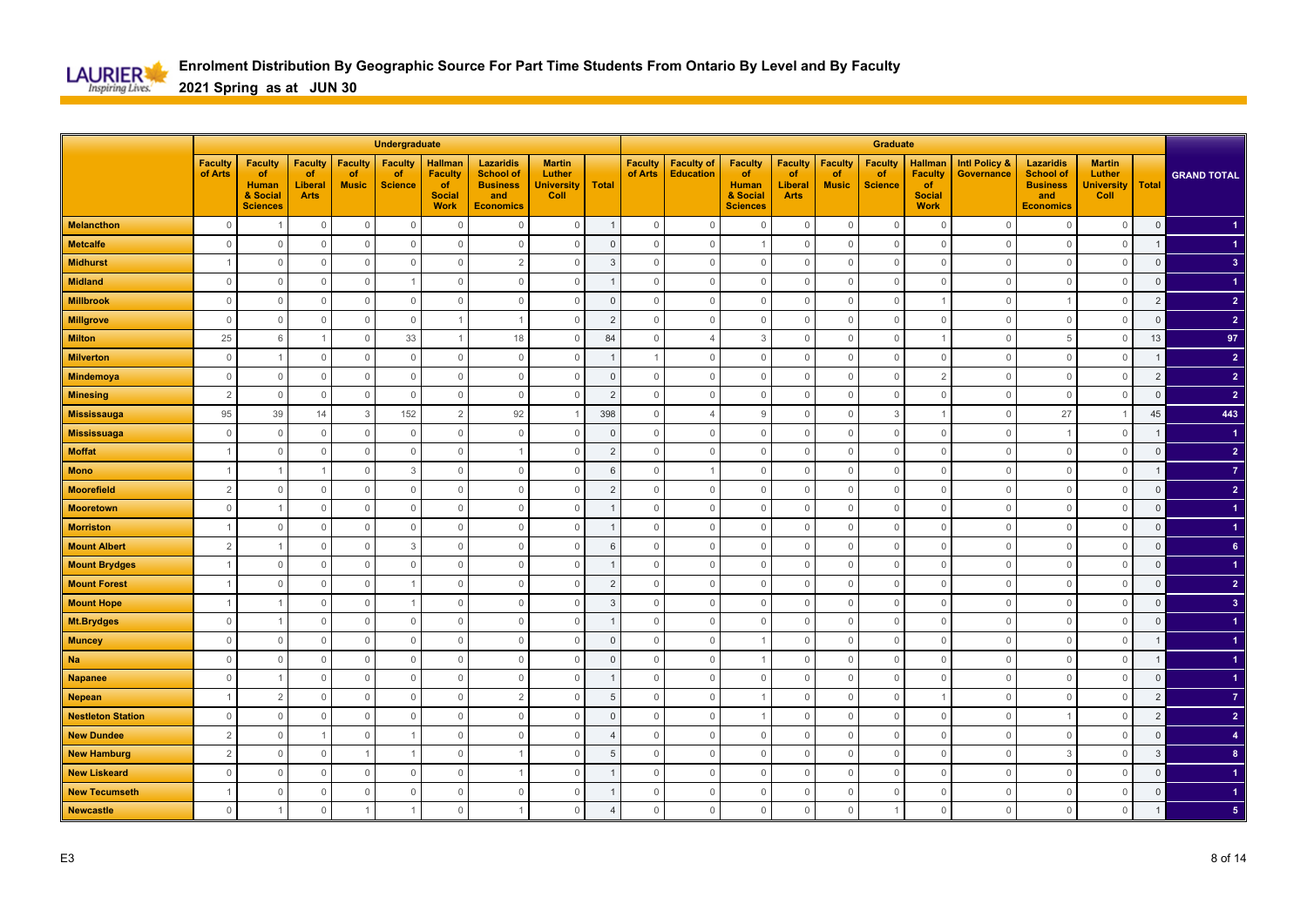

|                          |                           |                                                                     |                                                |                                      | Undergraduate                          |                                                                        |                                                                                    |                                                      |                |                           |                                       |                                                                            |                                                       |                                      | Graduate                               |                                                                        |                                        |                                                                                    |                                                      |                |                    |
|--------------------------|---------------------------|---------------------------------------------------------------------|------------------------------------------------|--------------------------------------|----------------------------------------|------------------------------------------------------------------------|------------------------------------------------------------------------------------|------------------------------------------------------|----------------|---------------------------|---------------------------------------|----------------------------------------------------------------------------|-------------------------------------------------------|--------------------------------------|----------------------------------------|------------------------------------------------------------------------|----------------------------------------|------------------------------------------------------------------------------------|------------------------------------------------------|----------------|--------------------|
|                          | <b>Faculty</b><br>of Arts | <b>Faculty</b><br>of<br><b>Human</b><br>& Social<br><b>Sciences</b> | <b>Faculty</b><br>of<br>Liberal<br><b>Arts</b> | <b>Faculty</b><br>of<br><b>Music</b> | <b>Faculty</b><br>of<br><b>Science</b> | <b>Hallman</b><br><b>Faculty</b><br>of<br><b>Social</b><br><b>Work</b> | <b>Lazaridis</b><br><b>School of</b><br><b>Business</b><br>and<br><b>Economics</b> | <b>Martin</b><br>Luther<br><b>University</b><br>Coll | <b>Total</b>   | <b>Faculty</b><br>of Arts | <b>Faculty of</b><br><b>Education</b> | <b>Faculty</b><br><b>of</b><br><b>Human</b><br>& Social<br><b>Sciences</b> | <b>Faculty</b><br>of<br><b>Liberal</b><br><b>Arts</b> | <b>Faculty</b><br>of<br><b>Music</b> | <b>Faculty</b><br>of<br><b>Science</b> | <b>Hallman</b><br><b>Faculty</b><br>of<br><b>Social</b><br><b>Work</b> | <b>Intl Policy &amp;</b><br>Governance | <b>Lazaridis</b><br><b>School of</b><br><b>Business</b><br>and<br><b>Economics</b> | <b>Martin</b><br>Luther<br><b>University</b><br>Coll | <b>Total</b>   | <b>GRAND TOTAL</b> |
| <b>Melancthon</b>        | $\mathbf 0$               |                                                                     | $\mathbb O$                                    | $\mathbf 0$                          | $\mathbf 0$                            | $\Omega$                                                               | $\Omega$                                                                           | $\mathbb O$                                          |                | $\mathsf{O}\xspace$       | $\mathbf 0$                           | $\mathbf 0$                                                                | $\mathbf 0$                                           | $\mathbf 0$                          | $\overline{0}$                         | $\overline{0}$                                                         | $\Omega$                               | $\mathbf{0}$                                                                       | $\mathbf 0$                                          | $\mathbf 0$    |                    |
| <b>Metcalfe</b>          | $\mathbf{0}$              | $\Omega$                                                            | $\circ$                                        | $\mathbf 0$                          | $\mathbf{0}$                           | $\Omega$                                                               | $\Omega$                                                                           | $\circ$                                              | $\Omega$       | $\mathbf 0$               | $\mathbf{0}$                          | -1                                                                         | $\mathbf 0$                                           | $\Omega$                             | $\overline{0}$                         | $\overline{0}$                                                         | $\Omega$                               | $\mathbf{0}$                                                                       | $\mathbf{0}$                                         | $\mathbf{1}$   |                    |
| <b>Midhurst</b>          |                           | $\Omega$                                                            | $\mathbf 0$                                    | $\mathbf 0$                          | $\mathbf{0}$                           | $\Omega$                                                               | $\overline{2}$                                                                     | $\mathbf 0$                                          | 3              | $\Omega$                  | $\mathbf 0$                           | $\mathbf 0$                                                                | $\mathbf 0$                                           | $\Omega$                             | $\mathbf{0}$                           | $\overline{0}$                                                         | $\Omega$                               | $\mathbf{0}$                                                                       | $\mathbf 0$                                          | $\mathsf 0$    | 3 <sup>2</sup>     |
| <b>Midland</b>           | $\mathbf{0}$              | $\Omega$                                                            | $\mathbf 0$                                    | $\overline{0}$                       |                                        | $\mathbf 0$                                                            | $\Omega$                                                                           | $\mathbf 0$                                          |                | $\Omega$                  | $\mathbf 0$                           | $\mathbf 0$                                                                | 0                                                     | $\Omega$                             | $\mathbf 0$                            | $\mathbf 0$                                                            | $\Omega$                               | $\mathbf{0}$                                                                       | $\mathbf 0$                                          | $\mathbf 0$    |                    |
| <b>Millbrook</b>         | $\mathbf{0}$              | $\overline{0}$                                                      | $\mathbf 0$                                    | $\mathbb O$                          | $\mathbb O$                            | $\mathbf 0$                                                            | $\mathbf 0$                                                                        | $\mathbb O$                                          | $\mathbf 0$    | $\mathbf{0}$              | $\mathbb O$                           | $\mathbf 0$                                                                | $\mathbf 0$                                           | $\Omega$                             | $\mathbf 0$                            |                                                                        | $\circ$                                |                                                                                    | $\mathbb O$                                          | $\overline{2}$ | $\overline{2}$     |
| <b>Millgrove</b>         | $\mathbf{0}$              | $\circ$                                                             | $\mathbf 0$                                    | $\mathbb O$                          | $\mathbb O$                            |                                                                        |                                                                                    | $\mathbf 0$                                          | $\overline{2}$ | $\mathbf 0$               | $\mathsf{O}\xspace$                   | $\mathbf 0$                                                                | $\mathbf 0$                                           | $\Omega$                             | $\mathbf 0$                            | $\mathbf 0$                                                            | $\circ$                                | $\mathbf 0$                                                                        | $\mathbb O$                                          | $\mathsf 0$    | $\overline{2}$     |
| <b>Milton</b>            | 25                        | 6                                                                   | $\overline{1}$                                 | $\mathbf 0$                          | 33                                     |                                                                        | 18                                                                                 | $\mathbf 0$                                          | 84             | $\Omega$                  | $\overline{4}$                        | 3                                                                          | $\mathbf 0$                                           | $\Omega$                             | $\mathbf 0$                            |                                                                        | $\Omega$                               | 5                                                                                  | $\mathbf{0}$                                         | 13             | 97                 |
| <b>Milverton</b>         | $\mathbf{0}$              |                                                                     | $\mathbf 0$                                    | $\mathbb O$                          | $\mathbb O$                            | $\mathbf 0$                                                            | $\mathbf 0$                                                                        | $\mathbf 0$                                          |                |                           | $\mathbb O$                           | $\mathbf 0$                                                                | $\mathbf 0$                                           | $\Omega$                             | $\mathbf 0$                            | $\mathbf 0$                                                            | $\Omega$                               | $\mathbf{0}$                                                                       | $\mathbf 0$                                          |                | $\overline{2}$     |
| <b>Mindemoya</b>         | $\mathbb O$               | $\overline{0}$                                                      | $\mathbb O$                                    | $\mathbb O$                          | $\mathbb O$                            | $\mathbf{0}$                                                           | $\mathbf{0}$                                                                       | $\mathbb O$                                          | $\Omega$       | $\mathsf{O}\xspace$       | $\mathbf{0}$                          | $\mathbf 0$                                                                | $\mathsf{O}\xspace$                                   | $\Omega$                             | $\mathbf 0$                            | $\overline{2}$                                                         | $\Omega$                               | $\mathbf 0$                                                                        | $\mathbb O$                                          | $\overline{2}$ | $\overline{2}$     |
| <b>Minesing</b>          | $\overline{2}$            | $\overline{0}$                                                      | $\mathbb O$                                    | $\mathbb O$                          | $\mathbb O$                            | $\mathbb O$                                                            | $\mathbf 0$                                                                        | $\mathbb O$                                          | $\overline{2}$ | $\mathbf 0$               | $\mathsf{O}\xspace$                   | $\mathbf 0$                                                                | $\mathsf{O}\xspace$                                   | $\mathbf 0$                          | $\mathbb O$                            | $\mathbf 0$                                                            | $\overline{0}$                         | $\mathbf 0$                                                                        | $\mathbb O$                                          | $\overline{0}$ | $\overline{2}$     |
| <b>Mississauga</b>       | 95                        | 39                                                                  | 14                                             | $\mathbf{3}$                         | 152                                    | 2                                                                      | 92                                                                                 | $\overline{1}$                                       | 398            | $\Omega$                  | $\overline{\mathcal{A}}$              | 9                                                                          | $\mathbf{0}$                                          | $\Omega$                             | $\mathbf{3}$                           |                                                                        | $\Omega$                               | 27                                                                                 | $\overline{1}$                                       | 45             | 443                |
| <b>Mississuaga</b>       | $\mathbf{0}$              | $\Omega$                                                            | $\mathbf 0$                                    | $\overline{0}$                       | $\mathbb O$                            | $\overline{0}$                                                         | $\mathbf 0$                                                                        | $\mathbf 0$                                          | $\mathbf{0}$   | $\mathbf{0}$              | $\mathbf 0$                           | $\Omega$                                                                   | $\mathbf 0$                                           | $\Omega$                             | $\mathbf 0$                            | $\mathbf 0$                                                            | $\Omega$                               |                                                                                    | $\mathbf{0}$                                         | $\mathbf 1$    | -1                 |
| <b>Moffat</b>            | $\overline{1}$            | $\Omega$                                                            | $\mathbb O$                                    | $\mathbb O$                          | $\mathbb O$                            | $\mathbf{0}$                                                           |                                                                                    | $\mathbb O$                                          | $\overline{c}$ | $\mathbf{0}$              | $\mathbf{0}$                          | $\mathbf 0$                                                                | $\mathbb O$                                           | $\Omega$                             | $\mathbf 0$                            | $\mathbf 0$                                                            | $\Omega$                               | $\mathbf{0}$                                                                       | $\mathbb O$                                          | $\mathsf 0$    | $\overline{2}$     |
| <b>Mono</b>              | $\overline{1}$            |                                                                     | $\overline{1}$                                 | $\overline{0}$                       | 3                                      | $\mathbb O$                                                            | $\mathbf 0$                                                                        | $\mathbf 0$                                          | 6              | $\mathbf{0}$              | -1                                    | $\mathbf 0$                                                                | $\mathbf 0$                                           | $\Omega$                             | $\mathbf 0$                            | $\mathbf 0$                                                            | $\circ$                                | $\mathbf 0$                                                                        | $\mathbf 0$                                          | $\mathbf{1}$   | $\overline{7}$     |
| <b>Moorefield</b>        | $\overline{2}$            | $\Omega$                                                            | $\mathbf 0$                                    | $\mathbf 0$                          | $\mathbf{0}$                           | $\Omega$                                                               | $\Omega$                                                                           | $\mathbf 0$                                          | $\overline{2}$ | $\Omega$                  | $\mathbf{0}$                          | $\mathbf 0$                                                                | $\mathbf{0}$                                          | $\Omega$                             | $\mathbf 0$                            | $\overline{0}$                                                         | $\Omega$                               | $\mathbf 0$                                                                        | $\mathbf 0$                                          | $\Omega$       | $\overline{2}$     |
| <b>Mooretown</b>         | $\mathbf 0$               |                                                                     | $\mathbf{0}$                                   | $\overline{0}$                       | $\overline{0}$                         | $\Omega$                                                               | $\mathbf 0$                                                                        | 0                                                    |                | $\Omega$                  | $\circ$                               | $\Omega$                                                                   | 0                                                     | C                                    | $\mathbf 0$                            | $\overline{0}$                                                         | $\Omega$                               | $\circ$                                                                            | $\mathbf 0$                                          | $\mathbf 0$    |                    |
| <b>Morriston</b>         |                           | $\Omega$                                                            | $\mathbb O$                                    | $\mathbb O$                          | $\mathbb O$                            | $\mathbf 0$                                                            | $\Omega$                                                                           | $\mathbb O$                                          |                | $\mathbf{0}$              | $\mathbf{0}$                          | $\mathbf{0}$                                                               | $\mathbb O$                                           | $\Omega$                             | $\mathbf 0$                            | $\mathbf 0$                                                            | $\Omega$                               | $\mathbf{0}$                                                                       | $\mathbb O$                                          | $\mathsf 0$    |                    |
| <b>Mount Albert</b>      | $\overline{2}$            |                                                                     | $\mathbf 0$                                    | $\circ$                              | 3                                      | $\mathbf 0$                                                            | $\mathbf 0$                                                                        | $\mathbf 0$                                          | 6              | $\mathbf{0}$              | $\mathbf 0$                           | $\mathbf 0$                                                                | $\mathbf 0$                                           | $\Omega$                             | $\mathbf 0$                            | $\mathbf 0$                                                            | $\overline{0}$                         | $\mathbf 0$                                                                        | $\mathbb O$                                          | $\mathbf 0$    | 6 <sup>°</sup>     |
| <b>Mount Brydges</b>     |                           | $\Omega$                                                            | $\mathbb O$                                    | $\mathbf{0}$                         | $\mathbf{0}$                           | $\Omega$                                                               | $\Omega$                                                                           | $\mathbb O$                                          |                | $\Omega$                  | $\mathbf 0$                           | $\mathbf{0}$                                                               | $\mathbf 0$                                           | $\Omega$                             | $\overline{0}$                         | $\overline{0}$                                                         | $\Omega$                               | $\mathbf 0$                                                                        | $\mathbb O$                                          | $\mathsf 0$    |                    |
| <b>Mount Forest</b>      |                           | $\Omega$                                                            | $\mathbf 0$                                    | $\overline{0}$                       |                                        | $\Omega$                                                               | $\Omega$                                                                           | $\mathbf 0$                                          | $\overline{2}$ | $\Omega$                  | $\mathbf 0$                           | $\mathbf 0$                                                                | 0                                                     | $\Omega$                             | $\mathbf 0$                            | $\mathbf 0$                                                            | $\Omega$                               | $\mathbf{0}$                                                                       | $\mathbf 0$                                          | $\mathsf 0$    | $\overline{2}$     |
| <b>Mount Hope</b>        |                           |                                                                     | $\mathbb O$                                    | $\overline{0}$                       |                                        | $\mathbf{0}$                                                           | $\mathbf 0$                                                                        | $\mathbb O$                                          | 3              | $\Omega$                  | $\mathbf 0$                           | $\mathbf 0$                                                                | $\mathbf 0$                                           | $\Omega$                             | $\mathbf 0$                            | $\mathbf 0$                                                            | $\Omega$                               | $\overline{0}$                                                                     | $\mathbb O$                                          | $\mathsf 0$    | 3 <sup>2</sup>     |
| <b>Mt.Brydges</b>        | $\mathbf 0$               |                                                                     | $\mathbf 0$                                    | $\overline{0}$                       | $\mathbb O$                            | $\mathbf 0$                                                            | $\mathbf 0$                                                                        | $\mathbf 0$                                          |                | $\mathbf{0}$              | $\mathbb O$                           | $\mathbf{0}$                                                               | $\mathbf 0$                                           | $\Omega$                             | $\overline{0}$                         | $\mathbf 0$                                                            | $\circ$                                | $\mathbf 0$                                                                        | $\mathbb O$                                          | $\mathsf 0$    |                    |
| <b>Muncey</b>            | $\mathbb O$               | $\Omega$                                                            | $\mathbb O$                                    | $\overline{0}$                       | $\mathbb O$                            | $\mathbf{0}$                                                           | $\mathbf 0$                                                                        | $\mathbb O$                                          | $\Omega$       | $\mathsf{O}\xspace$       | $\mathsf 0$                           |                                                                            | $\mathbb O$                                           | $\Omega$                             | $\overline{0}$                         | $\mathbf 0$                                                            | $\Omega$                               | $\mathbb O$                                                                        | $\mathbb O$                                          |                |                    |
| <b>Na</b>                | $\mathbf 0$               | $\Omega$                                                            | $\mathbf 0$                                    | $\mathbf 0$                          | $\mathbf 0$                            | $\Omega$                                                               | $\mathbf 0$                                                                        | $\mathbf 0$                                          | $\Omega$       | $\Omega$                  | $\mathbf 0$                           |                                                                            | $\mathbf 0$                                           | C                                    | $\mathbf 0$                            | $\overline{0}$                                                         | $\Omega$                               | $\circ$                                                                            | $\mathbf 0$                                          |                |                    |
| <b>Napanee</b>           | $\mathbf{0}$              |                                                                     | $\mathsf{O}\xspace$                            | $\mathbf{0}$                         | $\mathbb O$                            | $\Omega$                                                               | $\Omega$                                                                           | $\mathsf{O}\xspace$                                  |                | $\Omega$                  | $\mathbf{0}$                          | $\Omega$                                                                   | $\mathbf 0$                                           | $\Omega$                             | $\mathbf 0$                            | $\overline{0}$                                                         | $\cap$                                 | $\mathbf{0}$                                                                       | $\mathbf 0$                                          | $\overline{0}$ |                    |
| <b>Nepean</b>            |                           | $\overline{2}$                                                      | $\mathbf 0$                                    | $\mathbf 0$                          | $\mathbb O$                            | $\mathbf 0$                                                            | $\overline{2}$                                                                     | $\mathbf 0$                                          | 5              | $\mathbf{0}$              | $\mathbb O$                           |                                                                            | $\mathbf 0$                                           | $\Omega$                             | $\mathbf 0$                            |                                                                        | 0                                      | $\Omega$                                                                           | $\mathbf 0$                                          | $\overline{2}$ | $\overline{7}$     |
| <b>Nestleton Station</b> | $\mathbb O$               | $\Omega$                                                            | $\mathsf{O}\xspace$                            | $\mathbb O$                          | $\mathbb O$                            | $\overline{0}$                                                         | $\mathbf{0}$                                                                       | $\mathbb O$                                          | $\Omega$       | $\mathbf{0}$              | $\mathbf 0$                           | $\overline{1}$                                                             | $\mathsf{O}\xspace$                                   | $\mathbf 0$                          | $\mathbb O$                            | $\mathbf 0$                                                            | $\Omega$                               | -1                                                                                 | $\mathbf 0$                                          | $\overline{2}$ | 2 <sup>7</sup>     |
| <b>New Dundee</b>        | $\overline{2}$            | $\Omega$                                                            | $\overline{1}$                                 | $\mathbf 0$                          |                                        | $\mathbf 0$                                                            | $\mathbf 0$                                                                        | $\mathbf{0}$                                         | $\overline{4}$ | $\Omega$                  | $\mathbf 0$                           | $\mathbf 0$                                                                | $\mathbf 0$                                           | $\Omega$                             | $\mathbf 0$                            | $\overline{0}$                                                         | $\Omega$                               | $\mathbf{0}$                                                                       | $\mathbf{0}$                                         | $\mathbf{0}$   | $\overline{4}$     |
| <b>New Hamburg</b>       | $\overline{c}$            | $\Omega$                                                            | $\mathbb O$                                    | -1                                   |                                        | $\mathbf{0}$                                                           |                                                                                    | $\mathbf{0}$                                         | 5              | $\Omega$                  | $\mathbf{0}$                          | $\mathbf 0$                                                                | $\mathbf{0}$                                          | $\Omega$                             | $\overline{0}$                         | $\overline{0}$                                                         | $\Omega$                               | $\mathbf{3}$                                                                       | $\mathbf 0$                                          | $\overline{3}$ | $\bf{8}$           |
| <b>New Liskeard</b>      | $\mathbf{0}$              | $\circ$                                                             | $\mathbf 0$                                    | $\overline{0}$                       | $\mathbf 0$                            | $\mathbb O$                                                            |                                                                                    | $\mathbf 0$                                          |                | $\mathbf{0}$              | $\mathbb O$                           | $\mathbf 0$                                                                | $\mathbf 0$                                           | $\Omega$                             | $\mathbf 0$                            | $\mathbf 0$                                                            | $\circ$                                | $\mathbf 0$                                                                        | $\mathbf 0$                                          | $\mathbf 0$    |                    |
| <b>New Tecumseth</b>     | $\overline{1}$            | $\Omega$                                                            | $\mathbb O$                                    | $\overline{0}$                       | $\mathbf{0}$                           | $\mathbf 0$                                                            | $\Omega$                                                                           | $\mathbb O$                                          |                | $\mathbf{0}$              | $\mathbf 0$                           | $\mathbf 0$                                                                | $\mathbb O$                                           | $\Omega$                             | $\overline{0}$                         | $\mathbb O$                                                            | $\Omega$                               | $\mathbb O$                                                                        | $\mathbf 0$                                          | $\overline{0}$ |                    |
| <b>Newcastle</b>         | $\mathbf{0}$              |                                                                     | $\mathbf{0}$                                   |                                      |                                        | $\Omega$                                                               | -1                                                                                 | $\mathbf 0$                                          | $\overline{4}$ | $\mathbf 0$               | $\mathbb O$                           | $\Omega$                                                                   | $\mathbf 0$                                           | $\Omega$                             |                                        | $\mathbf{0}$                                                           | $\Omega$                               | $\mathbf 0$                                                                        | $\mathbf 0$                                          |                | 5                  |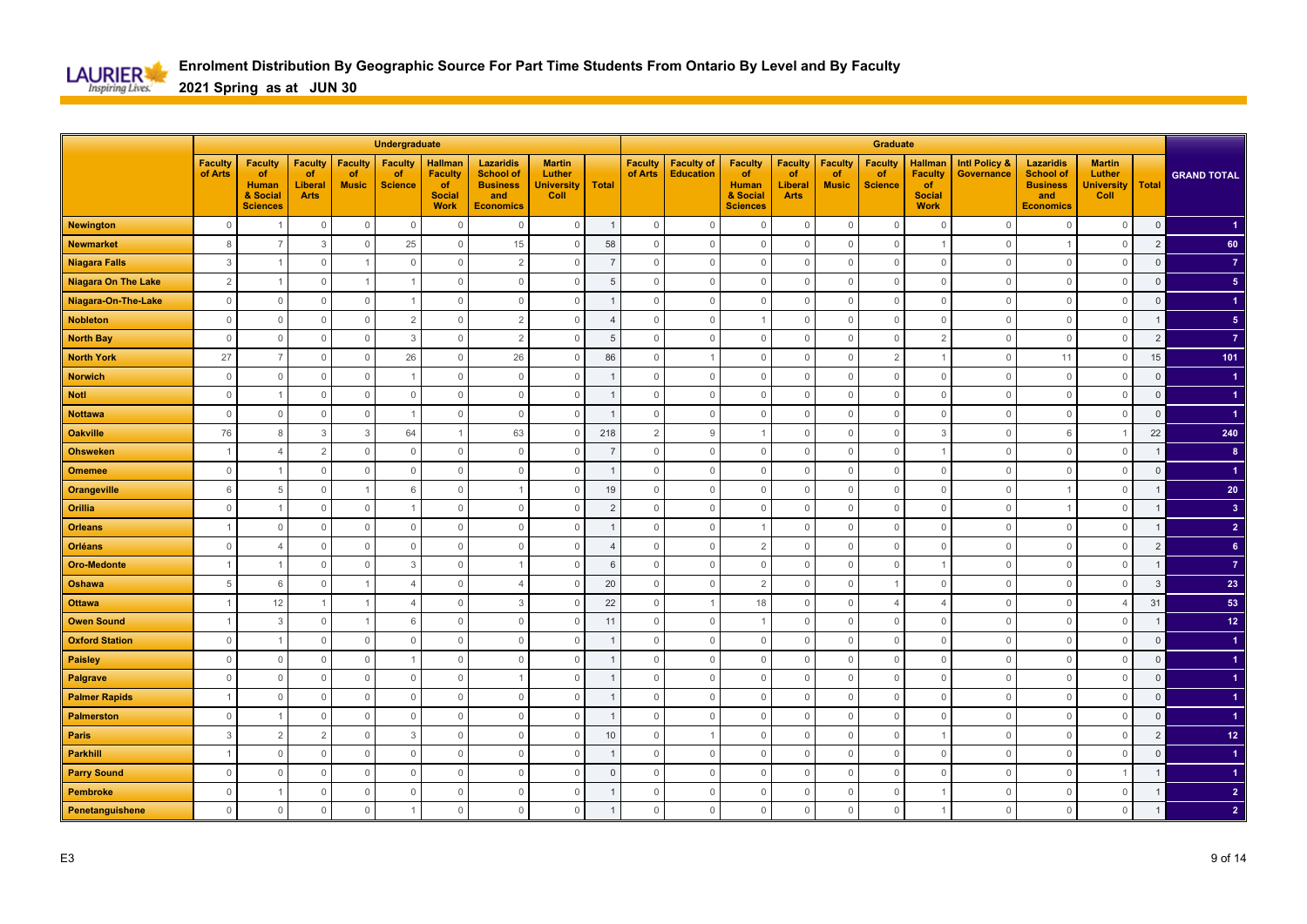

|                            |                           |                                                                     |                                                |                                      | Undergraduate                          |                                                                        |                                                                                    |                                                      |                |                           |                                       |                                                                            |                                                       |                                      | Graduate                               |                                                                        |                                        |                                                                                    |                                                      |                |                      |
|----------------------------|---------------------------|---------------------------------------------------------------------|------------------------------------------------|--------------------------------------|----------------------------------------|------------------------------------------------------------------------|------------------------------------------------------------------------------------|------------------------------------------------------|----------------|---------------------------|---------------------------------------|----------------------------------------------------------------------------|-------------------------------------------------------|--------------------------------------|----------------------------------------|------------------------------------------------------------------------|----------------------------------------|------------------------------------------------------------------------------------|------------------------------------------------------|----------------|----------------------|
|                            | <b>Faculty</b><br>of Arts | <b>Faculty</b><br>of<br><b>Human</b><br>& Social<br><b>Sciences</b> | <b>Faculty</b><br>of<br>Liberal<br><b>Arts</b> | <b>Faculty</b><br>of<br><b>Music</b> | <b>Faculty</b><br>of<br><b>Science</b> | <b>Hallman</b><br><b>Faculty</b><br>of<br><b>Social</b><br><b>Work</b> | <b>Lazaridis</b><br><b>School of</b><br><b>Business</b><br>and<br><b>Economics</b> | <b>Martin</b><br>Luther<br><b>University</b><br>Coll | <b>Total</b>   | <b>Faculty</b><br>of Arts | <b>Faculty of</b><br><b>Education</b> | <b>Faculty</b><br><b>of</b><br><b>Human</b><br>& Social<br><b>Sciences</b> | <b>Faculty</b><br>of<br><b>Liberal</b><br><b>Arts</b> | <b>Faculty</b><br>of<br><b>Music</b> | <b>Faculty</b><br>of<br><b>Science</b> | <b>Hallman</b><br><b>Faculty</b><br>of<br><b>Social</b><br><b>Work</b> | <b>Intl Policy &amp;</b><br>Governance | <b>Lazaridis</b><br><b>School of</b><br><b>Business</b><br>and<br><b>Economics</b> | <b>Martin</b><br>Luther<br><b>University</b><br>Coll | <b>Total</b>   | <b>GRAND TOTAL</b>   |
| <b>Newington</b>           | $\mathbf 0$               |                                                                     | $\mathbb O$                                    | $\mathbb O$                          | $\mathbf 0$                            | $\Omega$                                                               | $\Omega$                                                                           | $\mathbb O$                                          | $\overline{1}$ | $\mathsf{O}\xspace$       | $\mathbf 0$                           | $\mathbf 0$                                                                | $\mathbf 0$                                           | $\mathbf 0$                          | $\overline{0}$                         | $\mathbf 0$                                                            | $\Omega$                               | $\mathbf{0}$                                                                       | $\mathbf 0$                                          | $\mathbf 0$    |                      |
| <b>Newmarket</b>           | 8                         | $\overline{7}$                                                      | 3                                              | $\overline{0}$                       | 25                                     | $\Omega$                                                               | 15                                                                                 | $\circ$                                              | 58             | $\mathbf 0$               | $\mathbf{0}$                          | $\mathbf 0$                                                                | $\mathbf 0$                                           | $\Omega$                             | $\overline{0}$                         |                                                                        | $\Omega$                               |                                                                                    | $\mathbf{0}$                                         | $\overline{2}$ | 60                   |
| <b>Niagara Falls</b>       | 3                         |                                                                     | $\mathbf 0$                                    | $\overline{1}$                       | $\mathbf{0}$                           | $\Omega$                                                               | $\overline{2}$                                                                     | $\mathbf 0$                                          | $\overline{7}$ | $\Omega$                  | $\mathbf 0$                           | $\mathbf 0$                                                                | $\mathbf 0$                                           | $\Omega$                             | $\overline{0}$                         | $\overline{0}$                                                         | $\Omega$                               | $\Omega$                                                                           | $\mathbf 0$                                          | $\mathsf 0$    | $\overline{7}$       |
| <b>Niagara On The Lake</b> | 2                         |                                                                     | $\mathbf 0$                                    |                                      |                                        | $\mathbf{0}$                                                           | $\Omega$                                                                           | $\mathbf 0$                                          | 5              | $\mathbf 0$               | $\mathbf{0}$                          | $\mathbf 0$                                                                | $\mathbf 0$                                           | $\Omega$                             | $\mathbf 0$                            | $\mathbf 0$                                                            | $\Omega$                               | $\overline{0}$                                                                     | $\mathbf 0$                                          | $\mathsf 0$    | 5 <sub>5</sub>       |
| Niagara-On-The-Lake        | $\mathbb O$               | $\circ$                                                             | $\mathbf 0$                                    | $\overline{0}$                       |                                        | $\mathbf 0$                                                            | $\mathbf 0$                                                                        | $\mathbb O$                                          |                | $\mathbf{0}$              | $\mathbb O$                           | $\mathbf 0$                                                                | $\mathbf 0$                                           | $\Omega$                             | $\mathbf 0$                            | $\mathbf 0$                                                            | $\circ$                                | $\overline{0}$                                                                     | $\mathbb O$                                          | $\mathsf 0$    |                      |
| <b>Nobleton</b>            | $\mathbb O$               | $\circ$                                                             | $\mathbf 0$                                    | $\mathbb O$                          | $\overline{2}$                         | $\mathbb O$                                                            | $\overline{2}$                                                                     | $\mathbf 0$                                          | $\overline{4}$ | $\mathbf 0$               | $\mathsf{O}\xspace$                   |                                                                            | $\mathbf 0$                                           | $\Omega$                             | $\mathbf 0$                            | $\mathbf 0$                                                            | $\circ$                                | $\mathbb O$                                                                        | $\mathbb O$                                          |                | 5 <sub>5</sub>       |
| <b>North Bay</b>           | $\mathbb O$               | $\Omega$                                                            | $\mathbf 0$                                    | $\overline{0}$                       | 3                                      | $\Omega$                                                               | $\overline{2}$                                                                     | $\mathbf 0$                                          | 5              | $\Omega$                  | $\mathbb O$                           | $\mathbf 0$                                                                | $\mathbf 0$                                           | $\Omega$                             | $\mathbf 0$                            | $\overline{2}$                                                         | $\Omega$                               | $\mathbf{0}$                                                                       | $\mathbf 0$                                          | $\overline{2}$ | $\overline{7}$       |
| <b>North York</b>          | 27                        |                                                                     | $\mathbf 0$                                    | $\mathbb O$                          | 26                                     | $\Omega$                                                               | 26                                                                                 | $\mathbf 0$                                          | 86             | $\mathbf{0}$              | $\overline{1}$                        | $\mathbf 0$                                                                | $\mathbf 0$                                           | $\Omega$                             | $\overline{2}$                         |                                                                        | $\Omega$                               | 11                                                                                 | $\mathbf 0$                                          | 15             | 101                  |
| <b>Norwich</b>             | $\mathbb O$               | $\overline{0}$                                                      | $\mathsf{O}\xspace$                            | $\mathbb O$                          |                                        | $\mathbf{0}$                                                           | $\Omega$                                                                           | $\mathbb O$                                          |                | $\mathsf{O}\xspace$       | $\mathbf{0}$                          | $\mathbf 0$                                                                | $\mathsf{O}\xspace$                                   | $\Omega$                             | $\mathbf 0$                            | $\mathbf 0$                                                            | $\Omega$                               | $\mathbf 0$                                                                        | $\mathbb O$                                          | $\mathbf{0}$   |                      |
| <b>Notl</b>                | $\mathsf{O}\xspace$       |                                                                     | $\mathsf{O}\xspace$                            | $\mathbb O$                          | $\mathbb O$                            | $\mathbf{0}$                                                           | $\mathbf 0$                                                                        | $\mathbb O$                                          |                | $\mathbf 0$               | $\mathbb O$                           | $\mathbf 0$                                                                | $\mathsf{O}\xspace$                                   | $\mathbf 0$                          | $\mathbb O$                            | $\mathbf 0$                                                            | $\overline{0}$                         | $\mathbf 0$                                                                        | $\mathbb O$                                          | $\mathsf 0$    | $\blacktriangleleft$ |
| <b>Nottawa</b>             | $\mathbb O$               | $\Omega$                                                            | $\mathsf{O}\xspace$                            | $\mathbb O$                          |                                        | $\mathbf{0}$                                                           | $\Omega$                                                                           | $\mathbb O$                                          | -1             | $\Omega$                  | $\mathbf 0$                           | $\mathbf 0$                                                                | $\mathbf{0}$                                          | $\Omega$                             | $\mathbb O$                            | $\mathbf{0}$                                                           | $\Omega$                               | $\mathbf 0$                                                                        | $\mathbf 0$                                          | $\overline{0}$ | $\blacktriangleleft$ |
| <b>Oakville</b>            | $76\,$                    | 8                                                                   | 3                                              | 3                                    | 64                                     |                                                                        | 63                                                                                 | $\mathbf 0$                                          | 218            | $\overline{2}$            | 9                                     |                                                                            | $\mathbf 0$                                           | $\Omega$                             | $\mathbf 0$                            | 3                                                                      | $\Omega$                               | 6                                                                                  |                                                      | 22             | 240                  |
| <b>Ohsweken</b>            | $\overline{1}$            | $\angle$                                                            | $\overline{2}$                                 | $\mathbb O$                          | $\mathbb O$                            | $\mathbf{0}$                                                           | $\mathbf 0$                                                                        | $\mathbb O$                                          | $\overline{7}$ | $\mathbf{0}$              | $\mathbf{0}$                          | $\mathbf 0$                                                                | $\mathbb O$                                           | $\Omega$                             | $\mathbb O$                            |                                                                        | $\Omega$                               | $\mathbf 0$                                                                        | $\mathbb O$                                          |                | $\bf{8}$             |
| <b>Omemee</b>              | $\mathbf{0}$              |                                                                     | $\mathbf 0$                                    | $\overline{0}$                       | $\mathbb O$                            | $\mathbf{0}$                                                           | $\mathbf 0$                                                                        | $\mathbf 0$                                          | -1             | $\mathbf{0}$              | $\mathbb O$                           | $\mathbf 0$                                                                | $\mathbf 0$                                           | $\Omega$                             | $\mathbf 0$                            | $\mathbf 0$                                                            | $\circ$                                | $\mathbf 0$                                                                        | $\mathbf 0$                                          | $\mathsf 0$    |                      |
| Orangeville                | 6                         | 5                                                                   | $\mathbb O$                                    | $\overline{1}$                       | 6                                      | $\Omega$                                                               |                                                                                    | $\mathbf 0$                                          | 19             | $\Omega$                  | $\mathbf{0}$                          | $\mathbf 0$                                                                | $\mathbf{0}$                                          | $\Omega$                             | $\mathbf 0$                            | $\overline{0}$                                                         | $\Omega$                               |                                                                                    | $\mathbf 0$                                          |                | 20 <sub>2</sub>      |
| <b>Orillia</b>             | $\mathbf 0$               |                                                                     | $\mathbf{0}$                                   | $\overline{0}$                       |                                        | $\Omega$                                                               | $\mathbf{0}$                                                                       | 0                                                    | $\overline{2}$ | $\mathbf{0}$              | $\mathbf 0$                           | $\Omega$                                                                   | 0                                                     | C                                    | $\mathbf 0$                            | $\mathbf 0$                                                            | $\Omega$                               |                                                                                    | $\mathbf 0$                                          |                | 3                    |
| <b>Orleans</b>             |                           | $\Omega$                                                            | $\mathbb O$                                    | $\mathbb O$                          | $\mathbb O$                            | $\mathbf 0$                                                            | $\Omega$                                                                           | $\mathbb O$                                          |                | $\mathbf{0}$              | $\mathbf{0}$                          |                                                                            | $\mathbb O$                                           | $\Omega$                             | $\mathbf 0$                            | $\mathbf 0$                                                            | $\Omega$                               | $\mathbf{0}$                                                                       | $\mathbb O$                                          | $\mathbf{1}$   | $\overline{2}$       |
| <b>Orléans</b>             | $\mathbf{0}$              | $\overline{\phantom{a}}$                                            | $\mathbf 0$                                    | $\circ$                              | $\mathbf 0$                            | $\mathbf 0$                                                            | $\mathbf{0}$                                                                       | $\mathbf 0$                                          | $\overline{4}$ | $\mathbf{0}$              | $\mathbf 0$                           | 2                                                                          | $\mathbf 0$                                           | $\Omega$                             | $\mathbf 0$                            | $\mathbf 0$                                                            | $\overline{0}$                         | $\mathbf 0$                                                                        | $\mathbb O$                                          | $\overline{2}$ | 6 <sup>1</sup>       |
| <b>Oro-Medonte</b>         |                           |                                                                     | $\mathbf{0}$                                   | $\mathbf{0}$                         | 3                                      | $\Omega$                                                               |                                                                                    | $\mathbb O$                                          | 6              | $\mathbf 0$               | $\mathbf{0}$                          | $\mathbf 0$                                                                | $\mathbf 0$                                           | $\Omega$                             | $\overline{0}$                         |                                                                        | $\Omega$                               | $\mathbf 0$                                                                        | $\mathbb O$                                          | $\overline{1}$ | $\overline{7}$       |
| Oshawa                     | 5                         | -6                                                                  | $\mathbf 0$                                    |                                      | $\overline{4}$                         | $\Omega$                                                               | 4                                                                                  | $\mathbf 0$                                          | 20             | $\mathbf{0}$              | $\mathbf 0$                           | 2                                                                          | 0                                                     | $\Omega$                             |                                        | $\mathbf 0$                                                            | $\Omega$                               | $\mathbf{0}$                                                                       | $\mathbf 0$                                          | $\mathbf{3}$   | ${\bf 23}$           |
| <b>Ottawa</b>              |                           | 12                                                                  | $\overline{1}$                                 |                                      | $\overline{4}$                         | $\mathbf 0$                                                            | 3                                                                                  | $\mathbb O$                                          | 22             | $\mathbf 0$               | $\overline{1}$                        | 18                                                                         | $\mathbf 0$                                           | $\Omega$                             | $\overline{4}$                         | $\overline{4}$                                                         | $\Omega$                               | $\mathbf{0}$                                                                       | $\overline{4}$                                       | 31             | 53                   |
| <b>Owen Sound</b>          | -1                        | 3                                                                   | $\mathbb O$                                    |                                      | 6                                      | $\mathbf 0$                                                            | $\mathbf 0$                                                                        | $\mathbf 0$                                          | 11             | $\mathbf{0}$              | $\mathbb O$                           | -1                                                                         | $\mathbf 0$                                           | $\Omega$                             | $\overline{0}$                         | $\mathbf 0$                                                            | $\circ$                                | $\mathbb O$                                                                        | $\mathbb O$                                          |                | 12 <sub>2</sub>      |
| <b>Oxford Station</b>      | $\mathbb O$               |                                                                     | $\mathbb O$                                    | $\overline{0}$                       | $\mathbb O$                            | $\mathbf{0}$                                                           | $\mathbf 0$                                                                        | $\mathbb O$                                          |                | $\mathsf{O}\xspace$       | $\mathsf 0$                           | $\mathbb O$                                                                | $\mathbb O$                                           | $\Omega$                             | $\overline{0}$                         | $\mathbb O$                                                            | $\Omega$                               | $\mathbb O$                                                                        | $\mathbb O$                                          | $\mathsf 0$    |                      |
| <b>Paisley</b>             | $\mathbf 0$               | $\Omega$                                                            | $\mathbf 0$                                    | $\mathbf 0$                          |                                        | $\Omega$                                                               | $\mathbf 0$                                                                        | $\mathbf 0$                                          |                | $\Omega$                  | $\mathbf 0$                           | $\Omega$                                                                   | 0                                                     | C                                    | $\mathbf 0$                            | $\mathbf{0}$                                                           | $\Omega$                               | $\circ$                                                                            | $\mathbf 0$                                          | $\mathbf{0}$   | -1                   |
| <b>Palgrave</b>            | $\mathbf{0}$              | $\Omega$                                                            | $\mathsf{O}\xspace$                            | $\mathbf 0$                          | $\mathbb O$                            | $\Omega$                                                               |                                                                                    | $\mathsf{O}\xspace$                                  |                | $\Omega$                  | $\mathbf{0}$                          | $\mathbf 0$                                                                | $\mathbb O$                                           | $\Omega$                             | $\mathbf 0$                            | $\overline{0}$                                                         | $\Omega$                               | $\mathbf{0}$                                                                       | $\mathbf 0$                                          | $\Omega$       |                      |
| <b>Palmer Rapids</b>       |                           | 0                                                                   | $\mathsf{O}\xspace$                            | $\mathbf 0$                          | $\mathbb O$                            | $\mathbf 0$                                                            | $\mathbf 0$                                                                        | $\mathbf 0$                                          |                | $\mathbf{0}$              | $\mathbb O$                           | $\mathbf 0$                                                                | $\mathbf 0$                                           | $\Omega$                             | $\mathbf 0$                            | $\mathbf 0$                                                            | 0                                      | $\Omega$                                                                           | $\mathbf 0$                                          | $\mathbf 0$    |                      |
| <b>Palmerston</b>          | $\mathbb O$               |                                                                     | $\mathbb O$                                    | $\mathbb O$                          | $\mathbb O$                            | $\mathbf{0}$                                                           | $\mathbf{0}$                                                                       | $\mathbb O$                                          |                | $\mathbf{0}$              | $\mathbf 0$                           | $\mathbf 0$                                                                | $\mathsf{O}\xspace$                                   | $\mathbf 0$                          | $\mathbb O$                            | $\mathbf{0}$                                                           | $\Omega$                               | $\mathbf 0$                                                                        | $\mathbf 0$                                          | $\overline{0}$ |                      |
| <b>Paris</b>               | 3                         | $\overline{2}$                                                      | $\overline{c}$                                 | $\mathbf 0$                          | 3                                      | $\mathbf{0}$                                                           | $\mathbf 0$                                                                        | $\mathbf 0$                                          | 10             | $\Omega$                  | $\overline{1}$                        | $\mathbf 0$                                                                | $\mathbf 0$                                           | $\Omega$                             | $\mathbf 0$                            |                                                                        | $\Omega$                               | $\mathbf{0}$                                                                       | $\mathbf{0}$                                         | $\overline{2}$ | 12 <sub>2</sub>      |
| <b>Parkhill</b>            |                           | $\Omega$                                                            | $\mathbb O$                                    | $\mathbf 0$                          | $\mathbf{0}$                           | $\mathbf 0$                                                            | $\mathbf{0}$                                                                       | $\mathbb O$                                          |                | $\Omega$                  | $\mathbf 0$                           | $\mathbf{0}$                                                               | $\mathbf{0}$                                          | $\Omega$                             | $\overline{0}$                         | $\overline{0}$                                                         | $\Omega$                               | $\mathbf{0}$                                                                       | $\mathbf 0$                                          | $\Omega$       | $\blacktriangleleft$ |
| <b>Parry Sound</b>         | $\mathbf{0}$              | $\circ$                                                             | $\mathbf 0$                                    | $\overline{0}$                       | $\mathbb O$                            | $\mathbb O$                                                            | $\mathbf 0$                                                                        | $\mathbf 0$                                          | $\mathbf{0}$   | $\mathbf{0}$              | $\mathbb O$                           | $\mathbf 0$                                                                | $\mathbf 0$                                           | $\Omega$                             | $\mathbf 0$                            | $\mathbf 0$                                                            | $\circ$                                | $\mathbf 0$                                                                        | -1                                                   |                |                      |
| <b>Pembroke</b>            | $\mathbf{0}$              |                                                                     | $\mathbb O$                                    | $\overline{0}$                       | $\mathbf{0}$                           | $\mathbf{0}$                                                           | $\Omega$                                                                           | $\mathbb O$                                          |                | $\mathbf{0}$              | $\mathbf 0$                           | $\mathbf{0}$                                                               | $\mathbb O$                                           | $\Omega$                             | $\mathbf 0$                            |                                                                        | $\Omega$                               | $\mathbb O$                                                                        | $\mathbf 0$                                          |                | $\overline{2}$       |
| Penetanguishene            | $\mathbf{0}$              | $\mathbf 0$                                                         | $\mathbf{0}$                                   | $\Omega$                             |                                        | $\Omega$                                                               | $\mathbf 0$                                                                        | $\mathbf 0$                                          |                | $\mathbf 0$               | $\mathbb O$                           | $\Omega$                                                                   | $\mathbf 0$                                           | $\Omega$                             | $\overline{0}$                         |                                                                        | $\Omega$                               | $\mathbf 0$                                                                        | $\mathbf 0$                                          |                | $\overline{2}$       |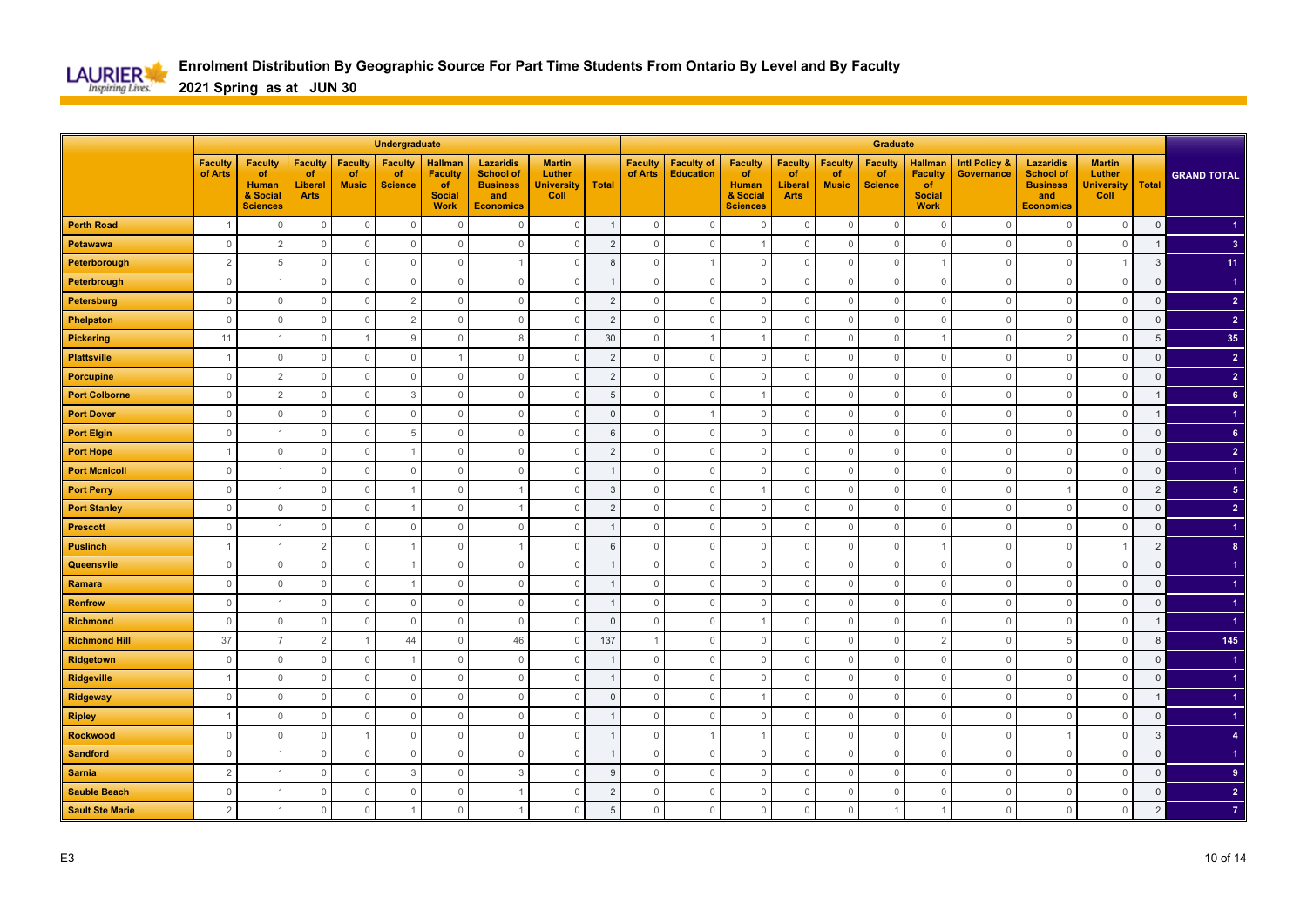

|                        |                           |                                                                     |                                                |                                      | Undergraduate                          |                                                                        |                                                                                    |                                                      |                |                           |                                       |                                                                            |                                                       |                                      | <b>Graduate</b>                        |                                                                        |                                               |                                                                                    |                                                      |                |                      |
|------------------------|---------------------------|---------------------------------------------------------------------|------------------------------------------------|--------------------------------------|----------------------------------------|------------------------------------------------------------------------|------------------------------------------------------------------------------------|------------------------------------------------------|----------------|---------------------------|---------------------------------------|----------------------------------------------------------------------------|-------------------------------------------------------|--------------------------------------|----------------------------------------|------------------------------------------------------------------------|-----------------------------------------------|------------------------------------------------------------------------------------|------------------------------------------------------|----------------|----------------------|
|                        | <b>Faculty</b><br>of Arts | <b>Faculty</b><br>of<br><b>Human</b><br>& Social<br><b>Sciences</b> | <b>Faculty</b><br>of<br>Liberal<br><b>Arts</b> | <b>Faculty</b><br>of<br><b>Music</b> | <b>Faculty</b><br>of<br><b>Science</b> | <b>Hallman</b><br><b>Faculty</b><br>of<br><b>Social</b><br><b>Work</b> | <b>Lazaridis</b><br><b>School of</b><br><b>Business</b><br>and<br><b>Economics</b> | <b>Martin</b><br>Luther<br><b>University</b><br>Coll | <b>Total</b>   | <b>Faculty</b><br>of Arts | <b>Faculty of</b><br><b>Education</b> | <b>Faculty</b><br><b>of</b><br><b>Human</b><br>& Social<br><b>Sciences</b> | <b>Faculty</b><br>of<br><b>Liberal</b><br><b>Arts</b> | <b>Faculty</b><br>of<br><b>Music</b> | <b>Faculty</b><br>of<br><b>Science</b> | <b>Hallman</b><br><b>Faculty</b><br>of<br><b>Social</b><br><b>Work</b> | <b>Intl Policy &amp;</b><br><b>Governance</b> | <b>Lazaridis</b><br><b>School of</b><br><b>Business</b><br>and<br><b>Economics</b> | <b>Martin</b><br>Luther<br><b>University</b><br>Coll | <b>Total</b>   | <b>GRAND TOTAL</b>   |
| <b>Perth Road</b>      |                           | $\Omega$                                                            | $\mathbb O$                                    | $\mathbb O$                          | $\mathbf 0$                            | $\Omega$                                                               | $\Omega$                                                                           | $\mathbb O$                                          |                | $\mathsf{O}\xspace$       | $\mathbf 0$                           | $\mathbf 0$                                                                | $\mathbf 0$                                           | $\mathbf 0$                          | $\overline{0}$                         | $\mathbf 0$                                                            | $\Omega$                                      | $\mathbf{0}$                                                                       | $\mathbf 0$                                          | $\mathbf 0$    |                      |
| Petawawa               | $\mathbf 0$               | $\overline{2}$                                                      | $\mathbf{0}$                                   | $\mathbf 0$                          | $\mathbf{0}$                           | $\Omega$                                                               | $\Omega$                                                                           | $\mathbf{0}$                                         | $\overline{2}$ | $\mathbf 0$               | $\mathbf{0}$                          | -1                                                                         | $\mathbf 0$                                           | $\Omega$                             | $\overline{0}$                         | $\overline{0}$                                                         | $\Omega$                                      | $\mathbf{0}$                                                                       | $\mathbf{0}$                                         | $\mathbf{1}$   | $\overline{3}$       |
| Peterborough           | $\overline{2}$            | 5                                                                   | $\mathbf 0$                                    | $\mathbf 0$                          | $\mathbb O$                            | $\Omega$                                                               |                                                                                    | $\mathbf 0$                                          | 8              | $\Omega$                  | $\overline{1}$                        | $\mathbf 0$                                                                | $\mathbf 0$                                           | $\Omega$                             | $\overline{0}$                         |                                                                        | $\Omega$                                      | $\mathbf{0}$                                                                       | $\overline{1}$                                       | $\mathbf{3}$   | 11                   |
| Peterbrough            | $\mathbf{0}$              |                                                                     | $\mathbf 0$                                    | $\overline{0}$                       | $\mathbf 0$                            | $\overline{0}$                                                         | $\Omega$                                                                           | $\mathbf 0$                                          |                | $\Omega$                  | $\mathbf 0$                           | $\mathbf 0$                                                                | $\mathbf 0$                                           | $\Omega$                             | $\mathbf 0$                            | $\mathbf 0$                                                            | $\Omega$                                      | $\overline{0}$                                                                     | $\mathbf 0$                                          | $\mathsf 0$    |                      |
| <b>Petersburg</b>      | $\mathbf{0}$              | $\circ$                                                             | $\mathbf 0$                                    | $\overline{0}$                       | $\overline{2}$                         | $\mathbf 0$                                                            | $\mathbf 0$                                                                        | $\mathbb O$                                          | $\overline{c}$ | $\mathbf{0}$              | $\mathbb O$                           | $\mathbf 0$                                                                | $\mathbf 0$                                           | $\Omega$                             | $\mathbf 0$                            | $\mathbf 0$                                                            | $\circ$                                       | $\mathbf 0$                                                                        | $\mathbb O$                                          | $\mathsf 0$    | $\overline{2}$       |
| <b>Phelpston</b>       | $\mathbf{0}$              | $\circ$                                                             | $\mathbf 0$                                    | $\overline{0}$                       | $\overline{2}$                         | $\mathbf 0$                                                            | $\mathbf 0$                                                                        | $\mathbf 0$                                          | $\overline{c}$ | $\mathbf 0$               | $\mathbb O$                           | $\mathbf 0$                                                                | $\mathbf 0$                                           | $\Omega$                             | $\mathbf 0$                            | $\mathbf 0$                                                            | $\circ$                                       | $\mathbb O$                                                                        | $\mathbb O$                                          | $\mathsf 0$    | $\overline{2}$       |
| <b>Pickering</b>       | 11                        |                                                                     | $\mathbf 0$                                    |                                      | 9                                      | $\Omega$                                                               | 8                                                                                  | $\mathbf 0$                                          | 30             | $\Omega$                  | $\overline{1}$                        |                                                                            | $\mathbf 0$                                           | $\Omega$                             | $\mathbf 0$                            |                                                                        | $\Omega$                                      | $\overline{2}$                                                                     | $\mathbf{0}$                                         | 5              | 35                   |
| <b>Plattsville</b>     | $\overline{1}$            | $\Omega$                                                            | $\mathbf 0$                                    | $\mathbf 0$                          | $\mathbb O$                            |                                                                        | $\mathbf 0$                                                                        | $\mathbf 0$                                          | $\overline{2}$ | $\mathbf{0}$              | $\mathbb O$                           | $\mathbf 0$                                                                | $\mathbf 0$                                           | $\Omega$                             | $\mathbf 0$                            | $\mathbf 0$                                                            | $\Omega$                                      | $\mathbf 0$                                                                        | $\mathbf 0$                                          | $\overline{0}$ | $\overline{2}$       |
| <b>Porcupine</b>       | $\mathbb O$               | $\overline{2}$                                                      | $\mathsf{O}\xspace$                            | $\mathbb O$                          | $\mathbb O$                            | $\mathbf{0}$                                                           | $\Omega$                                                                           | $\mathbb O$                                          | $\overline{2}$ | $\mathbf{0}$              | $\mathsf 0$                           | $\mathbf 0$                                                                | $\mathsf{O}\xspace$                                   | $\Omega$                             | $\mathbf 0$                            | $\mathbf 0$                                                            | $\Omega$                                      | $\mathbf 0$                                                                        | $\mathbb O$                                          | $\Omega$       | $\overline{2}$       |
| <b>Port Colborne</b>   | $\mathbb O$               | $\overline{2}$                                                      | $\mathsf{O}\xspace$                            | $\mathbb O$                          | 3                                      | $\mathbb O$                                                            | $\mathbf 0$                                                                        | $\mathbb O$                                          | 5              | $\mathbf 0$               | $\mathbb O$                           | -1                                                                         | $\mathsf{O}\xspace$                                   | $\mathbf 0$                          | $\mathbb O$                            | $\mathbf 0$                                                            | $\overline{0}$                                | $\mathbf 0$                                                                        | $\mathbb O$                                          | -1             | $6\phantom{.}$       |
| <b>Port Dover</b>      | $\mathbb O$               | $\Omega$                                                            | $\mathsf{O}\xspace$                            | $\mathbb O$                          | $\mathbf{0}$                           | $\mathbf{0}$                                                           | $\mathbf{0}$                                                                       | $\mathbb O$                                          | $\Omega$       | $\Omega$                  | $\overline{1}$                        | $\mathbf 0$                                                                | $\mathbf{0}$                                          | $\Omega$                             | $\mathbb O$                            | $\mathbf{0}$                                                           | $\Omega$                                      | $\mathbf{0}$                                                                       | $\mathbf 0$                                          | $\mathbf 1$    | $\blacktriangleleft$ |
| <b>Port Elgin</b>      | $\mathbf{0}$              |                                                                     | $\mathbf 0$                                    | $\overline{0}$                       | 5                                      | $\mathbf{0}$                                                           | $\mathbf 0$                                                                        | $\mathbf 0$                                          | 6              | $\mathbf{0}$              | $\mathbf 0$                           | $\Omega$                                                                   | $\mathbf 0$                                           | $\Omega$                             | $\mathbf 0$                            | $\mathbf 0$                                                            | $\Omega$                                      | $\mathbf 0$                                                                        | $\mathbf 0$                                          | $\mathbf 0$    | 6 <sup>°</sup>       |
| <b>Port Hope</b>       | $\overline{1}$            | $\Omega$                                                            | $\mathbb O$                                    | $\mathbb O$                          |                                        | $\mathbf 0$                                                            | $\mathbf 0$                                                                        | $\mathbb O$                                          | $\overline{c}$ | $\mathbf{0}$              | $\mathbf 0$                           | $\mathbf 0$                                                                | $\mathbb O$                                           | $\Omega$                             | $\mathbf 0$                            | $\mathbf 0$                                                            | $\Omega$                                      | $\mathbf{0}$                                                                       | $\mathbb O$                                          | $\mathsf 0$    | $\overline{2}$       |
| <b>Port Mcnicoll</b>   | $\mathbf{0}$              |                                                                     | $\mathbf 0$                                    | $\overline{0}$                       | $\mathbb O$                            | $\mathbb O$                                                            | $\mathbf 0$                                                                        | $\mathbf 0$                                          |                | $\mathbf{0}$              | $\mathbb O$                           | $\mathbf 0$                                                                | $\mathbf 0$                                           | $\Omega$                             | $\mathbf 0$                            | $\mathbf 0$                                                            | $\circ$                                       | $\mathbf 0$                                                                        | $\mathbf 0$                                          | $\mathbf 0$    |                      |
| <b>Port Perry</b>      | $\Omega$                  |                                                                     | $\mathbf 0$                                    | $\mathbf{0}$                         |                                        | $\Omega$                                                               |                                                                                    | $\mathbb O$                                          | $\overline{3}$ | $\Omega$                  | $\mathbf 0$                           |                                                                            | $\mathbf{0}$                                          | $\Omega$                             | $\mathbf 0$                            | $\overline{0}$                                                         | $\Omega$                                      |                                                                                    | $\mathbf 0$                                          | $\overline{2}$ | 5 <sub>5</sub>       |
| <b>Port Stanley</b>    | $\mathbf 0$               | $\Omega$                                                            | $\mathbf{0}$                                   | $\overline{0}$                       |                                        | $\Omega$                                                               |                                                                                    | 0                                                    | $\overline{2}$ | $\mathbf{0}$              | $\mathbf{0}$                          | $\mathbf 0$                                                                | 0                                                     | C                                    | $\mathbf 0$                            | $\mathbf 0$                                                            | $\Omega$                                      | $\circ$                                                                            | $\mathbf 0$                                          | $\mathbf 0$    | $\overline{2}$       |
| <b>Prescott</b>        | $\mathbf{0}$              |                                                                     | $\mathbb O$                                    | $\mathbb O$                          | $\mathbb O$                            | $\mathbf 0$                                                            | $\Omega$                                                                           | $\mathbb O$                                          |                | $\mathbf{0}$              | $\mathbf 0$                           | $\mathbf 0$                                                                | $\mathbb O$                                           | $\Omega$                             | $\mathbf 0$                            | $\mathbf 0$                                                            | $\Omega$                                      | $\mathbf 0$                                                                        | $\mathbb O$                                          | $\mathsf 0$    |                      |
| <b>Puslinch</b>        |                           |                                                                     | $\overline{2}$                                 | $\circ$                              |                                        | $\mathbf 0$                                                            |                                                                                    | $\mathbf 0$                                          | 6              | $\mathbf{0}$              | $\mathbf 0$                           | $\mathbf 0$                                                                | $\mathbf 0$                                           | $\mathbf 0$                          | $\mathbf 0$                            |                                                                        | $\overline{0}$                                | $\mathbf 0$                                                                        | -1                                                   | $\overline{2}$ | 8 <sup>°</sup>       |
| Queensvile             | $\Omega$                  | $\Omega$                                                            | $\mathbb O$                                    | $\overline{0}$                       |                                        | $\Omega$                                                               | $\Omega$                                                                           | $\mathbb O$                                          |                | $\Omega$                  | $\mathbf{0}$                          | $\mathbf{0}$                                                               | $\mathbf 0$                                           | $\Omega$                             | $\overline{0}$                         | $\overline{0}$                                                         | $\Omega$                                      | $\mathbf 0$                                                                        | $\mathbb O$                                          | $\mathsf 0$    |                      |
| Ramara                 | $\mathbf{0}$              | $\Omega$                                                            | $\mathbf 0$                                    | $\overline{0}$                       |                                        | $\Omega$                                                               | $\Omega$                                                                           | $\mathbf 0$                                          |                | $\Omega$                  | $\mathbf 0$                           | $\mathbf{0}$                                                               | 0                                                     | $\Omega$                             | $\mathbf 0$                            | $\mathbf 0$                                                            | $\Omega$                                      | $\mathbf{0}$                                                                       | $\mathbf 0$                                          | $\mathsf 0$    |                      |
| <b>Renfrew</b>         | $\mathbf{0}$              |                                                                     | $\mathbb O$                                    | $\overline{0}$                       | $\mathbb O$                            | $\mathbf{0}$                                                           | $\mathbf 0$                                                                        | $\mathbb O$                                          |                | $\mathbf{0}$              | $\mathbf 0$                           | $\Omega$                                                                   | $\mathbf 0$                                           | $\Omega$                             | $\mathbf 0$                            | $\mathbf 0$                                                            | $\Omega$                                      | $\mathbf{0}$                                                                       | $\mathbb O$                                          | $\mathsf 0$    |                      |
| <b>Richmond</b>        | $\mathbf 0$               | $\circ$                                                             | $\mathbf 0$                                    | $\overline{0}$                       | $\mathbb O$                            | $\mathbf 0$                                                            | $\mathbf 0$                                                                        | $\mathbf 0$                                          | $\mathbf{0}$   | $\mathbf{0}$              | $\mathbb O$                           |                                                                            | $\mathbf 0$                                           | $\Omega$                             | $\overline{0}$                         | $\mathbf 0$                                                            | $\circ$                                       | $\mathbf 0$                                                                        | $\mathbb O$                                          | $\mathbf 1$    |                      |
| <b>Richmond Hill</b>   | 37                        |                                                                     | $\overline{2}$                                 | -1                                   | 44                                     | $\overline{0}$                                                         | 46                                                                                 | $\mathbb O$                                          | 137            | 1                         | $\mathbb O$                           | $\mathbb O$                                                                | $\mathbb O$                                           | $\Omega$                             | $\overline{0}$                         | $\overline{2}$                                                         | $\Omega$                                      | 5                                                                                  | $\mathbf 0$                                          | 8              | 145                  |
| Ridgetown              | $\mathbf 0$               | $\Omega$                                                            | $\mathbf 0$                                    | $\mathbf 0$                          |                                        | $\Omega$                                                               | $\Omega$                                                                           | $\mathbf 0$                                          |                | $\Omega$                  | $\mathbf 0$                           | $\Omega$                                                                   | 0                                                     | C                                    | $\mathbf 0$                            | $\mathbf 0$                                                            | $\Omega$                                      | $\circ$                                                                            | $\mathbf 0$                                          | $\mathbf{0}$   | -1                   |
| Ridgeville             |                           | $\Omega$                                                            | $\mathsf{O}\xspace$                            | $\mathbf 0$                          | $\mathbb O$                            | $\mathbf 0$                                                            | $\Omega$                                                                           | $\mathsf{O}\xspace$                                  |                | $\Omega$                  | $\mathbf{0}$                          | $\Omega$                                                                   | $\mathbb O$                                           | $\Omega$                             | $\mathbf 0$                            | $\overline{0}$                                                         | $\Omega$                                      | $\mathbf{0}$                                                                       | $\mathbf 0$                                          | $\Omega$       |                      |
| <b>Ridgeway</b>        | $\mathbf{0}$              | 0                                                                   | $\mathsf{O}\xspace$                            | $\mathbf 0$                          | $\mathbb O$                            | $\mathbf 0$                                                            | $\mathbf{0}$                                                                       | $\mathbf 0$                                          | $\mathbf 0$    | $\mathbf{0}$              | $\mathbb O$                           | $\overline{1}$                                                             | $\mathbf 0$                                           | $\Omega$                             | $\mathbf 0$                            | $\mathbf 0$                                                            | 0                                             | $\mathbf{0}$                                                                       | $\mathbf 0$                                          | -1             |                      |
| <b>Ripley</b>          | $\overline{1}$            | $\Omega$                                                            | $\mathbb O$                                    | $\mathbb O$                          | $\mathbb O$                            | $\overline{0}$                                                         | $\mathbf{0}$                                                                       | $\mathbb O$                                          |                | $\mathbf{0}$              | $\mathbf 0$                           | $\mathbf{0}$                                                               | $\mathsf{O}\xspace$                                   | $\mathbf 0$                          | $\mathbb O$                            | $\mathbf 0$                                                            | $\Omega$                                      | $\mathbf 0$                                                                        | $\mathbf 0$                                          | $\mathbf{0}$   |                      |
| <b>Rockwood</b>        | $\mathbf{0}$              | $\Omega$                                                            | $\mathbf 0$                                    | $\overline{1}$                       | $\mathbb O$                            | $\overline{0}$                                                         | $\mathbf 0$                                                                        | $\mathbf 0$                                          |                | $\Omega$                  | $\overline{1}$                        | -1                                                                         | $\mathbf 0$                                           | $\Omega$                             | $\mathbf 0$                            | $\overline{0}$                                                         | $\Omega$                                      |                                                                                    | $\mathbf{0}$                                         | 3              | $\overline{4}$       |
| <b>Sandford</b>        | $\mathbf{0}$              |                                                                     | $\mathbb O$                                    | $\Omega$                             | $\mathbf{0}$                           | $\mathbf{0}$                                                           | $\mathbf{0}$                                                                       | $\mathbb O$                                          |                | $\Omega$                  | $\mathbf{0}$                          | $\mathbf{0}$                                                               | $\mathbf{0}$                                          | $\Omega$                             | $\overline{0}$                         | $\overline{0}$                                                         | $\Omega$                                      | $\mathbf{0}$                                                                       | $\mathbf 0$                                          | $\mathsf 0$    |                      |
| <b>Sarnia</b>          | $\overline{2}$            |                                                                     | $\mathbf 0$                                    | $\overline{0}$                       | 3                                      | $\mathbb O$                                                            | 3                                                                                  | $\overline{0}$                                       | g              | $\mathbf{0}$              | $\mathbb O$                           | $\mathbf 0$                                                                | $\mathbf 0$                                           | $\Omega$                             | $\mathbf 0$                            | $\mathbf 0$                                                            | $\circ$                                       | $\mathbf 0$                                                                        | $\mathbb O$                                          | $\mathbf 0$    | 9                    |
| <b>Sauble Beach</b>    | $\mathbf{0}$              |                                                                     | $\mathbb O$                                    | $\overline{0}$                       | $\mathbf{0}$                           | $\mathbf{0}$                                                           |                                                                                    | $\mathbb O$                                          | $\overline{2}$ | $\mathbf{0}$              | $\mathbf{0}$                          | $\mathbf{0}$                                                               | $\mathbb O$                                           | $\Omega$                             | $\overline{0}$                         | $\mathbb O$                                                            | $\Omega$                                      | $\mathbb O$                                                                        | $\mathbf 0$                                          | $\overline{0}$ | $\overline{2}$       |
| <b>Sault Ste Marie</b> | $\overline{2}$            |                                                                     | $\mathbf{0}$                                   | $\Omega$                             |                                        | $\Omega$                                                               | -1                                                                                 | $\mathbf 0$                                          | $\overline{5}$ | $\mathbf 0$               | $\mathbb O$                           | $\Omega$                                                                   | $\mathbf 0$                                           | $\Omega$                             |                                        |                                                                        | $\Omega$                                      | $\mathbf 0$                                                                        | $\mathbf 0$                                          | $\overline{2}$ | $\overline{7}$       |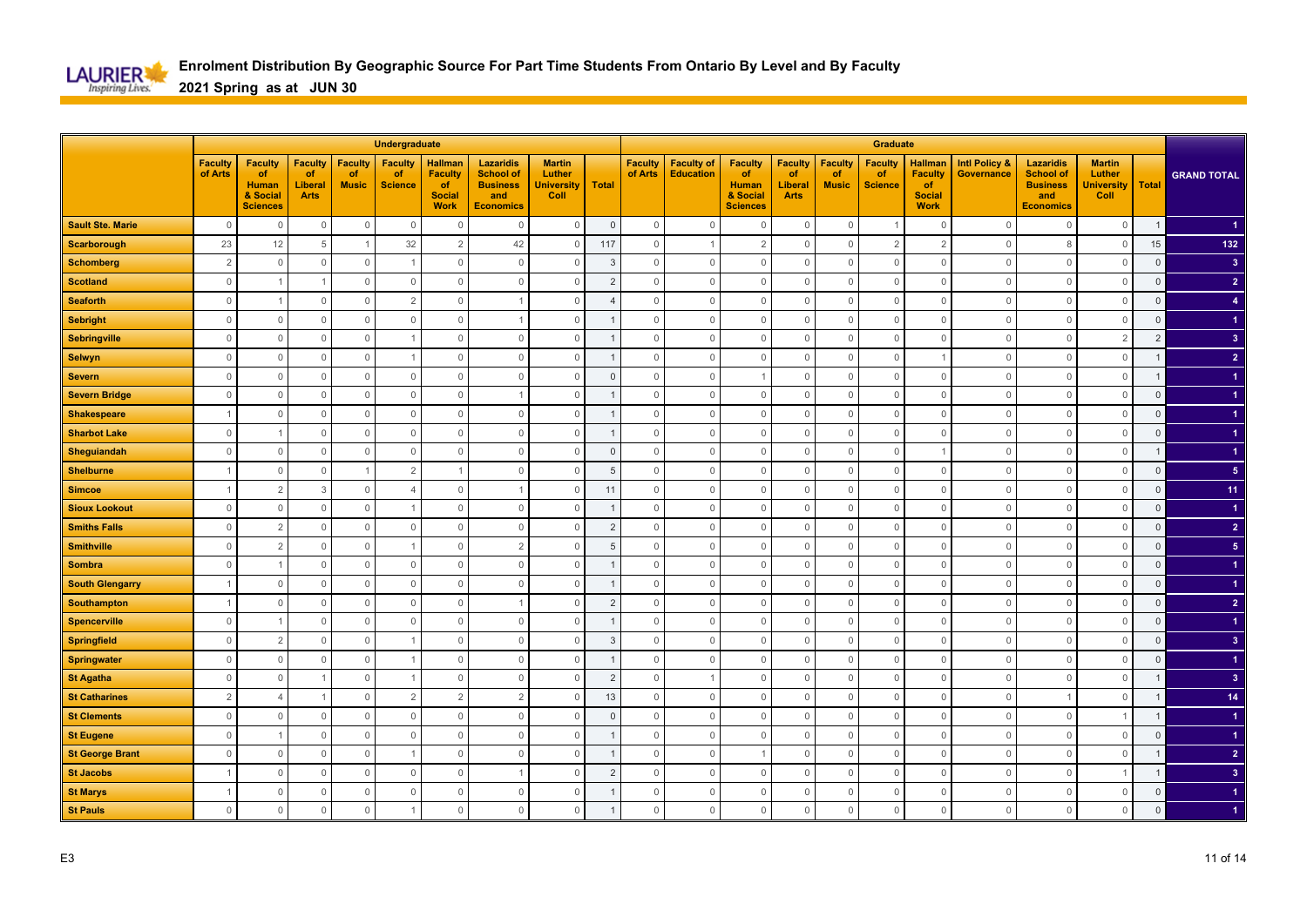

|                         |                           |                                                                     |                                                |                                      | Undergraduate                          |                                                                        |                                                                                    |                                                      |                |                           |                                       |                                                                            |                                                       |                                      | <b>Graduate</b>                        |                                                                        |                                               |                                                                                    |                                                      |                |                         |
|-------------------------|---------------------------|---------------------------------------------------------------------|------------------------------------------------|--------------------------------------|----------------------------------------|------------------------------------------------------------------------|------------------------------------------------------------------------------------|------------------------------------------------------|----------------|---------------------------|---------------------------------------|----------------------------------------------------------------------------|-------------------------------------------------------|--------------------------------------|----------------------------------------|------------------------------------------------------------------------|-----------------------------------------------|------------------------------------------------------------------------------------|------------------------------------------------------|----------------|-------------------------|
|                         | <b>Faculty</b><br>of Arts | <b>Faculty</b><br>of<br><b>Human</b><br>& Social<br><b>Sciences</b> | <b>Faculty</b><br>of<br>Liberal<br><b>Arts</b> | <b>Faculty</b><br>of<br><b>Music</b> | <b>Faculty</b><br>of<br><b>Science</b> | <b>Hallman</b><br><b>Faculty</b><br>of<br><b>Social</b><br><b>Work</b> | <b>Lazaridis</b><br><b>School of</b><br><b>Business</b><br>and<br><b>Economics</b> | <b>Martin</b><br>Luther<br><b>University</b><br>Coll | <b>Total</b>   | <b>Faculty</b><br>of Arts | <b>Faculty of</b><br><b>Education</b> | <b>Faculty</b><br><b>of</b><br><b>Human</b><br>& Social<br><b>Sciences</b> | <b>Faculty</b><br>of<br><b>Liberal</b><br><b>Arts</b> | <b>Faculty</b><br>of<br><b>Music</b> | <b>Faculty</b><br>of<br><b>Science</b> | <b>Hallman</b><br><b>Faculty</b><br>of<br><b>Social</b><br><b>Work</b> | <b>Intl Policy &amp;</b><br><b>Governance</b> | <b>Lazaridis</b><br><b>School of</b><br><b>Business</b><br>and<br><b>Economics</b> | <b>Martin</b><br>Luther<br><b>University</b><br>Coll | <b>Total</b>   | <b>GRAND TOTAL</b>      |
| <b>Sault Ste. Marie</b> | $\mathbf{0}$              | $\Omega$                                                            | $\mathbb O$                                    | $\mathbb O$                          | $\mathbf 0$                            | $\Omega$                                                               | $\Omega$                                                                           | $\mathbb O$                                          | $\mathsf 0$    | $\mathsf{O}\xspace$       | $\mathbf 0$                           | $\mathbf 0$                                                                | $\mathbf 0$                                           | $\mathbf 0$                          |                                        | $\mathbf 0$                                                            | $\Omega$                                      | $\mathbf{0}$                                                                       | $\mathbf 0$                                          | $\mathbf{1}$   |                         |
| <b>Scarborough</b>      | 23                        | 12                                                                  | 5                                              | $\overline{1}$                       | 32                                     | $\overline{2}$                                                         | 42                                                                                 | $\mathbf 0$                                          | 117            | $\mathbf 0$               | $\overline{1}$                        | 2                                                                          | $\mathbf 0$                                           | $\Omega$                             | $\overline{2}$                         | $\overline{2}$                                                         | $\Omega$                                      | 8                                                                                  | $\mathbf{0}$                                         | 15             | 132                     |
| <b>Schomberg</b>        | $\overline{2}$            | $\Omega$                                                            | $\mathbf 0$                                    | $\mathbf 0$                          | $\mathbf{1}$                           | $\Omega$                                                               | $\Omega$                                                                           | $\mathbf 0$                                          | 3              | $\Omega$                  | $\mathbf 0$                           | $\mathbf 0$                                                                | $\mathbf 0$                                           | $\Omega$                             | $\mathbf 0$                            | $\overline{0}$                                                         | $\Omega$                                      | $\Omega$                                                                           | $\mathbf 0$                                          | $\mathsf 0$    | 3 <sup>2</sup>          |
| <b>Scotland</b>         | $\mathbf{0}$              |                                                                     | -1                                             | $\overline{0}$                       | $\mathbf 0$                            | $\mathbf 0$                                                            | $\Omega$                                                                           | $\mathbf 0$                                          | $\overline{2}$ | $\Omega$                  | $\mathbf 0$                           | $\mathbf 0$                                                                | $\mathbf 0$                                           | $\Omega$                             | $\mathbf 0$                            | $\mathbf 0$                                                            | $\Omega$                                      | $\overline{0}$                                                                     | $\mathbf 0$                                          | $\mathsf 0$    | $\overline{2}$          |
| <b>Seaforth</b>         | $\mathbf{0}$              |                                                                     | $\mathbf{0}$                                   | $\overline{0}$                       | $\overline{2}$                         | $\mathbf 0$                                                            |                                                                                    | $\mathbb O$                                          | 4              | $\mathbf{0}$              | $\mathbb O$                           | $\mathbf 0$                                                                | $\mathbf 0$                                           | $\Omega$                             | $\mathbf 0$                            | $\mathbf 0$                                                            | $\circ$                                       | $\overline{0}$                                                                     | $\mathbb O$                                          | $\mathsf 0$    | $\overline{4}$          |
| <b>Sebright</b>         | $\mathbf 0$               | $\circ$                                                             | $\mathbf 0$                                    | $\overline{0}$                       | $\mathbb O$                            | $\mathbf 0$                                                            |                                                                                    | $\mathbf 0$                                          |                | $\mathbf 0$               | $\mathbb O$                           | $\mathbf 0$                                                                | $\mathbf 0$                                           | $\Omega$                             | $\mathbf 0$                            | $\mathbf 0$                                                            | $\circ$                                       | $\mathbb O$                                                                        | $\mathbb O$                                          | $\mathsf 0$    |                         |
| <b>Sebringville</b>     | $\mathbf{0}$              | $\Omega$                                                            | $\mathbf 0$                                    | $\overline{0}$                       |                                        | $\Omega$                                                               | $\mathbf{0}$                                                                       | $\mathbf 0$                                          |                | $\Omega$                  | $\mathbb O$                           | $\mathbf 0$                                                                | $\mathbf 0$                                           | $\Omega$                             | $\mathbf 0$                            | $\overline{0}$                                                         | $\Omega$                                      | $\mathbf{0}$                                                                       | $\overline{2}$                                       | $\overline{2}$ | $\overline{\mathbf{3}}$ |
| <b>Selwyn</b>           | $\mathbf{0}$              | $\Omega$                                                            | $\mathbf 0$                                    | $\mathbf 0$                          |                                        | $\mathbf 0$                                                            | $\mathbf 0$                                                                        | $\mathbf 0$                                          |                | $\mathbf{0}$              | $\mathbb O$                           | $\mathbf 0$                                                                | $\mathbf 0$                                           | $\Omega$                             | $\mathbf 0$                            |                                                                        | $\Omega$                                      | $\mathbf 0$                                                                        | $\mathbf 0$                                          |                | $\overline{2}$          |
| <b>Severn</b>           | $\mathbf{0}$              | $\Omega$                                                            | $\mathsf{O}\xspace$                            | $\mathbb O$                          | $\mathbb O$                            | $\mathbf{0}$                                                           | $\Omega$                                                                           | $\mathsf{O}\xspace$                                  | $\Omega$       | $\mathbf{0}$              | $\mathbf{0}$                          |                                                                            | $\mathbb O$                                           | $\Omega$                             | $\mathbf 0$                            | $\mathbf 0$                                                            | $\Omega$                                      | $\mathbf 0$                                                                        | $\mathbb O$                                          |                |                         |
| <b>Severn Bridge</b>    | $\mathbb O$               | $\mathbf 0$                                                         | $\mathsf{O}\xspace$                            | $\mathbb O$                          | $\mathbb O$                            | $\mathbb O$                                                            | 1                                                                                  | $\mathbb O$                                          |                | $\mathbf 0$               | $\mathbb O$                           | $\mathbb O$                                                                | $\mathsf{O}\xspace$                                   | $\mathbf 0$                          | $\mathbb O$                            | $\mathbf 0$                                                            | $\overline{0}$                                | $\mathbf 0$                                                                        | $\mathbb O$                                          | $\overline{0}$ |                         |
| <b>Shakespeare</b>      | $\overline{1}$            | $\Omega$                                                            | $\mathsf{O}\xspace$                            | $\mathbb O$                          | $\mathbf{0}$                           | $\mathbf 0$                                                            | $\Omega$                                                                           | $\mathbb O$                                          |                | $\Omega$                  | $\mathbf 0$                           | $\mathbf 0$                                                                | $\mathbf{0}$                                          | $\Omega$                             | $\mathbb O$                            | $\mathbf{0}$                                                           | $\Omega$                                      | $\mathbf 0$                                                                        | $\mathbf 0$                                          | $\overline{0}$ | $\blacktriangleleft$    |
| <b>Sharbot Lake</b>     | $\mathbf{0}$              |                                                                     | $\mathbf 0$                                    | $\overline{0}$                       | $\mathbb O$                            | $\mathbf 0$                                                            | $\mathbf 0$                                                                        | $\mathbf 0$                                          |                | $\Omega$                  | $\mathbf 0$                           | $\Omega$                                                                   | $\mathbf 0$                                           | $\Omega$                             | $\mathbf 0$                            | $\overline{0}$                                                         | $\Omega$                                      | $\mathbf 0$                                                                        | $\mathbf 0$                                          | $\mathbf{0}$   | $\blacktriangleleft$    |
| Sheguiandah             | $\mathbb O$               | $\Omega$                                                            | $\mathbb O$                                    | $\overline{0}$                       | $\mathbb O$                            | $\mathbf{0}$                                                           | $\Omega$                                                                           | $\mathbb O$                                          | $\mathbf 0$    | $\mathbf{0}$              | $\mathbf{0}$                          | $\mathbf 0$                                                                | $\mathbb O$                                           | $\Omega$                             | $\mathbf 0$                            |                                                                        | $\Omega$                                      | $\mathbf 0$                                                                        | $\mathbb O$                                          |                |                         |
| <b>Shelburne</b>        | $\overline{1}$            | $\circ$                                                             | $\mathbf 0$                                    | $\overline{1}$                       | $\overline{2}$                         |                                                                        | $\mathbf 0$                                                                        | $\mathbf 0$                                          | 5              | $\mathbf{0}$              | $\mathbb O$                           | $\mathbf 0$                                                                | $\mathbf 0$                                           | $\Omega$                             | $\mathbf 0$                            | $\mathbf 0$                                                            | $\circ$                                       | $\mathbf 0$                                                                        | $\mathbf 0$                                          | $\mathsf 0$    | ${\bf 5}$               |
| <b>Simcoe</b>           | $\overline{1}$            | $\overline{2}$                                                      | 3                                              | $\mathbf 0$                          | $\Delta$                               | $\Omega$                                                               |                                                                                    | $\mathbb O$                                          | 11             | $\Omega$                  | $\mathbf{0}$                          | $\mathbf 0$                                                                | $\mathbf{0}$                                          | $\Omega$                             | $\overline{0}$                         | $\overline{0}$                                                         | $\Omega$                                      | $\mathbf 0$                                                                        | $\mathbf 0$                                          | $\mathbf{0}$   | 11 <sub>1</sub>         |
| <b>Sioux Lookout</b>    | $\mathbf 0$               | $\Omega$                                                            | $\mathbf{0}$                                   | $\overline{0}$                       |                                        | $\Omega$                                                               | $\mathbf 0$                                                                        | 0                                                    |                | $\Omega$                  | $\circ$                               | $\mathbf 0$                                                                | 0                                                     | C                                    | $\mathbf 0$                            | $\overline{0}$                                                         | $\Omega$                                      | $\circ$                                                                            | $\mathbf 0$                                          | $\mathbf 0$    |                         |
| <b>Smiths Falls</b>     | $\mathbf{0}$              | $\overline{2}$                                                      | $\mathbb O$                                    | $\mathbb O$                          | $\mathbb O$                            | $\Omega$                                                               | $\Omega$                                                                           | $\mathbb O$                                          | $\overline{2}$ | $\mathbf{0}$              | $\mathbf{0}$                          | $\mathbf 0$                                                                | $\mathbb O$                                           | $\Omega$                             | $\mathbf 0$                            | $\mathbf 0$                                                            | $\Omega$                                      | $\mathbf{0}$                                                                       | $\mathbb O$                                          | $\mathsf 0$    | $\overline{2}$          |
| <b>Smithville</b>       | $\mathbf{0}$              | $\overline{2}$                                                      | $\mathbf 0$                                    | $\overline{0}$                       |                                        | $\mathbf 0$                                                            | $\overline{2}$                                                                     | $\mathbf 0$                                          | 5              | $\mathbf{0}$              | $\mathbf 0$                           | $\mathbf 0$                                                                | $\mathbf 0$                                           | $\Omega$                             | $\mathbf 0$                            | $\mathbf 0$                                                            | $\overline{0}$                                | $\mathbf 0$                                                                        | $\mathbb O$                                          | $\mathbf 0$    | 5 <sub>5</sub>          |
| <b>Sombra</b>           | $\Omega$                  |                                                                     | $\mathbb O$                                    | $\mathbf{0}$                         | $\mathbf{0}$                           | $\Omega$                                                               | $\Omega$                                                                           | $\mathbb O$                                          |                | $\Omega$                  | $\mathbf{0}$                          | $\mathbf 0$                                                                | $\mathbf 0$                                           | $\Omega$                             | $\overline{0}$                         | $\overline{0}$                                                         | $\Omega$                                      | $\mathbf 0$                                                                        | $\mathbb O$                                          | $\mathsf 0$    |                         |
| <b>South Glengarry</b>  |                           | $\Omega$                                                            | $\mathbf 0$                                    | $\overline{0}$                       | $\mathbf 0$                            | $\Omega$                                                               | $\Omega$                                                                           | $\mathbf 0$                                          |                | $\Omega$                  | $\mathbf 0$                           | $\mathbf 0$                                                                | 0                                                     | $\Omega$                             | $\mathbf 0$                            | $\mathbf 0$                                                            | $\Omega$                                      | $\mathbf{0}$                                                                       | $\mathbf 0$                                          | $\mathsf 0$    |                         |
| <b>Southampton</b>      |                           | $\Omega$                                                            | $\mathsf{O}\xspace$                            | $\overline{0}$                       | $\mathbb O$                            | $\mathbf 0$                                                            |                                                                                    | $\mathbb O$                                          | $\overline{c}$ | $\Omega$                  | $\mathbf{0}$                          | $\mathbb O$                                                                | $\mathbf 0$                                           | $\Omega$                             | $\mathbf 0$                            | $\mathbf 0$                                                            | $\Omega$                                      | $\mathbf{0}$                                                                       | $\mathbb O$                                          | $\mathsf 0$    | $\overline{2}$          |
| <b>Spencerville</b>     | $\mathbf{0}$              |                                                                     | $\mathbb O$                                    | $\overline{0}$                       | $\mathbb O$                            | $\mathbf 0$                                                            | $\mathbf 0$                                                                        | $\mathbf 0$                                          |                | $\mathbf{0}$              | $\mathbb O$                           | $\mathbf 0$                                                                | $\mathbf 0$                                           | $\Omega$                             | $\mathbf 0$                            | $\mathbf 0$                                                            | $\circ$                                       | $\mathbf 0$                                                                        | $\mathbb O$                                          | $\mathsf 0$    |                         |
| <b>Springfield</b>      | $\mathbb O$               | $\overline{2}$                                                      | $\mathbb O$                                    | $\overline{0}$                       |                                        | $\mathbf{0}$                                                           | $\mathbf 0$                                                                        | $\mathbb O$                                          | 3              | $\mathsf{O}\xspace$       | $\mathsf 0$                           | $\mathbb O$                                                                | $\mathbb O$                                           | $\Omega$                             | $\mathbb O$                            | $\mathbb O$                                                            | $\Omega$                                      | $\mathbf{0}$                                                                       | $\mathbb O$                                          | $\mathsf 0$    | $\overline{\mathbf{3}}$ |
| <b>Springwater</b>      | $\mathbf 0$               | $\Omega$                                                            | $\mathbf 0$                                    | $\mathbf 0$                          |                                        | $\Omega$                                                               | $\Omega$                                                                           | $\mathbf 0$                                          |                | $\Omega$                  | $\mathbf 0$                           | $\Omega$                                                                   | 0                                                     | C                                    | $\mathbf 0$                            | $\mathbf{0}$                                                           | $\Omega$                                      | $\circ$                                                                            | $\mathbf 0$                                          | $\mathbf{0}$   | -1                      |
| <b>St Agatha</b>        | $\mathbf{0}$              | $\Omega$                                                            | $\overline{1}$                                 | $\mathbf 0$                          |                                        | $\Omega$                                                               | $\Omega$                                                                           | $\mathsf{O}\xspace$                                  | $\overline{2}$ | $\Omega$                  | $\overline{1}$                        | $\mathbf 0$                                                                | $\mathbb O$                                           | $\Omega$                             | $\mathbf 0$                            | $\overline{0}$                                                         | $\cap$                                        | $\mathbf{0}$                                                                       | $\mathbf 0$                                          |                | $\overline{3}$          |
| <b>St Catharines</b>    | $\overline{2}$            | $\overline{\phantom{a}}$                                            | $\overline{1}$                                 | $\mathbf 0$                          | $\overline{2}$                         | $\overline{2}$                                                         | $\overline{2}$                                                                     | $\mathbf 0$                                          | 13             | $\mathbf{0}$              | $\mathbb O$                           | $\mathbf 0$                                                                | $\mathbf 0$                                           | $\Omega$                             | $\mathbf 0$                            | $\mathbf 0$                                                            | $\circ$                                       |                                                                                    | $\mathbf 0$                                          |                | 14                      |
| <b>St Clements</b>      | $\mathbb O$               | $\Omega$                                                            | $\mathbb O$                                    | $\mathbb O$                          | $\mathbb O$                            | $\mathbf 0$                                                            | $\mathbf{0}$                                                                       | $\mathbb O$                                          | $\Omega$       | $\mathbf{0}$              | $\mathbf 0$                           | $\mathbf{0}$                                                               | $\mathsf{O}\xspace$                                   | $\Omega$                             | $\mathbb O$                            | $\mathbf{0}$                                                           | $\Omega$                                      | $\mathbf 0$                                                                        | $\overline{1}$                                       | -1             | $\blacktriangleleft$    |
| <b>St Eugene</b>        | $\mathbf 0$               |                                                                     | $\mathbf 0$                                    | $\mathbf 0$                          | $\mathbf{0}$                           | $\mathbf{0}$                                                           | $\mathbf 0$                                                                        | $\mathbf 0$                                          |                | $\Omega$                  | $\mathbf{0}$                          | $\mathbf 0$                                                                | $\mathbf 0$                                           | $\Omega$                             | $\mathbf 0$                            | $\overline{0}$                                                         | $\Omega$                                      | $\mathbf{0}$                                                                       | $\mathbf{0}$                                         | $\mathbf{0}$   | $\blacktriangleleft$    |
| <b>St George Brant</b>  | $\mathbf{0}$              | $\Omega$                                                            | $\mathbb O$                                    | $\mathbf 0$                          |                                        | $\mathbf 0$                                                            | $\Omega$                                                                           | $\mathbb O$                                          |                | $\Omega$                  | $\mathbf 0$                           |                                                                            | $\mathbf{0}$                                          | $\Omega$                             | $\mathbb O$                            | $\overline{0}$                                                         | $\Omega$                                      | $\mathbf{0}$                                                                       | $\mathbf 0$                                          |                | $\overline{2}$          |
| <b>St Jacobs</b>        |                           | $\circ$                                                             | $\mathbf 0$                                    | $\overline{0}$                       | $\mathbb O$                            | $\mathbb O$                                                            |                                                                                    | $\mathbf 0$                                          | $\overline{2}$ | $\mathbf{0}$              | $\mathbb O$                           | $\mathbf 0$                                                                | $\mathbf 0$                                           | $\Omega$                             | $\mathbf 0$                            | $\mathbf 0$                                                            | $\circ$                                       | $\mathbf 0$                                                                        | $\overline{1}$                                       |                | $\mathbf{3}$            |
| <b>St Marys</b>         | $\overline{1}$            | $\Omega$                                                            | $\mathbb O$                                    | $\overline{0}$                       | $\mathbf{0}$                           | $\mathbf 0$                                                            | $\Omega$                                                                           | $\mathbb O$                                          |                | $\mathbf{0}$              | $\mathbf 0$                           | $\mathbb O$                                                                | $\mathbb O$                                           | $\Omega$                             | $\mathbf 0$                            | $\mathbb O$                                                            | $\Omega$                                      | $\mathbb O$                                                                        | $\mathbf 0$                                          | $\mathsf 0$    | $\overline{1}$          |
| <b>St Pauls</b>         | $\mathbf{0}$              | $\Omega$                                                            | $\mathbf{0}$                                   | $\Omega$                             |                                        | $\Omega$                                                               | $\mathbf 0$                                                                        | $\mathbf{0}$                                         |                | $\mathbf{0}$              | $\mathbf 0$                           | $\Omega$                                                                   | $\mathbf 0$                                           | $\Omega$                             | $\overline{0}$                         | $\mathbf{0}$                                                           | $\Omega$                                      | $\mathbf 0$                                                                        | $\mathbf 0$                                          | $\Omega$       |                         |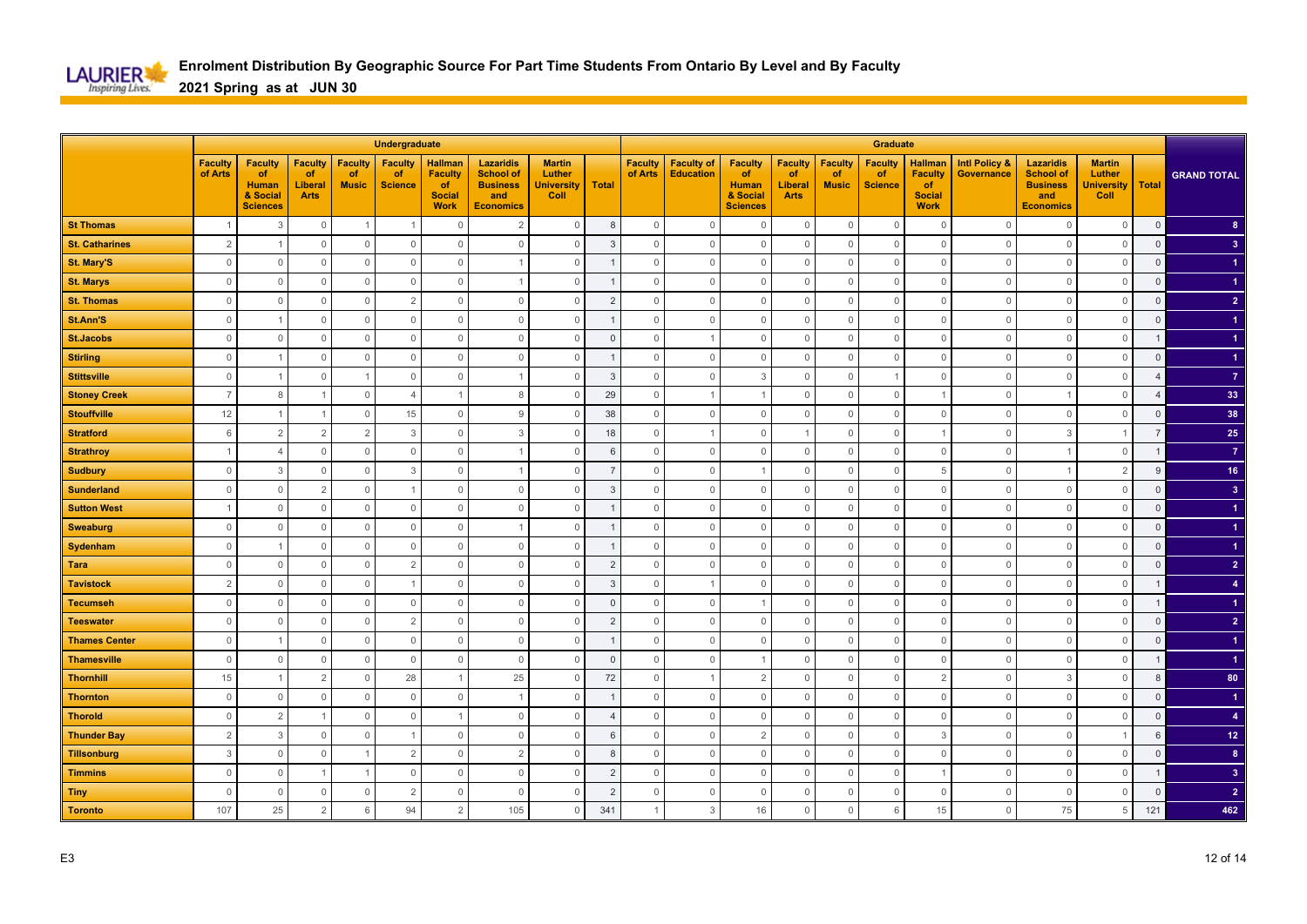

|                       |                           |                                                                     |                                                |                                      | <b>Undergraduate</b>                   |                                                                        |                                                                                    |                                                      |                |                           |                                       |                                                                            |                                                |                                      | Graduate                               |                                                                        |                                        |                                                                                    |                                                      |                         |                         |
|-----------------------|---------------------------|---------------------------------------------------------------------|------------------------------------------------|--------------------------------------|----------------------------------------|------------------------------------------------------------------------|------------------------------------------------------------------------------------|------------------------------------------------------|----------------|---------------------------|---------------------------------------|----------------------------------------------------------------------------|------------------------------------------------|--------------------------------------|----------------------------------------|------------------------------------------------------------------------|----------------------------------------|------------------------------------------------------------------------------------|------------------------------------------------------|-------------------------|-------------------------|
|                       | <b>Faculty</b><br>of Arts | <b>Faculty</b><br>of<br><b>Human</b><br>& Social<br><b>Sciences</b> | <b>Faculty</b><br>of<br>Liberal<br><b>Arts</b> | <b>Faculty</b><br>of<br><b>Music</b> | <b>Faculty</b><br>of<br><b>Science</b> | <b>Hallman</b><br><b>Faculty</b><br>of<br><b>Social</b><br><b>Work</b> | <b>Lazaridis</b><br><b>School of</b><br><b>Business</b><br>and<br><b>Economics</b> | <b>Martin</b><br>Luther<br><b>University</b><br>Coll | <b>Total</b>   | <b>Faculty</b><br>of Arts | <b>Faculty of</b><br><b>Education</b> | <b>Faculty</b><br><b>of</b><br><b>Human</b><br>& Social<br><b>Sciences</b> | <b>Faculty</b><br>of<br>Liberal<br><b>Arts</b> | <b>Faculty</b><br>of<br><b>Music</b> | <b>Faculty</b><br>of<br><b>Science</b> | <b>Hallman</b><br><b>Faculty</b><br>of<br><b>Social</b><br><b>Work</b> | <b>Intl Policy &amp;</b><br>Governance | <b>Lazaridis</b><br><b>School of</b><br><b>Business</b><br>and<br><b>Economics</b> | <b>Martin</b><br>Luther<br><b>University</b><br>Coll | <b>Total</b>            | <b>GRAND TOTAL</b>      |
| <b>St Thomas</b>      | $\overline{1}$            | 3                                                                   | $\mathbb O$                                    |                                      |                                        | $\mathbf 0$                                                            | $\overline{2}$                                                                     | $\mathbb O$                                          | 8              | $\mathbb O$               | $\mathbf 0$                           | $\Omega$                                                                   | $\mathbf 0$                                    | $\Omega$                             | $\overline{0}$                         | $\mathbf{0}$                                                           | $\overline{0}$                         | $\mathbf 0$                                                                        | $\mathbf 0$                                          | $\mathbf 0$             | 8 <sup>°</sup>          |
| <b>St. Catharines</b> | 2                         |                                                                     | $\mathbf{0}$                                   | $\mathbf{0}$                         | $\mathbf{0}$                           | $\mathbf{0}$                                                           | $\mathbf{0}$                                                                       | $\mathbf{0}$                                         | $\overline{3}$ | $\mathbf 0$               | $\mathbf{0}$                          | $\Omega$                                                                   | $\mathbf 0$                                    | $\Omega$                             | $\overline{0}$                         | $\mathbf{0}$                                                           | $\overline{0}$                         | $\mathbf{0}$                                                                       | $\mathbf{0}$                                         | $\mathbf 0$             | $\overline{3}$          |
| <b>St. Mary'S</b>     | $\mathbb O$               | $\Omega$                                                            | $\mathbf 0$                                    | $\Omega$                             | $\mathbf{0}$                           | $\mathbf{0}$                                                           |                                                                                    | $\mathbf 0$                                          | -1             | $\mathbf{0}$              | $\mathbf 0$                           | $\Omega$                                                                   | $\mathbf{0}$                                   | $\Omega$                             | $\overline{0}$                         | $\mathbf{0}$                                                           | $\overline{0}$                         | $\mathbf{0}$                                                                       | $\mathbf 0$                                          | $\mathsf 0$             |                         |
| <b>St. Marys</b>      | $\mathbf{0}$              | $\Omega$                                                            | $\mathbf{0}$                                   | $\Omega$                             | $\mathbf{0}$                           | $\mathbf{0}$                                                           |                                                                                    | $\mathbf{0}$                                         |                | $\mathbf 0$               | $\mathbf 0$                           | $\Omega$                                                                   | $\mathbf 0$                                    | $\Omega$                             | $\overline{0}$                         | $\mathbf{0}$                                                           | $\overline{0}$                         | $\overline{0}$                                                                     | $\mathbf{0}$                                         | $\mathsf 0$             |                         |
| <b>St. Thomas</b>     | $\mathbb O$               | $\Omega$                                                            | $\mathbb O$                                    | $\Omega$                             | $\overline{2}$                         | $\mathbb O$                                                            | $\mathbf 0$                                                                        | $\mathbb O$                                          | $\overline{2}$ | $\mathbb O$               | $\mathsf{O}\xspace$                   | $\mathbf 0$                                                                | $\mathbf 0$                                    | $\Omega$                             | $\overline{0}$                         | $\mathbb O$                                                            | $\overline{0}$                         | $\mathbb O$                                                                        | $\mathbb O$                                          | $\mathsf 0$             | 2 <sup>7</sup>          |
| St.Ann'S              | $\mathbb O$               |                                                                     | $\mathbb O$                                    | $\mathbf{0}$                         | $\mathbb O$                            | $\mathbb O$                                                            | $\mathbb O$                                                                        | $\mathbb O$                                          |                | $\mathbf 0$               | $\mathsf{O}\xspace$                   | $\mathbf 0$                                                                | $\mathbf 0$                                    | $\theta$                             | $\overline{0}$                         | $\mathbb O$                                                            | $\overline{0}$                         | $\mathbb O$                                                                        | $\mathbb O$                                          | $\overline{0}$          |                         |
| <b>St.Jacobs</b>      | $\mathbf 0$               | $\Omega$                                                            | $\mathbb O$                                    | $\Omega$                             | $\mathbf{0}$                           | $\mathbf{0}$                                                           | $\mathbf 0$                                                                        | $\mathbf{0}$                                         | $\Omega$       | $\mathbf 0$               | $\overline{1}$                        | $\Omega$                                                                   | $\mathbf 0$                                    | $\Omega$                             | $\mathbf 0$                            | $\mathbf{0}$                                                           | $\Omega$                               | $\mathbf{0}$                                                                       | $\mathbf 0$                                          |                         | -1                      |
| <b>Stirling</b>       | 0                         |                                                                     | $\mathbf{0}$                                   | $\mathbf{0}$                         | $\overline{0}$                         | $\mathbf 0$                                                            | $\mathbf 0$                                                                        | $\mathbf{0}$                                         |                | $\mathbf 0$               | $\mathbf 0$                           | $\mathbf{0}$                                                               | 0                                              | $\Omega$                             | $\mathbf 0$                            | $\mathbf 0$                                                            | 0                                      | $\mathbf 0$                                                                        | $\mathbf 0$                                          | $\mathbf 0$             |                         |
| <b>Stittsville</b>    | $\mathsf{O}\xspace$       |                                                                     | $\mathsf{O}\xspace$                            |                                      | $\mathbf{0}$                           | $\mathbf 0$                                                            |                                                                                    | $\mathbf 0$                                          | 3              | $\mathsf{O}\xspace$       | $\mathsf{O}\xspace$                   | 3                                                                          | $\mathbf{0}$                                   | $\Omega$                             |                                        | $\mathbf{0}$                                                           | $\mathbf{0}$                           | $\mathbf 0$                                                                        | $\mathbb O$                                          | $\overline{\mathbf{A}}$ | $\overline{7}$          |
| <b>Stoney Creek</b>   | $\overline{7}$            | 8                                                                   | 1                                              | $\mathbf{0}$                         | $\overline{4}$                         | $\overline{1}$                                                         | 8                                                                                  | $\mathbf{0}$                                         | 29             | $\mathbf 0$               | $\overline{1}$                        |                                                                            | $\mathbf 0$                                    | $\Omega$                             | $\mathbb O$                            |                                                                        | $\overline{0}$                         | -1                                                                                 | $\mathbf 0$                                          | $\overline{4}$          | 33                      |
| <b>Stouffville</b>    | 12                        |                                                                     | $\mathbf{1}$                                   | $\Omega$                             | 15                                     | $\mathbf 0$                                                            | 9                                                                                  | $\mathbf 0$                                          | 38             | $\mathbb O$               | $\mathbb O$                           | $\Omega$                                                                   | $\mathbf 0$                                    | $\Omega$                             | $\mathbb O$                            | $\mathbf{0}$                                                           | $\Omega$                               | $\mathbf 0$                                                                        | $\mathbf 0$                                          | $\mathsf 0$             | 38                      |
| <b>Stratford</b>      | 6                         | $\overline{2}$                                                      | $\overline{2}$                                 | $\overline{2}$                       | 3                                      | $\mathbf 0$                                                            | 3                                                                                  | $\mathbf 0$                                          | 18             | $\mathbf 0$               | $\overline{1}$                        | $\mathbf{0}$                                                               |                                                | $\Omega$                             | $\mathbf 0$                            |                                                                        | $\Omega$                               | 3                                                                                  | $\overline{1}$                                       | $\overline{7}$          | 25                      |
| <b>Strathroy</b>      | $\overline{1}$            | $\overline{4}$                                                      | $\mathbb O$                                    | $\Omega$                             | $\mathbb O$                            | $\mathbf 0$                                                            |                                                                                    | $\mathbb O$                                          | 6              | $\mathbb O$               | $\mathbb O$                           | $\mathbf{0}$                                                               | $\mathbb O$                                    | $\Omega$                             | $\overline{0}$                         | $\mathbb O$                                                            | $\circ$                                |                                                                                    | $\mathbb O$                                          |                         | $\overline{7}$          |
| <b>Sudbury</b>        | $\mathbb O$               | 3                                                                   | $\mathbb O$                                    | $\mathbf{0}$                         | 3                                      | $\mathbb O$                                                            |                                                                                    | $\mathbb O$                                          | $\overline{7}$ | $\mathbf 0$               | $\mathbb O$                           |                                                                            | $\mathbf 0$                                    | $\Omega$                             | $\overline{0}$                         | 5                                                                      | $\overline{0}$                         | -1                                                                                 | $\overline{2}$                                       | 9                       | 16                      |
| <b>Sunderland</b>     | $\mathbf 0$               | $\Omega$                                                            | $\overline{2}$                                 | $\Omega$                             |                                        | $\Omega$                                                               | $\Omega$                                                                           | $\mathbf 0$                                          | 3              | $\Omega$                  | $\mathbf 0$                           | $\Omega$                                                                   | $\Omega$                                       | $\Omega$                             | $\mathbf{0}$                           | $\mathbf{0}$                                                           | $\Omega$                               | $\mathbf 0$                                                                        | $\mathbf{0}$                                         | $\Omega$                | $\overline{\mathbf{3}}$ |
| <b>Sutton West</b>    | $\overline{1}$            | $\Omega$                                                            | $\mathbf{0}$                                   | $\Omega$                             | $\Omega$                               | $\mathbf 0$                                                            | $\mathbf 0$                                                                        | $\mathbf{0}$                                         |                | $\mathbf 0$               | $\mathbf 0$                           | $\Omega$                                                                   | $\Omega$                                       | $\Omega$                             | $\mathbf 0$                            | $\mathbf 0$                                                            | 0                                      | $\mathbf 0$                                                                        | $\mathbf 0$                                          | $\mathbf 0$             |                         |
| <b>Sweaburg</b>       | $\mathsf{O}\xspace$       | $\Omega$                                                            | $\mathbf 0$                                    | $\Omega$                             | $\mathbf{0}$                           | $\mathbf 0$                                                            |                                                                                    | $\mathbf 0$                                          |                | $\mathsf{O}\xspace$       | $\mathbb O$                           | $\Omega$                                                                   | $\mathbf 0$                                    | $\Omega$                             | $\mathbf 0$                            | $\mathbb O$                                                            | $\overline{0}$                         | $\mathbb O$                                                                        | $\mathbb O$                                          | $\mathsf 0$             |                         |
| Sydenham              | $\mathbf 0$               |                                                                     | 0                                              | $\Omega$                             | $\mathbf{0}$                           | $\mathbf 0$                                                            | $\mathbf 0$                                                                        | $\mathbf 0$                                          | -1             | $\mathbf 0$               | $\mathbf 0$                           | $\mathbf{0}$                                                               | $\mathbf{0}$                                   | $\Omega$                             | $\mathbf 0$                            | $\mathbf 0$                                                            | $\overline{0}$                         | $\mathbf 0$                                                                        | $\mathbf 0$                                          | $\mathsf 0$             |                         |
| <b>Tara</b>           | $\mathbf{0}$              | $\Omega$                                                            | $\mathbf 0$                                    | $\Omega$                             | 2                                      | $\mathbf 0$                                                            | $\circ$                                                                            | $\mathbb O$                                          | $\overline{2}$ | $\mathbb O$               | $\mathbf 0$                           | $\Omega$                                                                   | $\mathbf 0$                                    | $\Omega$                             | $\overline{0}$                         | $\mathbf{0}$                                                           | $\Omega$                               | $\mathbf 0$                                                                        | $\mathbf 0$                                          | $\mathsf 0$             | $\overline{2}$          |
| <b>Tavistock</b>      | $\overline{2}$            | $\Omega$                                                            | $\Omega$                                       | $\Omega$                             |                                        | $\circ$                                                                | $\mathbf{0}$                                                                       | $\mathbf 0$                                          | 3              | $\mathbf 0$               |                                       | $\Omega$                                                                   | $\Omega$                                       | $\Omega$                             | $\overline{0}$                         | $\mathbf{0}$                                                           | $\overline{0}$                         | $\mathbf 0$                                                                        | $\mathbf 0$                                          | $\overline{1}$          |                         |
| <b>Tecumseh</b>       | $\mathsf{O}\xspace$       | $\Omega$                                                            | $\mathbf 0$                                    | $\Omega$                             | $\mathbf{0}$                           | $\mathbb O$                                                            | $\mathbf{0}$                                                                       | $\mathbb O$                                          | $\Omega$       | $\mathbf 0$               | $\mathbf 0$                           |                                                                            | $\mathbf 0$                                    | $\Omega$                             | $\mathbf 0$                            | $\mathbf{0}$                                                           | $\Omega$                               | $\mathbf{0}$                                                                       | $\mathbb O$                                          | $\overline{1}$          |                         |
| <b>Teeswater</b>      | $\mathbb O$               | $\Omega$                                                            | $\mathbb O$                                    | $\mathbf{0}$                         | $\overline{2}$                         | $\mathbb O$                                                            | $\mathbf 0$                                                                        | $\mathbf 0$                                          | $\overline{2}$ | $\mathbf 0$               | $\mathbf 0$                           | $\mathbf{0}$                                                               | $\mathbf 0$                                    | $\Omega$                             | $\overline{0}$                         | $\mathbb O$                                                            | $\overline{0}$                         | $\mathbf 0$                                                                        | $\mathbb O$                                          | $\mathsf 0$             | $\overline{2}$          |
| <b>Thames Center</b>  | $\mathbb O$               |                                                                     | $\mathsf{O}\xspace$                            | $\mathbf{0}$                         | $\mathbf 0$                            | $\mathbf 0$                                                            | $\mathbb O$                                                                        | $\mathbb O$                                          |                | $\mathbb O$               | $\mathbb O$                           | $\mathbf{0}$                                                               | $\mathbb O$                                    | $\Omega$                             | $\overline{0}$                         | $\mathbb O$                                                            | $\circ$                                | $\mathbb O$                                                                        | $\mathbb O$                                          | $\overline{0}$          |                         |
| <b>Thamesville</b>    | $\mathbf 0$               | $\Omega$                                                            | $\mathbf 0$                                    | $\Omega$                             | $\mathbf{0}$                           | $\mathbf 0$                                                            | $\mathbf 0$                                                                        | $\mathbf 0$                                          | $\mathbf 0$    | $\mathbf 0$               | $\mathbf 0$                           |                                                                            | $\Omega$                                       | $\Omega$                             | $\mathbf 0$                            | $\mathbf{0}$                                                           | $\Omega$                               | $\mathbf{0}$                                                                       | $\mathbf 0$                                          |                         | -1                      |
| <b>Thornhill</b>      | 15                        |                                                                     | $\overline{2}$                                 | $\Omega$                             | 28                                     |                                                                        | 25                                                                                 | $\mathsf{O}$                                         | 72             | $\mathsf{O}\xspace$       | $\overline{1}$                        | $\overline{2}$                                                             | $\mathbf 0$                                    | $\Omega$                             | $\mathbb O$                            | $\overline{2}$                                                         | $\Omega$                               | $\mathbf{3}$                                                                       | $\mathbf 0$                                          | 8                       | 80                      |
| <b>Thornton</b>       | $\mathbf 0$               | $\Omega$                                                            | $\mathsf{O}$                                   | $\Omega$                             | $\mathbb O$                            | $\mathbb O$                                                            |                                                                                    | $\mathbf 0$                                          | -1             | $\mathbf 0$               | $\mathsf{O}\xspace$                   | $\mathbf{0}$                                                               | $\mathbf 0$                                    | $\Omega$                             | $\mathbf 0$                            | $\mathbb O$                                                            | $\mathbf{0}$                           | $\mathbf 0$                                                                        | $\mathbb O$                                          | $\mathbf 0$             | $\blacktriangleleft$    |
| <b>Thorold</b>        | $\mathsf{O}$              | $\overline{2}$                                                      | $\mathbf{1}$                                   | $\Omega$                             | $\mathbf 0$                            | $\overline{1}$                                                         | $\mathbf 0$                                                                        | $\mathsf{O}$                                         | $\overline{4}$ | $\mathsf{O}\xspace$       | $\mathsf{O}\xspace$                   | $\Omega$                                                                   | $\mathbf{0}$                                   | $\Omega$                             | $\mathbb O$                            | $\mathbf{0}$                                                           | $\overline{0}$                         | $\mathbf{0}$                                                                       | $\mathbf{0}$                                         | $\mathsf 0$             | $\overline{4}$          |
| <b>Thunder Bay</b>    | $\overline{c}$            | 3                                                                   | 0                                              | $\Omega$                             |                                        | $\mathbf 0$                                                            | $\mathbf 0$                                                                        | $\mathbf 0$                                          | 6              | 0                         | $\mathbf 0$                           | $\overline{2}$                                                             | $\mathbf{0}$                                   | $\Omega$                             | $\mathbf 0$                            | 3                                                                      | 0                                      | $\mathbf 0$                                                                        | $\overline{1}$                                       | 6                       | 12 <sub>2</sub>         |
| <b>Tillsonburg</b>    | $\mathbf{3}$              | $\Omega$                                                            | $\mathbf 0$                                    |                                      | $\overline{2}$                         | $\mathbf{0}$                                                           | $\overline{2}$                                                                     | $\Omega$                                             | 8              | $\mathbf 0$               | $\mathbb O$                           | $\Omega$                                                                   | $\mathbf{0}$                                   | $\Omega$                             | $\mathbb O$                            | $\mathbf{0}$                                                           | $\Omega$                               | $\mathbf{0}$                                                                       | $\mathbf{0}$                                         | $\mathsf 0$             | $\bf{8}$                |
| <b>Timmins</b>        | $\mathbb O$               | $\mathbf{0}$                                                        | $\mathbf{1}$                                   |                                      | $\mathbb O$                            | $\mathbb O$                                                            | $\mathbf 0$                                                                        | $\mathbf 0$                                          | $\overline{2}$ | $\mathbf 0$               | $\mathbf 0$                           | $\mathbf{0}$                                                               | $\mathbf 0$                                    | $\Omega$                             | $\mathbf 0$                            |                                                                        | $\circ$                                | $\mathbf 0$                                                                        | $\mathbb O$                                          | $\mathbf{1}$            | 3 <sup>2</sup>          |
| <b>Tiny</b>           | $\mathbb O$               | $\Omega$                                                            | $\mathsf{O}\xspace$                            | $\Omega$                             | 2                                      | $\mathbf{0}$                                                           | $\mathbf{0}$                                                                       | $\mathbb O$                                          | $\overline{2}$ | $\mathbb O$               | $\mathbb O$                           | $\Omega$                                                                   | $\mathbf{0}$                                   | $\Omega$                             | $\mathbf 0$                            | $\mathbb O$                                                            | $\circ$                                | $\mathbb O$                                                                        | $\mathbf{0}$                                         | $\overline{0}$          | $\overline{2}$          |
| <b>Toronto</b>        | 107                       | 25                                                                  | $\overline{2}$                                 | 6                                    | 94                                     | $\overline{2}$                                                         | 105                                                                                | 0                                                    | 341            | $\overline{1}$            | 3                                     | 16                                                                         | 0                                              | $\Omega$                             | 6                                      | 15                                                                     | $\mathbf 0$                            | 75                                                                                 | $5\phantom{.0}$                                      | 121                     | 462                     |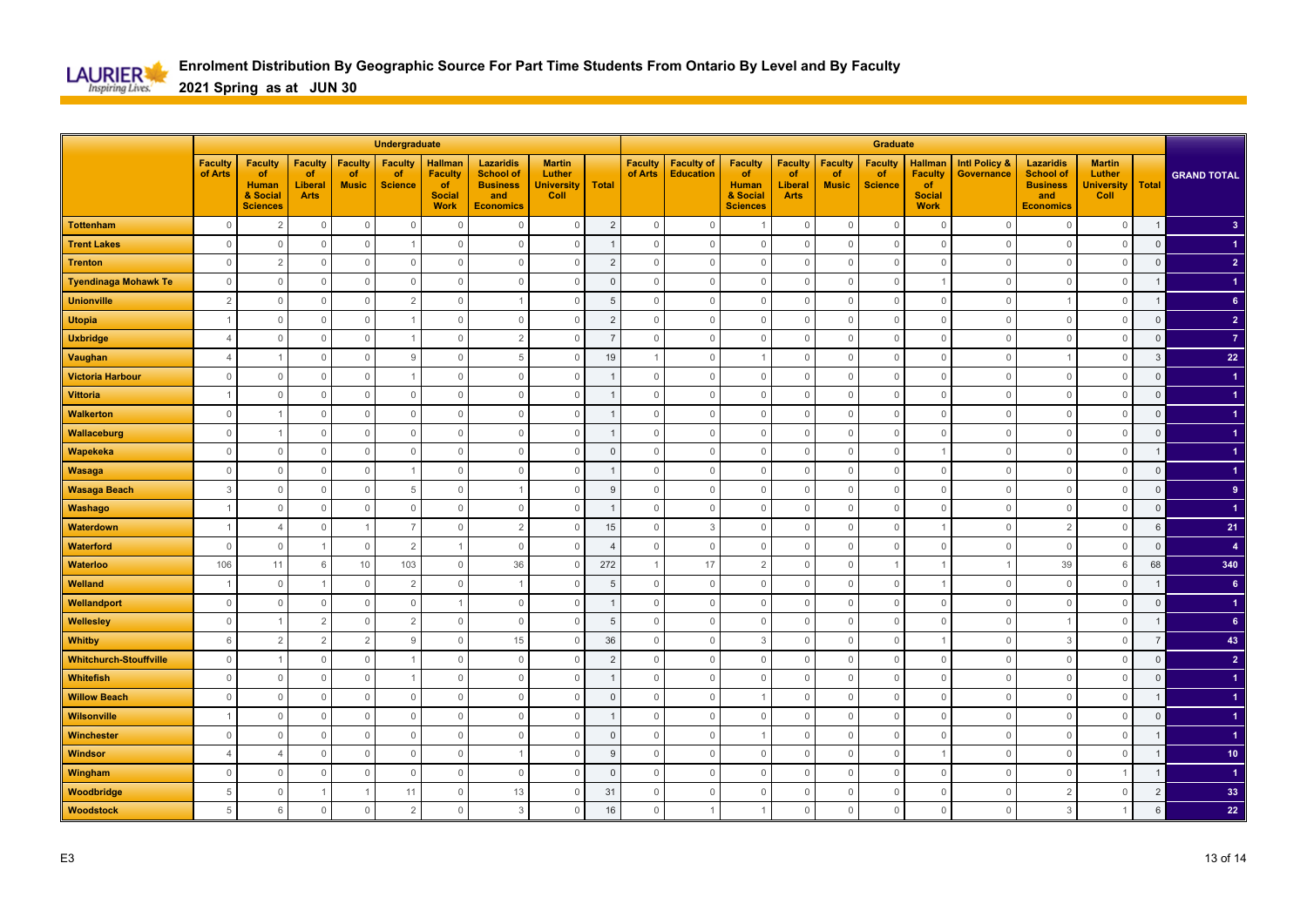

|                               | Undergraduate             |                                                                     |                                                |                                      |                                        |                                                                        |                                                                                    |                                                      |                | <b>Graduate</b>           |                                       |                                                                            |                                                       |                                      |                                        |                                                                        |                                               |                                                                                    |                                                      |                |                         |
|-------------------------------|---------------------------|---------------------------------------------------------------------|------------------------------------------------|--------------------------------------|----------------------------------------|------------------------------------------------------------------------|------------------------------------------------------------------------------------|------------------------------------------------------|----------------|---------------------------|---------------------------------------|----------------------------------------------------------------------------|-------------------------------------------------------|--------------------------------------|----------------------------------------|------------------------------------------------------------------------|-----------------------------------------------|------------------------------------------------------------------------------------|------------------------------------------------------|----------------|-------------------------|
|                               | <b>Faculty</b><br>of Arts | <b>Faculty</b><br>of<br><b>Human</b><br>& Social<br><b>Sciences</b> | <b>Faculty</b><br>of<br>Liberal<br><b>Arts</b> | <b>Faculty</b><br>of<br><b>Music</b> | <b>Faculty</b><br>of<br><b>Science</b> | <b>Hallman</b><br><b>Faculty</b><br>of<br><b>Social</b><br><b>Work</b> | <b>Lazaridis</b><br><b>School of</b><br><b>Business</b><br>and<br><b>Economics</b> | <b>Martin</b><br>Luther<br><b>University</b><br>Coll | <b>Total</b>   | <b>Faculty</b><br>of Arts | <b>Faculty of</b><br><b>Education</b> | <b>Faculty</b><br><b>of</b><br><b>Human</b><br>& Social<br><b>Sciences</b> | <b>Faculty</b><br>of<br><b>Liberal</b><br><b>Arts</b> | <b>Faculty</b><br>of<br><b>Music</b> | <b>Faculty</b><br>of<br><b>Science</b> | <b>Hallman</b><br><b>Faculty</b><br>of<br><b>Social</b><br><b>Work</b> | <b>Intl Policy &amp;</b><br><b>Governance</b> | <b>Lazaridis</b><br><b>School of</b><br><b>Business</b><br>and<br><b>Economics</b> | <b>Martin</b><br>Luther<br><b>University</b><br>Coll | <b>Total</b>   | <b>GRAND TOTAL</b>      |
| <b>Tottenham</b>              | $\mathbf 0$               | $\overline{2}$                                                      | $\mathbb O$                                    | $\mathbb O$                          | $\mathbf 0$                            | $\Omega$                                                               | $\Omega$                                                                           | $\mathbb O$                                          | $\overline{2}$ | $\mathsf{O}\xspace$       | $\mathbf 0$                           | $\overline{1}$                                                             | $\mathbf 0$                                           | $\mathbf 0$                          | $\overline{0}$                         | $\mathbf 0$                                                            | $\Omega$                                      | $\mathbf 0$                                                                        | $\mathbf 0$                                          | $\mathbf{1}$   | $\overline{\mathbf{3}}$ |
| <b>Trent Lakes</b>            | $\mathbf{0}$              | $\Omega$                                                            | $\mathbf{0}$                                   | $\mathbf{0}$                         |                                        | $\Omega$                                                               | $\Omega$                                                                           | $\mathbf{0}$                                         |                | $\mathbf 0$               | $\mathbf{0}$                          | $\mathbf 0$                                                                | $\mathbf 0$                                           | $\Omega$                             | $\overline{0}$                         | $\overline{0}$                                                         | $\Omega$                                      | $\mathbf{0}$                                                                       | $\mathbf{0}$                                         | $\mathbf 0$    |                         |
| <b>Trenton</b>                | $\Omega$                  | $\overline{2}$                                                      | $\mathbf 0$                                    | $\mathbf 0$                          | $\mathbb O$                            | $\Omega$                                                               | $\Omega$                                                                           | $\mathbf 0$                                          | $\overline{2}$ | $\Omega$                  | $\mathbf{0}$                          | $\mathbf 0$                                                                | $\mathbf 0$                                           | $\Omega$                             | $\overline{0}$                         | $\overline{0}$                                                         | $\Omega$                                      | $\mathbf{0}$                                                                       | $\mathbf 0$                                          | $\mathsf 0$    | $\overline{2}$          |
| <b>Tyendinaga Mohawk Te</b>   | $\mathbf 0$               | $\Omega$                                                            | $\mathbf 0$                                    | $\overline{0}$                       | $\mathbf 0$                            | $\mathbf 0$                                                            | $\Omega$                                                                           | $\mathbf 0$                                          | $\Omega$       | $\Omega$                  | $\mathbf{0}$                          | $\mathbf 0$                                                                | $\mathbf 0$                                           | $\Omega$                             | $\mathbf 0$                            |                                                                        | $\Omega$                                      | $\overline{0}$                                                                     | $\mathbf 0$                                          |                |                         |
| <b>Unionville</b>             | $\overline{2}$            | $\circ$                                                             | $\mathbb O$                                    | $\overline{0}$                       | $\overline{2}$                         | $\mathbf 0$                                                            |                                                                                    | $\mathbb O$                                          | 5              | $\mathbf{0}$              | $\mathbb O$                           | $\mathbf 0$                                                                | $\mathbf 0$                                           | $\Omega$                             | $\mathbf 0$                            | $\mathbf 0$                                                            | $\circ$                                       |                                                                                    | $\mathbb O$                                          |                | 6 <sup>1</sup>          |
| <b>Utopia</b>                 | $\overline{1}$            | $\circ$                                                             | $\mathbf 0$                                    | $\overline{0}$                       | $\mathbf{1}$                           | $\mathbf 0$                                                            | $\mathbf 0$                                                                        | $\mathbf 0$                                          | $\overline{c}$ | $\mathbf 0$               | $\mathbb O$                           | $\mathbf 0$                                                                | $\mathbf 0$                                           | $\Omega$                             | $\mathbf 0$                            | $\mathbf 0$                                                            | $\circ$                                       | $\mathbf 0$                                                                        | $\mathbb O$                                          | $\mathsf 0$    | 2 <sup>1</sup>          |
| <b>Uxbridge</b>               | $\overline{4}$            | $\Omega$                                                            | $\mathbf 0$                                    | $\overline{0}$                       |                                        | $\Omega$                                                               | $\overline{2}$                                                                     | $\mathbf 0$                                          |                | $\Omega$                  | $\mathbb O$                           | $\mathbf 0$                                                                | $\mathbf 0$                                           | $\Omega$                             | $\mathbf 0$                            | $\overline{0}$                                                         | $\Omega$                                      | $\mathbf{0}$                                                                       | $\mathbf{0}$                                         | $\Omega$       | $\overline{7}$          |
| Vaughan                       | $\overline{4}$            |                                                                     | $\mathbf 0$                                    | $\mathbf 0$                          | 9                                      | $\Omega$                                                               | 5                                                                                  | $\mathbf 0$                                          | 19             |                           | $\mathbb O$                           |                                                                            | $\mathbf 0$                                           | $\Omega$                             | $\mathbf 0$                            | $\mathbf 0$                                                            | $\Omega$                                      |                                                                                    | $\mathbf 0$                                          | 3              | 22                      |
| <b>Victoria Harbour</b>       | $\mathbb O$               | $\mathbf 0$                                                         | $\mathsf{O}\xspace$                            | $\mathbb O$                          |                                        | $\mathbf{0}$                                                           | $\mathbf{0}$                                                                       | $\mathbb O$                                          |                | $\mathsf{O}\xspace$       | $\mathbf{0}$                          | $\mathbf 0$                                                                | $\mathsf{O}\xspace$                                   | $\Omega$                             | $\mathbf 0$                            | $\mathbf 0$                                                            | $\Omega$                                      | $\mathbf 0$                                                                        | $\mathbb O$                                          | $\Omega$       |                         |
| <b>Vittoria</b>               | $\overline{1}$            | $\mathbf 0$                                                         | $\mathsf{O}\xspace$                            | $\mathbb O$                          | $\mathbb O$                            | $\mathbb O$                                                            | $\mathbf 0$                                                                        | $\mathbb O$                                          |                | $\mathbf 0$               | $\mathbb O$                           | $\mathbb O$                                                                | $\mathsf{O}\xspace$                                   | $\mathbf 0$                          | $\mathbb O$                            | $\mathbf 0$                                                            | $\overline{0}$                                | $\mathbb O$                                                                        | $\mathbb O$                                          | $\overline{0}$ |                         |
| <b>Walkerton</b>              | $\mathbf{0}$              |                                                                     | $\mathsf{O}\xspace$                            | $\mathbb O$                          | $\mathbf{0}$                           | $\mathbf{0}$                                                           | $\mathbf{0}$                                                                       | $\mathbb O$                                          |                | $\Omega$                  | $\mathbf 0$                           | $\mathbf 0$                                                                | $\mathbf{0}$                                          | $\Omega$                             | $\mathbb O$                            | $\mathbf{0}$                                                           | $\Omega$                                      | $\mathbf{0}$                                                                       | $\mathbf{0}$                                         | $\overline{0}$ | $\blacktriangleleft$    |
| Wallaceburg                   | $\mathbf 0$               |                                                                     | $\mathbf 0$                                    | $\overline{0}$                       | $\mathbb O$                            | $\mathbf 0$                                                            | $\mathbf 0$                                                                        | $\mathbf 0$                                          |                | $\Omega$                  | $\mathbb O$                           | $\Omega$                                                                   | $\mathbf 0$                                           | $\Omega$                             | $\mathbf 0$                            | $\mathbf 0$                                                            | $\Omega$                                      | $\mathbf 0$                                                                        | $\mathbf 0$                                          | $\mathbf{0}$   | $\blacktriangleleft$    |
| <b>Wapekeka</b>               | $\mathbf{0}$              | $\Omega$                                                            | $\mathbb O$                                    | $\mathbb O$                          | $\mathbb O$                            | $\mathbf{0}$                                                           | $\mathbf 0$                                                                        | $\mathbb O$                                          | $\mathbf 0$    | $\mathbf{0}$              | $\mathbf{0}$                          | $\mathbf 0$                                                                | $\mathbb O$                                           | $\Omega$                             | $\mathbf 0$                            |                                                                        | $\Omega$                                      | $\mathbf{0}$                                                                       | $\mathbb O$                                          |                | $\blacktriangleleft$    |
| <b>Wasaga</b>                 | $\mathbf{0}$              | $\circ$                                                             | $\mathbf 0$                                    | $\mathbf 0$                          |                                        | $\mathbf{0}$                                                           | $\mathbf 0$                                                                        | $\mathbf 0$                                          |                | $\mathbf{0}$              | $\mathbb O$                           | $\mathbf 0$                                                                | $\mathbf 0$                                           | $\Omega$                             | $\mathbf 0$                            | $\mathbf 0$                                                            | $\circ$                                       | $\mathbf 0$                                                                        | $\mathbf 0$                                          | $\mathsf 0$    |                         |
| <b>Wasaga Beach</b>           | 3                         | $\Omega$                                                            | $\mathbb O$                                    | $\mathbf 0$                          | 5                                      | $\Omega$                                                               |                                                                                    | $\mathbb O$                                          | 9              | $\Omega$                  | $\mathbf{0}$                          | $\mathbf 0$                                                                | $\mathbf{0}$                                          | $\Omega$                             | $\overline{0}$                         | $\overline{0}$                                                         | $\Omega$                                      | $\mathbf 0$                                                                        | $\mathbf 0$                                          | $\Omega$       | 9 <sup>°</sup>          |
| Washago                       |                           | $\Omega$                                                            | $\mathbf{0}$                                   | $\overline{0}$                       | $\mathbf{0}$                           | $\Omega$                                                               | $\mathbf 0$                                                                        | 0                                                    |                | $\Omega$                  | $\mathbf 0$                           | $\mathbf 0$                                                                | 0                                                     | C                                    | $\mathbf 0$                            | $\overline{0}$                                                         | $\Omega$                                      | $\circ$                                                                            | $\mathbf 0$                                          | $\mathbf 0$    |                         |
| Waterdown                     |                           | $\angle$                                                            | $\mathbb O$                                    |                                      | $\overline{7}$                         | $\Omega$                                                               | $\overline{2}$                                                                     | $\mathbb O$                                          | 15             | $\mathbf{0}$              | 3                                     | $\mathbf 0$                                                                | $\mathbb O$                                           | $\Omega$                             | $\mathbf 0$                            |                                                                        | $\Omega$                                      | $\overline{2}$                                                                     | $\mathbb O$                                          | 6              | 21                      |
| <b>Waterford</b>              | $\mathbf{0}$              | $\overline{0}$                                                      | $\overline{1}$                                 | $\overline{0}$                       | $\overline{2}$                         |                                                                        | $\mathbf{0}$                                                                       | $\mathbf 0$                                          | $\overline{4}$ | $\mathbf{0}$              | $\mathbf 0$                           | $\mathbf 0$                                                                | $\mathbf 0$                                           | $\Omega$                             | $\mathbf 0$                            | $\mathbf 0$                                                            | $\overline{0}$                                | $\mathbf 0$                                                                        | $\mathbb O$                                          | $\overline{0}$ | $\boldsymbol{\Lambda}$  |
| <b>Waterloo</b>               | 106                       | 11                                                                  | 6                                              | $10$                                 | 103                                    | $\mathbf 0$                                                            | 36                                                                                 | $\mathbb O$                                          | 272            |                           | 17                                    | $\overline{2}$                                                             | $\mathbf 0$                                           | $\Omega$                             |                                        |                                                                        |                                               | 39                                                                                 | 6                                                    | 68             | 340                     |
| <b>Welland</b>                |                           | $\Omega$                                                            | $\overline{1}$                                 | $\overline{0}$                       | $\overline{2}$                         | $\Omega$                                                               |                                                                                    | $\mathbf 0$                                          | 5              | $\Omega$                  | $\mathbf 0$                           | $\mathbf 0$                                                                | 0                                                     | $\Omega$                             | $\mathbf 0$                            |                                                                        | $\Omega$                                      | $\mathbf{0}$                                                                       | $\mathbf 0$                                          |                | $6\phantom{.}$          |
| Wellandport                   | $\mathbf{0}$              | $\Omega$                                                            | $\mathbb O$                                    | $\overline{0}$                       | $\mathbb O$                            |                                                                        | $\Omega$                                                                           | $\mathbb O$                                          |                | $\Omega$                  | $\mathbf{0}$                          | $\mathbf 0$                                                                | $\mathbf 0$                                           | $\Omega$                             | $\mathbf 0$                            | $\mathbf 0$                                                            | $\Omega$                                      | $\overline{0}$                                                                     | $\mathbb O$                                          | $\mathsf 0$    |                         |
| <b>Wellesley</b>              | $\mathbf 0$               |                                                                     | $\overline{2}$                                 | $\overline{0}$                       | $\overline{2}$                         | $\mathbf 0$                                                            | $\mathbf{0}$                                                                       | $\mathbf 0$                                          | 5              | $\mathbf{0}$              | $\mathbb O$                           | $\mathbf 0$                                                                | $\mathbf 0$                                           | $\Omega$                             | $\mathbf 0$                            | $\mathbf 0$                                                            | $\circ$                                       |                                                                                    | $\mathbb O$                                          |                | 6 <sup>1</sup>          |
| <b>Whitby</b>                 | 6                         | $\overline{2}$                                                      | $\overline{2}$                                 | $\overline{2}$                       | $\overline{9}$                         | $\mathbf{0}$                                                           | 15                                                                                 | $\mathbb O$                                          | 36             | $\mathsf{O}\xspace$       | $\mathsf 0$                           | 3                                                                          | $\mathbb O$                                           | $\Omega$                             | $\mathbf 0$                            |                                                                        | $\Omega$                                      | $\mathbf{3}$                                                                       | $\mathbb O$                                          | $\overline{7}$ | 43                      |
| <b>Whitchurch-Stouffville</b> | $\mathbf{0}$              |                                                                     | $\mathbf 0$                                    | $\mathbf{0}$                         |                                        | $\Omega$                                                               | $\Omega$                                                                           | $\mathbf 0$                                          | 2              | $\Omega$                  | $\mathbf 0$                           | $\Omega$                                                                   | 0                                                     | C                                    | $\mathbf 0$                            | $\mathbf{0}$                                                           | $\Omega$                                      | $\circ$                                                                            | $\mathbf 0$                                          | $\mathbf{0}$   | $\overline{2}$          |
| <b>Whitefish</b>              | $\mathbf{0}$              | $\Omega$                                                            | $\mathsf{O}\xspace$                            | $\mathbf 0$                          |                                        | $\Omega$                                                               | $\Omega$                                                                           | $\mathsf{O}\xspace$                                  |                | $\Omega$                  | $\mathbf{0}$                          | $\Omega$                                                                   | $\mathbb O$                                           | $\Omega$                             | $\mathbf 0$                            | $\overline{0}$                                                         | $\Omega$                                      | $\mathbf{0}$                                                                       | $\mathbf 0$                                          | $\Omega$       |                         |
| <b>Willow Beach</b>           | $\mathbf{0}$              | 0                                                                   | $\mathsf{O}\xspace$                            | $\mathbf 0$                          | $\mathbb O$                            | $\mathbf 0$                                                            | $\mathbf 0$                                                                        | $\mathbf 0$                                          | $\mathbf 0$    | $\mathbf{0}$              | $\mathsf{O}\xspace$                   | $\overline{1}$                                                             | $\mathbf 0$                                           | $\Omega$                             | $\mathbf 0$                            | $\mathbf 0$                                                            | $\circ$                                       | $\Omega$                                                                           | $\mathbf 0$                                          |                |                         |
| <b>Wilsonville</b>            | $\overline{1}$            | $\Omega$                                                            | $\mathbb O$                                    | $\mathbb O$                          | $\mathbb O$                            | $\overline{0}$                                                         | $\mathbf{0}$                                                                       | $\mathbb O$                                          |                | $\mathbf{0}$              | $\mathbf 0$                           | $\mathbf 0$                                                                | $\mathsf{O}\xspace$                                   | $\mathbf 0$                          | $\mathbb O$                            | $\overline{0}$                                                         | $\Omega$                                      | $\mathbf 0$                                                                        | $\mathbf 0$                                          | $\overline{0}$ | $\blacktriangleleft$    |
| <b>Winchester</b>             | $\mathbf{0}$              | $\Omega$                                                            | $\mathbf 0$                                    | $\mathbf 0$                          | $\mathbb O$                            | $\mathbf 0$                                                            | $\mathbf 0$                                                                        | $\mathbf 0$                                          | $\Omega$       | $\Omega$                  | $\mathbf 0$                           | -1                                                                         | $\mathbf 0$                                           | $\Omega$                             | $\mathbf 0$                            | $\overline{0}$                                                         | $\Omega$                                      | $\mathbf{0}$                                                                       | $\mathbf{0}$                                         |                | $\blacktriangleleft$    |
| <b>Windsor</b>                | $\overline{4}$            | $\angle$                                                            | $\mathbb O$                                    | $\mathbf{0}$                         | $\mathbf{0}$                           | $\mathbf{0}$                                                           |                                                                                    | $\mathbb O$                                          | $\mathbf{Q}$   | $\Omega$                  | $\mathbf{0}$                          | $\mathbf{0}$                                                               | $\mathbf{0}$                                          | $\Omega$                             | $\mathbf 0$                            |                                                                        | $\Omega$                                      | $\mathbf{0}$                                                                       | $\mathbf 0$                                          |                | 10 <sub>1</sub>         |
| Wingham                       | $\mathbf{0}$              | $\circ$                                                             | $\mathbf 0$                                    | $\overline{0}$                       | $\mathbb O$                            | $\mathbb O$                                                            | $\mathbf 0$                                                                        | $\mathbf 0$                                          | $\mathbf{0}$   | $\mathbf{0}$              | $\mathbb O$                           | $\mathbf 0$                                                                | $\mathbf 0$                                           | $\Omega$                             | $\mathbf 0$                            | $\mathbf 0$                                                            | $\circ$                                       | $\mathbf 0$                                                                        | $\overline{1}$                                       |                | $\blacktriangleleft$    |
| <b>Woodbridge</b>             | 5                         | $\Omega$                                                            | $\overline{1}$                                 |                                      | 11                                     | $\Omega$                                                               | 13                                                                                 | $\mathbb O$                                          | 31             | $\mathbb O$               | $\mathbf 0$                           | $\mathbf{0}$                                                               | $\mathbb O$                                           | $\mathbb{O}$                         | $\mathbf 0$                            | $\mathbb O$                                                            | $\Omega$                                      | $\overline{2}$                                                                     | $\mathbf 0$                                          | $\overline{2}$ | 33                      |
| <b>Woodstock</b>              | 5                         | 6                                                                   | $\mathbf{0}$                                   | $\Omega$                             | $\overline{2}$                         | $\Omega$                                                               | 3                                                                                  | $\mathbf 0$                                          | 16             | $\mathbf 0$               | -1                                    |                                                                            | $\mathbf 0$                                           | $\Omega$                             | $\mathbf 0$                            | $\mathbf{0}$                                                           | $\Omega$                                      | $\mathbf{3}$                                                                       |                                                      | 6              | 22                      |